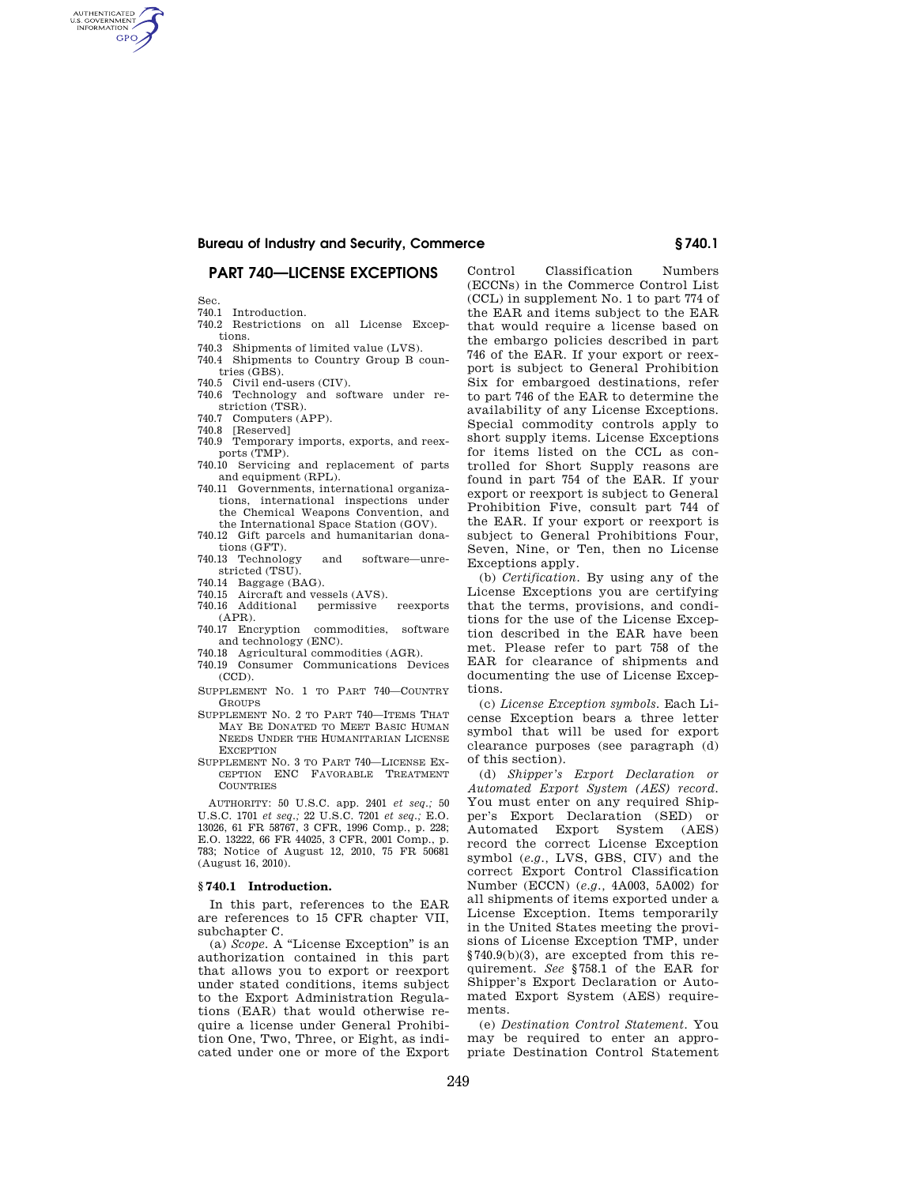## **PART 740—LICENSE EXCEPTIONS**

Sec.

AUTHENTICATED<br>U.S. GOVERNMENT<br>INFORMATION **GPO** 

- 740.1 Introduction.
- 740.2 Restrictions on all License Exceptions.
- 740.3 Shipments of limited value (LVS).
- 740.4 Shipments to Country Group B countries (GBS).
- 740.5 Civil end-users (CIV).
- 740.6 Technology and software under restriction (TSR).
- 740.7 Computers (APP).
- 740.8 [Reserved]
- 740.9 Temporary imports, exports, and reexports (TMP).
- 740.10 Servicing and replacement of parts and equipment (RPL).
- 740.11 Governments, international organizations, international inspections under the Chemical Weapons Convention, and the International Space Station (GOV).
- 740.12 Gift parcels and humanitarian donations (GFT).
- 740.13 Technology and software—unrestricted (TSU).
- 740.14 Baggage (BAG).
- 740.15 Aircraft and vessels (AVS). 740.16 Additional permissive reexports
- (APR).
- 740.17 Encryption commodities, software and technology (ENC).
- 740.18 Agricultural commodities (AGR).
- 740.19 Consumer Communications Devices  $(CCD)$ .
- SUPPLEMENT NO. 1 TO PART 740—COUNTRY **GROUPS**
- SUPPLEMENT NO. 2 TO PART 740—ITEMS THAT MAY BE DONATED TO MEET BASIC HUMAN NEEDS UNDER THE HUMANITARIAN LICENSE **EXCEPTION**
- SUPPLEMENT NO. 3 TO PART 740—LICENSE EX-CEPTION ENC FAVORABLE TREATMENT COUNTRIES

AUTHORITY: 50 U.S.C. app. 2401 *et seq.;* 50 U.S.C. 1701 *et seq.;* 22 U.S.C. 7201 *et seq.;* E.O. 13026, 61 FR 58767, 3 CFR, 1996 Comp., p. 228; E.O. 13222, 66 FR 44025, 3 CFR, 2001 Comp., p. 783; Notice of August 12, 2010, 75 FR 50681 (August 16, 2010).

#### **§ 740.1 Introduction.**

In this part, references to the EAR are references to 15 CFR chapter VII, subchapter C.

(a) *Scope.* A ''License Exception'' is an authorization contained in this part that allows you to export or reexport under stated conditions, items subject to the Export Administration Regulations (EAR) that would otherwise require a license under General Prohibition One, Two, Three, or Eight, as indicated under one or more of the Export

Control Classification Numbers (ECCNs) in the Commerce Control List (CCL) in supplement No. 1 to part 774 of the EAR and items subject to the EAR that would require a license based on the embargo policies described in part 746 of the EAR. If your export or reexport is subject to General Prohibition Six for embargoed destinations, refer to part 746 of the EAR to determine the availability of any License Exceptions. Special commodity controls apply to short supply items. License Exceptions for items listed on the CCL as controlled for Short Supply reasons are found in part 754 of the EAR. If your export or reexport is subject to General Prohibition Five, consult part 744 of the EAR. If your export or reexport is subject to General Prohibitions Four, Seven, Nine, or Ten, then no License Exceptions apply.

(b) *Certification.* By using any of the License Exceptions you are certifying that the terms, provisions, and conditions for the use of the License Exception described in the EAR have been met. Please refer to part 758 of the EAR for clearance of shipments and documenting the use of License Exceptions.

(c) *License Exception symbols.* Each License Exception bears a three letter symbol that will be used for export clearance purposes (see paragraph (d) of this section).

(d) *Shipper's Export Declaration or Automated Export System (AES) record.*  You must enter on any required Shipper's Export Declaration (SED) or Automated Export System (AES) record the correct License Exception symbol (*e.g.,* LVS, GBS, CIV) and the correct Export Control Classification Number (ECCN) (*e.g.,* 4A003, 5A002) for all shipments of items exported under a License Exception. Items temporarily in the United States meeting the provisions of License Exception TMP, under §740.9(b)(3), are excepted from this requirement. *See* §758.1 of the EAR for Shipper's Export Declaration or Automated Export System (AES) requirements.

(e) *Destination Control Statement.* You may be required to enter an appropriate Destination Control Statement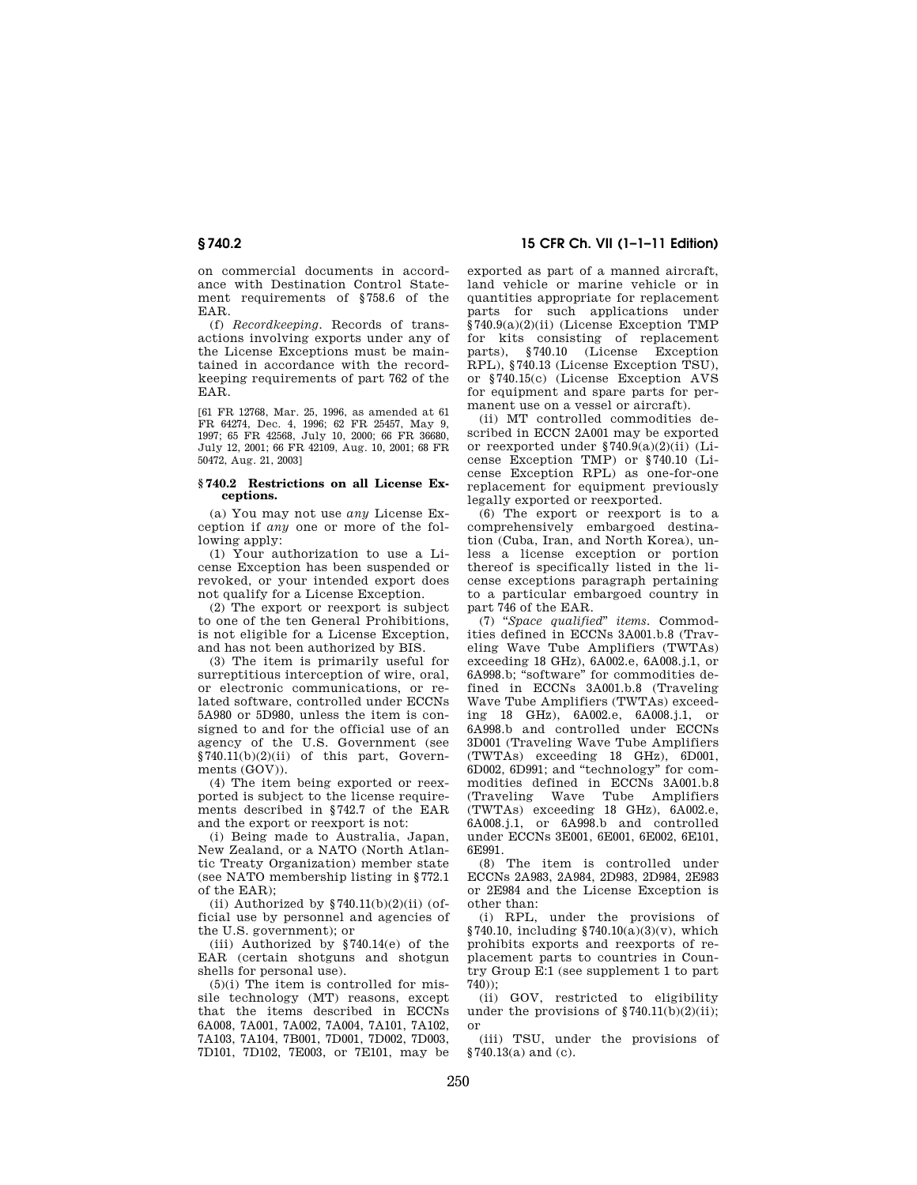on commercial documents in accordance with Destination Control Statement requirements of §758.6 of the EAR.

(f) *Recordkeeping.* Records of transactions involving exports under any of the License Exceptions must be maintained in accordance with the recordkeeping requirements of part 762 of the EAR.

[61 FR 12768, Mar. 25, 1996, as amended at 61 FR 64274, Dec. 4, 1996; 62 FR 25457, May 9, 1997; 65 FR 42568, July 10, 2000; 66 FR 36680, July 12, 2001; 66 FR 42109, Aug. 10, 2001; 68 FR 50472, Aug. 21, 2003]

#### **§ 740.2 Restrictions on all License Exceptions.**

(a) You may not use *any* License Exception if *any* one or more of the following apply:

(1) Your authorization to use a License Exception has been suspended or revoked, or your intended export does not qualify for a License Exception.

(2) The export or reexport is subject to one of the ten General Prohibitions, is not eligible for a License Exception, and has not been authorized by BIS.

(3) The item is primarily useful for surreptitious interception of wire, oral, or electronic communications, or related software, controlled under ECCNs 5A980 or 5D980, unless the item is consigned to and for the official use of an agency of the U.S. Government (see  $\overline{8740.11(b)(2)(ii)}$  of this part, Governments (GOV)).

(4) The item being exported or reexported is subject to the license requirements described in §742.7 of the EAR and the export or reexport is not:

(i) Being made to Australia, Japan, New Zealand, or a NATO (North Atlantic Treaty Organization) member state (see NATO membership listing in §772.1 of the  $EAR$ .

(ii) Authorized by  $$740.11(b)(2)(ii)$  (official use by personnel and agencies of the U.S. government); or

(iii) Authorized by §740.14(e) of the EAR (certain shotguns and shotgun shells for personal use).

 $(5)(i)$  The item is controlled for missile technology (MT) reasons, except that the items described in ECCNs 6A008, 7A001, 7A002, 7A004, 7A101, 7A102, 7A103, 7A104, 7B001, 7D001, 7D002, 7D003, 7D101, 7D102, 7E003, or 7E101, may be

**§ 740.2 15 CFR Ch. VII (1–1–11 Edition)** 

exported as part of a manned aircraft, land vehicle or marine vehicle or in quantities appropriate for replacement parts for such applications under §740.9(a)(2)(ii) (License Exception TMP for kits consisting of replacement parts), §740.10 (License Exception RPL), §740.13 (License Exception TSU), or §740.15(c) (License Exception AVS for equipment and spare parts for permanent use on a vessel or aircraft).

(ii) MT controlled commodities described in ECCN 2A001 may be exported or reexported under §740.9(a)(2)(ii) (License Exception TMP) or §740.10 (License Exception RPL) as one-for-one replacement for equipment previously legally exported or reexported.

(6) The export or reexport is to a comprehensively embargoed destination (Cuba, Iran, and North Korea), unless a license exception or portion thereof is specifically listed in the license exceptions paragraph pertaining to a particular embargoed country in part 746 of the EAR.

(7) ''*Space qualified*'' *items.* Commodities defined in ECCNs 3A001.b.8 (Traveling Wave Tube Amplifiers (TWTAs) exceeding 18 GHz), 6A002.e, 6A008.j.1, or 6A998.b; ''software'' for commodities defined in ECCNs 3A001.b.8 (Traveling Wave Tube Amplifiers (TWTAs) exceeding 18 GHz), 6A002.e, 6A008.j.1, or 6A998.b and controlled under ECCNs 3D001 (Traveling Wave Tube Amplifiers (TWTAs) exceeding 18 GHz), 6D001, 6D002, 6D991; and ''technology'' for commodities defined in ECCNs 3A001.b.8 (Traveling Wave Tube Amplifiers (TWTAs) exceeding 18 GHz), 6A002.e, 6A008.j.1, or 6A998.b and controlled under ECCNs 3E001, 6E001, 6E002, 6E101, 6E991.

(8) The item is controlled under ECCNs 2A983, 2A984, 2D983, 2D984, 2E983 or 2E984 and the License Exception is other than:

(i) RPL, under the provisions of §740.10, including §740.10(a)(3)(v), which prohibits exports and reexports of replacement parts to countries in Country Group E:1 (see supplement 1 to part  $740)$ 

(ii) GOV, restricted to eligibility under the provisions of  $\frac{8740.11(b)(2)(ii)}{i}$ ; or

(iii) TSU, under the provisions of  $§740.13(a)$  and (c).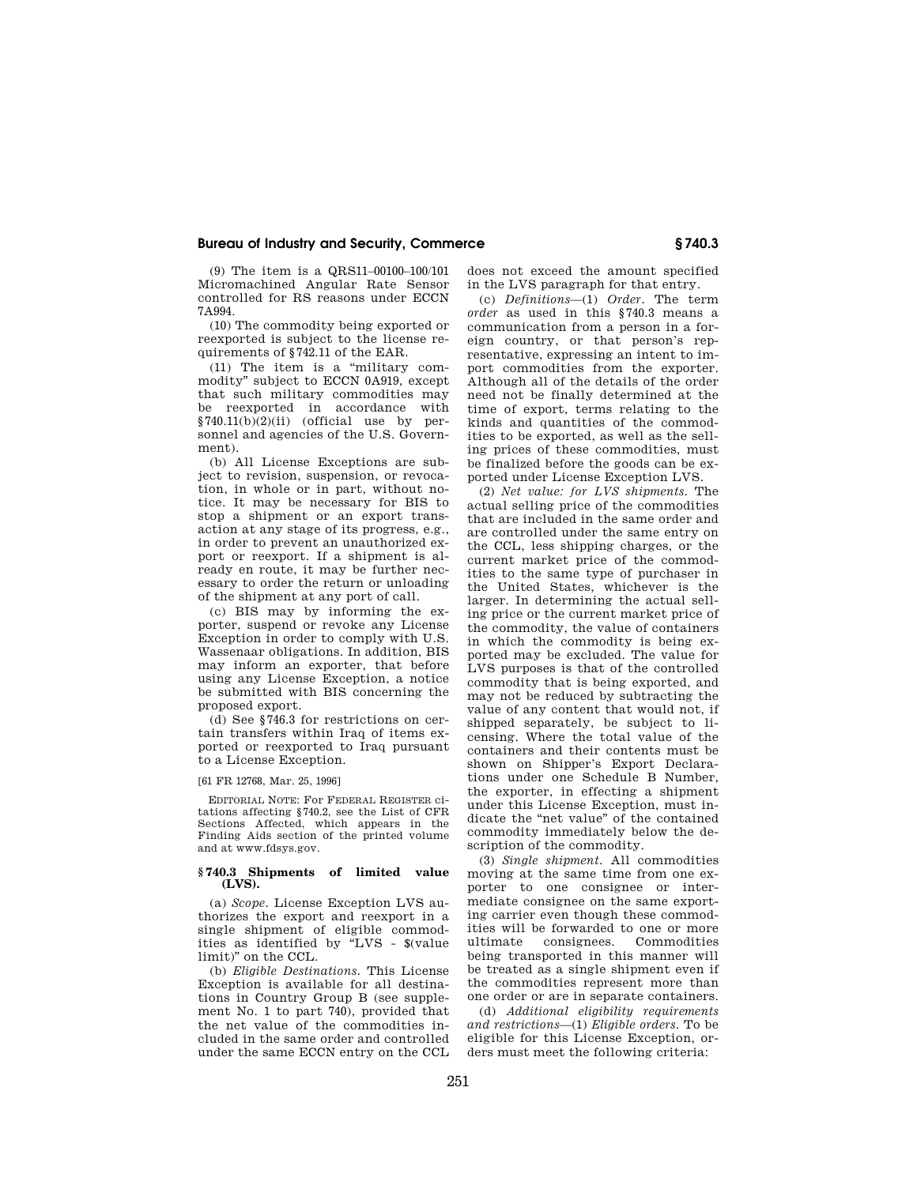(9) The item is a QRS11–00100–100/101 Micromachined Angular Rate Sensor controlled for RS reasons under ECCN 7A994.

(10) The commodity being exported or reexported is subject to the license requirements of §742.11 of the EAR.

(11) The item is a "military commodity'' subject to ECCN 0A919, except that such military commodities may be reexported in accordance with §740.11(b)(2)(ii) (official use by personnel and agencies of the U.S. Government).

(b) All License Exceptions are subject to revision, suspension, or revocation, in whole or in part, without notice. It may be necessary for BIS to stop a shipment or an export transaction at any stage of its progress, e.g., in order to prevent an unauthorized export or reexport. If a shipment is already en route, it may be further necessary to order the return or unloading of the shipment at any port of call.

(c) BIS may by informing the exporter, suspend or revoke any License Exception in order to comply with U.S. Wassenaar obligations. In addition, BIS may inform an exporter, that before using any License Exception, a notice be submitted with BIS concerning the proposed export.

(d) See §746.3 for restrictions on certain transfers within Iraq of items exported or reexported to Iraq pursuant to a License Exception.

[61 FR 12768, Mar. 25, 1996]

EDITORIAL NOTE: For FEDERAL REGISTER citations affecting §740.2, see the List of CFR Sections Affected, which appears in the Finding Aids section of the printed volume and at www.fdsys.gov.

#### **§ 740.3 Shipments of limited value (LVS).**

(a) *Scope.* License Exception LVS authorizes the export and reexport in a single shipment of eligible commodities as identified by ''LVS - \$(value limit)'' on the CCL.

(b) *Eligible Destinations.* This License Exception is available for all destinations in Country Group B (see supplement No. 1 to part 740), provided that the net value of the commodities included in the same order and controlled under the same ECCN entry on the CCL does not exceed the amount specified in the LVS paragraph for that entry.

(c) *Definitions*—(1) *Order.* The term *order* as used in this §740.3 means a communication from a person in a foreign country, or that person's representative, expressing an intent to import commodities from the exporter. Although all of the details of the order need not be finally determined at the time of export, terms relating to the kinds and quantities of the commodities to be exported, as well as the selling prices of these commodities, must be finalized before the goods can be exported under License Exception LVS.

(2) *Net value: for LVS shipments.* The actual selling price of the commodities that are included in the same order and are controlled under the same entry on the CCL, less shipping charges, or the current market price of the commodities to the same type of purchaser in the United States, whichever is the larger. In determining the actual selling price or the current market price of the commodity, the value of containers in which the commodity is being exported may be excluded. The value for LVS purposes is that of the controlled commodity that is being exported, and may not be reduced by subtracting the value of any content that would not, if shipped separately, be subject to licensing. Where the total value of the containers and their contents must be shown on Shipper's Export Declarations under one Schedule B Number, the exporter, in effecting a shipment under this License Exception, must indicate the "net value" of the contained commodity immediately below the description of the commodity.

(3) *Single shipment.* All commodities moving at the same time from one exporter to one consignee or intermediate consignee on the same exporting carrier even though these commodities will be forwarded to one or more<br>ultimate consignees. Commodities consignees. being transported in this manner will be treated as a single shipment even if the commodities represent more than one order or are in separate containers.

(d) *Additional eligibility requirements and restrictions*—(1) *Eligible orders.* To be eligible for this License Exception, orders must meet the following criteria: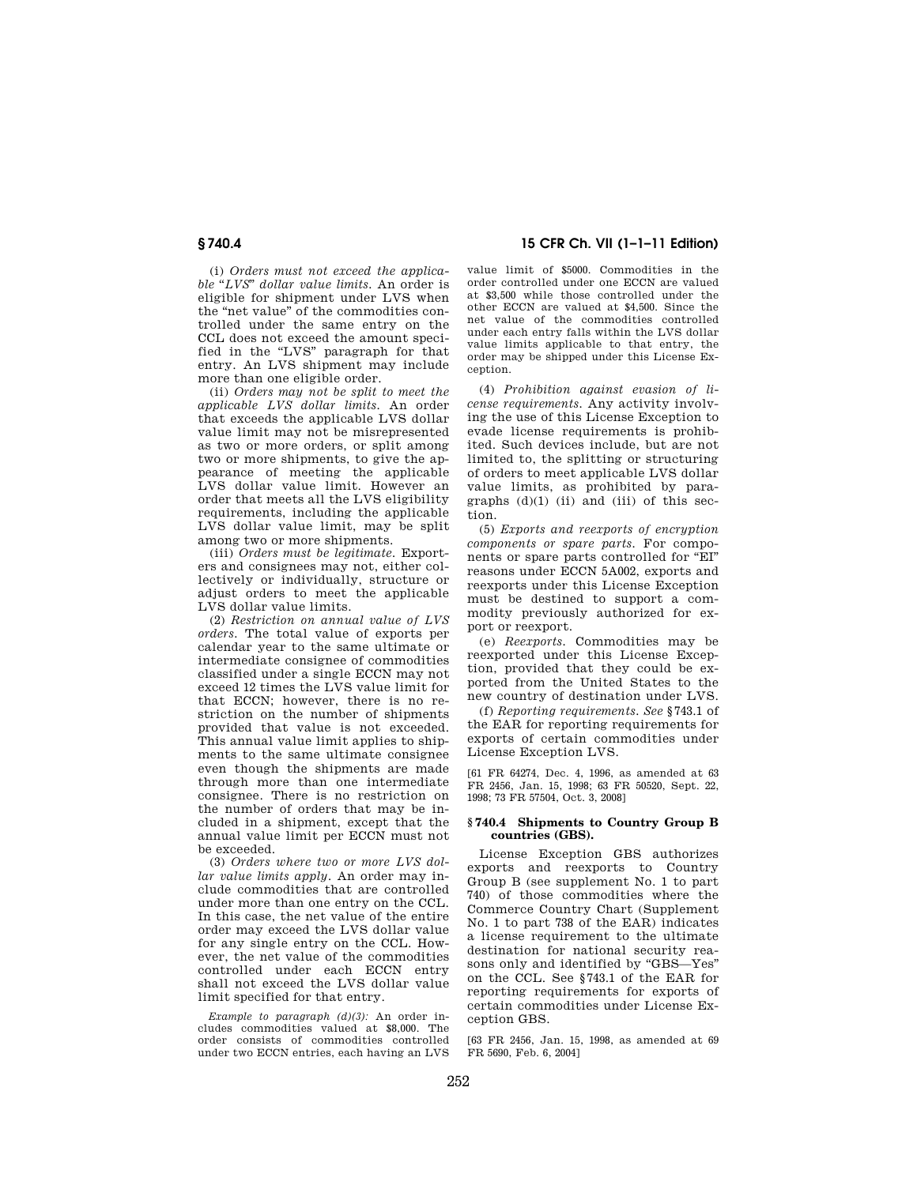(i) *Orders must not exceed the applicable* ''*LVS*'' *dollar value limits.* An order is eligible for shipment under LVS when the "net value" of the commodities controlled under the same entry on the CCL does not exceed the amount specified in the "LVS" paragraph for that entry. An LVS shipment may include more than one eligible order.

(ii) *Orders may not be split to meet the applicable LVS dollar limits.* An order that exceeds the applicable LVS dollar value limit may not be misrepresented as two or more orders, or split among two or more shipments, to give the appearance of meeting the applicable LVS dollar value limit. However an order that meets all the LVS eligibility requirements, including the applicable LVS dollar value limit, may be split among two or more shipments.

(iii) *Orders must be legitimate.* Exporters and consignees may not, either collectively or individually, structure or adjust orders to meet the applicable LVS dollar value limits.

(2) *Restriction on annual value of LVS orders.* The total value of exports per calendar year to the same ultimate or intermediate consignee of commodities classified under a single ECCN may not exceed 12 times the LVS value limit for that ECCN; however, there is no restriction on the number of shipments provided that value is not exceeded. This annual value limit applies to shipments to the same ultimate consignee even though the shipments are made through more than one intermediate consignee. There is no restriction on the number of orders that may be included in a shipment, except that the annual value limit per ECCN must not be exceeded.

(3) *Orders where two or more LVS dollar value limits apply.* An order may include commodities that are controlled under more than one entry on the CCL. In this case, the net value of the entire order may exceed the LVS dollar value for any single entry on the CCL. However, the net value of the commodities controlled under each ECCN entry shall not exceed the LVS dollar value limit specified for that entry.

*Example to paragraph (d)(3):* An order includes commodities valued at \$8,000. The order consists of commodities controlled under two ECCN entries, each having an LVS

**§ 740.4 15 CFR Ch. VII (1–1–11 Edition)** 

value limit of \$5000. Commodities in the order controlled under one ECCN are valued at \$3,500 while those controlled under the other ECCN are valued at \$4,500. Since the net value of the commodities controlled under each entry falls within the LVS dollar value limits applicable to that entry, the order may be shipped under this License Exception.

(4) *Prohibition against evasion of license requirements.* Any activity involving the use of this License Exception to evade license requirements is prohibited. Such devices include, but are not limited to, the splitting or structuring of orders to meet applicable LVS dollar value limits, as prohibited by paragraphs  $(d)(1)$  (ii) and (iii) of this section.

(5) *Exports and reexports of encryption components or spare parts.* For components or spare parts controlled for ''EI'' reasons under ECCN 5A002, exports and reexports under this License Exception must be destined to support a commodity previously authorized for export or reexport.

(e) *Reexports.* Commodities may be reexported under this License Exception, provided that they could be exported from the United States to the new country of destination under LVS.

(f) *Reporting requirements. See* §743.1 of the EAR for reporting requirements for exports of certain commodities under License Exception LVS.

[61 FR 64274, Dec. 4, 1996, as amended at 63 FR 2456, Jan. 15, 1998; 63 FR 50520, Sept. 22, 1998; 73 FR 57504, Oct. 3, 2008]

#### **§ 740.4 Shipments to Country Group B countries (GBS).**

License Exception GBS authorizes exports and reexports to Country Group B (see supplement No. 1 to part 740) of those commodities where the Commerce Country Chart (Supplement No. 1 to part 738 of the EAR) indicates a license requirement to the ultimate destination for national security reasons only and identified by ''GBS—Yes'' on the CCL. See §743.1 of the EAR for reporting requirements for exports of certain commodities under License Exception GBS.

[63 FR 2456, Jan. 15, 1998, as amended at 69 FR 5690, Feb. 6, 2004]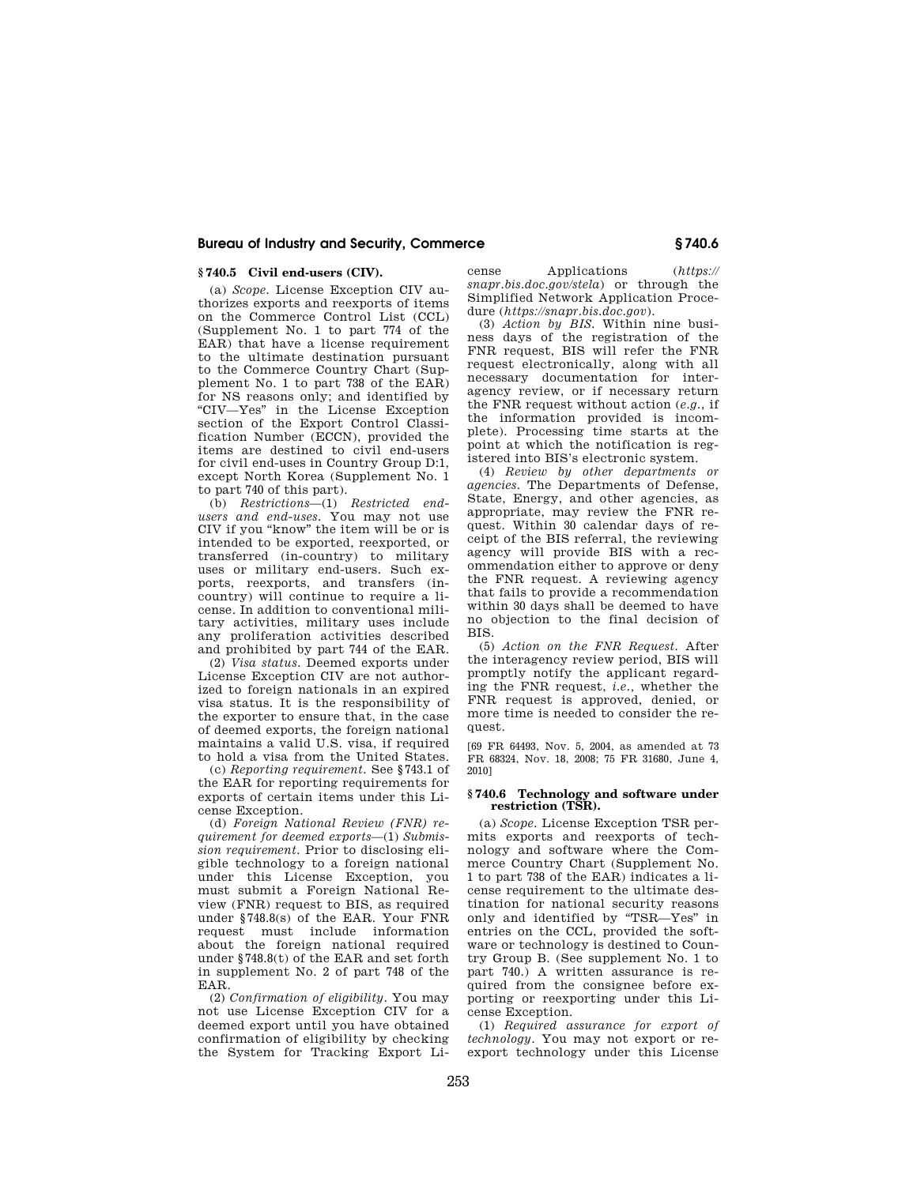### **§ 740.5 Civil end-users (CIV).**

(a) *Scope.* License Exception CIV authorizes exports and reexports of items on the Commerce Control List (CCL) (Supplement No. 1 to part 774 of the EAR) that have a license requirement to the ultimate destination pursuant to the Commerce Country Chart (Supplement No. 1 to part 738 of the EAR) for NS reasons only; and identified by ''CIV—Yes'' in the License Exception section of the Export Control Classification Number (ECCN), provided the items are destined to civil end-users for civil end-uses in Country Group D:1, except North Korea (Supplement No. 1 to part 740 of this part).

(b) *Restrictions*—(1) *Restricted endusers and end-uses.* You may not use CIV if you ''know'' the item will be or is intended to be exported, reexported, or transferred (in-country) to military uses or military end-users. Such exports, reexports, and transfers (incountry) will continue to require a license. In addition to conventional military activities, military uses include any proliferation activities described and prohibited by part 744 of the EAR.

(2) *Visa status.* Deemed exports under License Exception CIV are not authorized to foreign nationals in an expired visa status. It is the responsibility of the exporter to ensure that, in the case of deemed exports, the foreign national maintains a valid U.S. visa, if required to hold a visa from the United States.

(c) *Reporting requirement.* See §743.1 of the EAR for reporting requirements for exports of certain items under this License Exception.

(d) *Foreign National Review (FNR) requirement for deemed exports*—(1) *Submission requirement.* Prior to disclosing eligible technology to a foreign national under this License Exception, you must submit a Foreign National Review (FNR) request to BIS, as required under §748.8(s) of the EAR. Your FNR request must include information about the foreign national required under §748.8(t) of the EAR and set forth in supplement No. 2 of part 748 of the EAR.

(2) *Confirmation of eligibility.* You may not use License Exception CIV for a deemed export until you have obtained confirmation of eligibility by checking the System for Tracking Export License Applications (*https:// snapr.bis.doc.gov/stela*) or through the Simplified Network Application Procedure (*https://snapr.bis.doc.gov*).

(3) *Action by BIS.* Within nine business days of the registration of the FNR request, BIS will refer the FNR request electronically, along with all necessary documentation for interagency review, or if necessary return the FNR request without action (*e.g.*, if the information provided is incomplete). Processing time starts at the point at which the notification is registered into BIS's electronic system.

(4) *Review by other departments or agencies.* The Departments of Defense, State, Energy, and other agencies, as appropriate, may review the FNR request. Within 30 calendar days of receipt of the BIS referral, the reviewing agency will provide BIS with a recommendation either to approve or deny the FNR request. A reviewing agency that fails to provide a recommendation within 30 days shall be deemed to have no objection to the final decision of BIS.

(5) *Action on the FNR Request.* After the interagency review period, BIS will promptly notify the applicant regarding the FNR request, *i.e.,* whether the FNR request is approved, denied, or more time is needed to consider the request.

[69 FR 64493, Nov. 5, 2004, as amended at 73 FR 68324, Nov. 18, 2008; 75 FR 31680, June 4, 2010]

#### **§ 740.6 Technology and software under restriction (TSR).**

(a) *Scope.* License Exception TSR permits exports and reexports of technology and software where the Commerce Country Chart (Supplement No. 1 to part 738 of the EAR) indicates a license requirement to the ultimate destination for national security reasons only and identified by ''TSR—Yes'' in entries on the CCL, provided the software or technology is destined to Country Group B. (See supplement No. 1 to part 740.) A written assurance is required from the consignee before exporting or reexporting under this License Exception.

(1) *Required assurance for export of technology.* You may not export or reexport technology under this License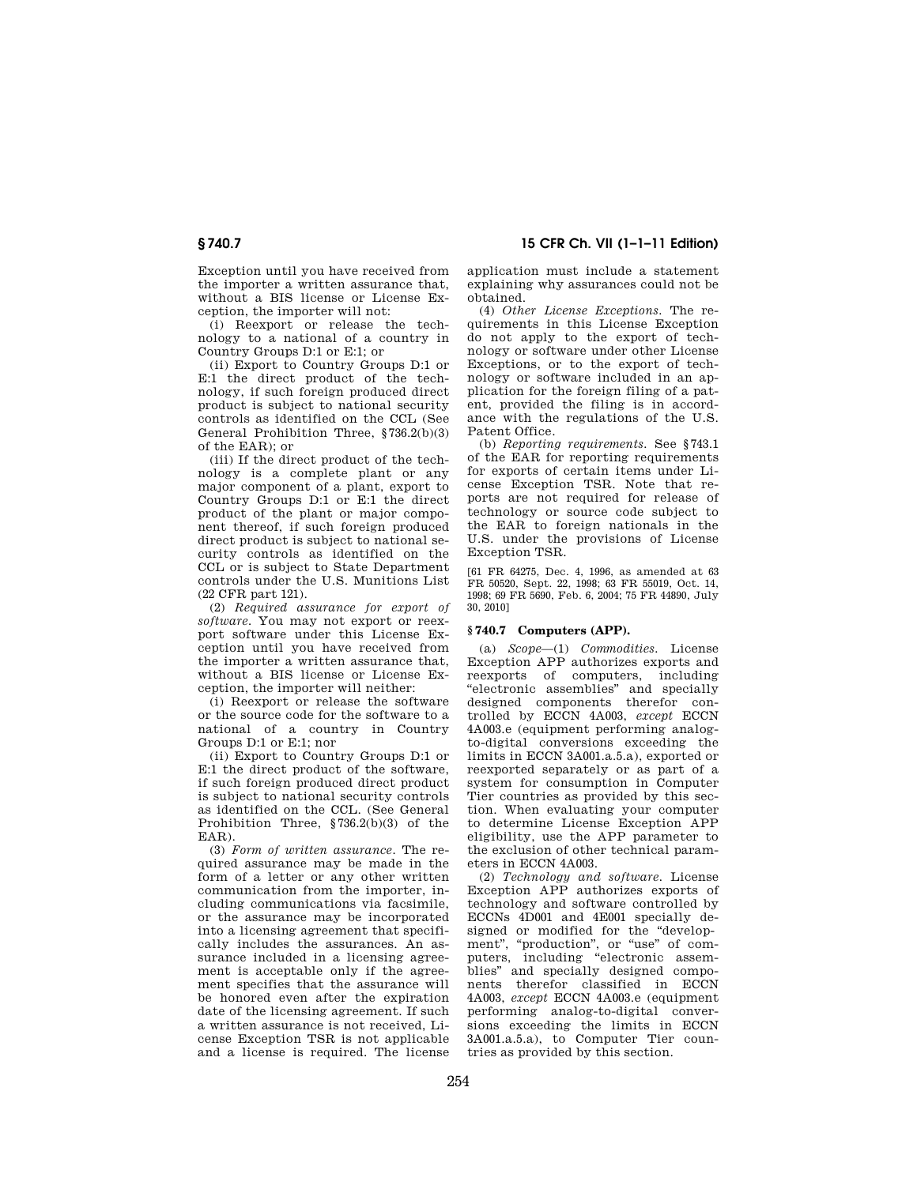Exception until you have received from the importer a written assurance that, without a BIS license or License Exception, the importer will not:

(i) Reexport or release the technology to a national of a country in Country Groups D:1 or E:1; or

(ii) Export to Country Groups D:1 or E:1 the direct product of the technology, if such foreign produced direct product is subject to national security controls as identified on the CCL (See General Prohibition Three, §736.2(b)(3) of the EAR); or

(iii) If the direct product of the technology is a complete plant or any major component of a plant, export to Country Groups D:1 or E:1 the direct product of the plant or major component thereof, if such foreign produced direct product is subject to national security controls as identified on the CCL or is subject to State Department controls under the U.S. Munitions List (22 CFR part 121).

(2) *Required assurance for export of software.* You may not export or reexport software under this License Exception until you have received from the importer a written assurance that, without a BIS license or License Exception, the importer will neither:

(i) Reexport or release the software or the source code for the software to a national of a country in Country Groups D:1 or E:1; nor

(ii) Export to Country Groups D:1 or E:1 the direct product of the software, if such foreign produced direct product is subject to national security controls as identified on the CCL. (See General Prohibition Three, §736.2(b)(3) of the EAR).

(3) *Form of written assurance.* The required assurance may be made in the form of a letter or any other written communication from the importer, including communications via facsimile, or the assurance may be incorporated into a licensing agreement that specifically includes the assurances. An assurance included in a licensing agreement is acceptable only if the agreement specifies that the assurance will be honored even after the expiration date of the licensing agreement. If such a written assurance is not received, License Exception TSR is not applicable and a license is required. The license

**§ 740.7 15 CFR Ch. VII (1–1–11 Edition)** 

application must include a statement explaining why assurances could not be obtained.

(4) *Other License Exceptions.* The requirements in this License Exception do not apply to the export of technology or software under other License Exceptions, or to the export of technology or software included in an application for the foreign filing of a patent, provided the filing is in accordance with the regulations of the U.S. Patent Office.

(b) *Reporting requirements.* See §743.1 of the EAR for reporting requirements for exports of certain items under License Exception TSR. Note that reports are not required for release of technology or source code subject to the EAR to foreign nationals in the U.S. under the provisions of License Exception TSR.

[61 FR 64275, Dec. 4, 1996, as amended at 63 FR 50520, Sept. 22, 1998; 63 FR 55019, Oct. 14, 1998; 69 FR 5690, Feb. 6, 2004; 75 FR 44890, July 30, 2010]

## **§ 740.7 Computers (APP).**

(a) *Scope*—(1) *Commodities.* License Exception APP authorizes exports and reexports of computers, including ''electronic assemblies'' and specially designed components therefor controlled by ECCN 4A003, *except* ECCN 4A003.e (equipment performing analogto-digital conversions exceeding the limits in ECCN 3A001.a.5.a), exported or reexported separately or as part of a system for consumption in Computer Tier countries as provided by this section. When evaluating your computer to determine License Exception APP eligibility, use the APP parameter to the exclusion of other technical parameters in ECCN 4A003.

(2) *Technology and software.* License Exception APP authorizes exports of technology and software controlled by ECCNs 4D001 and 4E001 specially designed or modified for the "development", "production", or "use" of computers, including ''electronic assemblies'' and specially designed components therefor classified in ECCN 4A003, *except* ECCN 4A003.e (equipment performing analog-to-digital conversions exceeding the limits in ECCN 3A001.a.5.a), to Computer Tier countries as provided by this section.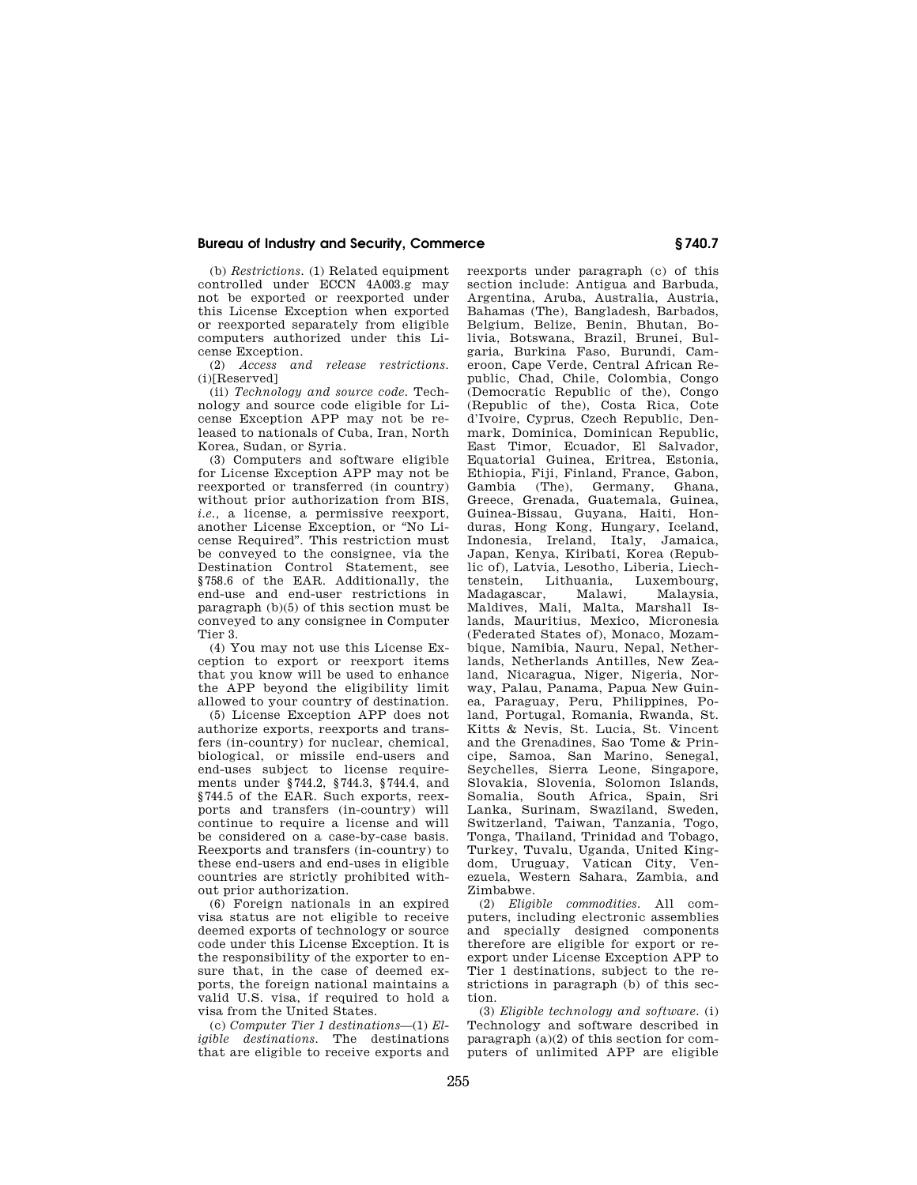(b) *Restrictions.* (1) Related equipment controlled under ECCN 4A003.g may not be exported or reexported under this License Exception when exported or reexported separately from eligible computers authorized under this License Exception.

(2) *Access and release restrictions.*  (i)[Reserved]

(ii) *Technology and source code.* Technology and source code eligible for License Exception APP may not be released to nationals of Cuba, Iran, North Korea, Sudan, or Syria.

(3) Computers and software eligible for License Exception APP may not be reexported or transferred (in country) without prior authorization from BIS, *i.e.,* a license, a permissive reexport, another License Exception, or ''No License Required''. This restriction must be conveyed to the consignee, via the Destination Control Statement, see §758.6 of the EAR. Additionally, the end-use and end-user restrictions in paragraph (b)(5) of this section must be conveyed to any consignee in Computer Tier 3.

(4) You may not use this License Exception to export or reexport items that you know will be used to enhance the APP beyond the eligibility limit allowed to your country of destination.

(5) License Exception APP does not authorize exports, reexports and transfers (in-country) for nuclear, chemical, biological, or missile end-users and end-uses subject to license requirements under §744.2, §744.3, §744.4, and §744.5 of the EAR. Such exports, reexports and transfers (in-country) will continue to require a license and will be considered on a case-by-case basis. Reexports and transfers (in-country) to these end-users and end-uses in eligible countries are strictly prohibited without prior authorization.

(6) Foreign nationals in an expired visa status are not eligible to receive deemed exports of technology or source code under this License Exception. It is the responsibility of the exporter to ensure that, in the case of deemed exports, the foreign national maintains a valid U.S. visa, if required to hold a visa from the United States.

(c) *Computer Tier 1 destinations*—(1) *Eligible destinations.* The destinations that are eligible to receive exports and reexports under paragraph (c) of this section include: Antigua and Barbuda, Argentina, Aruba, Australia, Austria, Bahamas (The), Bangladesh, Barbados, Belgium, Belize, Benin, Bhutan, Bolivia, Botswana, Brazil, Brunei, Bulgaria, Burkina Faso, Burundi, Cameroon, Cape Verde, Central African Republic, Chad, Chile, Colombia, Congo (Democratic Republic of the), Congo (Republic of the), Costa Rica, Cote d'Ivoire, Cyprus, Czech Republic, Denmark, Dominica, Dominican Republic, East Timor, Ecuador, El Salvador, Equatorial Guinea, Eritrea, Estonia, Ethiopia, Fiji, Finland, France, Gabon, Gambia (The), Germany, Ghana, Greece, Grenada, Guatemala, Guinea, Guinea-Bissau, Guyana, Haiti, Honduras, Hong Kong, Hungary, Iceland, Indonesia, Ireland, Italy, Jamaica, Japan, Kenya, Kiribati, Korea (Republic of), Latvia, Lesotho, Liberia, Liechtenstein, Lithuania, Luxembourg, Madagascar, Malawi, Malaysia, Maldives, Mali, Malta, Marshall Islands, Mauritius, Mexico, Micronesia (Federated States of), Monaco, Mozambique, Namibia, Nauru, Nepal, Netherlands, Netherlands Antilles, New Zealand, Nicaragua, Niger, Nigeria, Norway, Palau, Panama, Papua New Guinea, Paraguay, Peru, Philippines, Poland, Portugal, Romania, Rwanda, St. Kitts & Nevis, St. Lucia, St. Vincent and the Grenadines, Sao Tome & Principe, Samoa, San Marino, Senegal, Seychelles, Sierra Leone, Singapore, Slovakia, Slovenia, Solomon Islands, Somalia, South Africa, Spain, Sri Lanka, Surinam, Swaziland, Sweden, Switzerland, Taiwan, Tanzania, Togo, Tonga, Thailand, Trinidad and Tobago, Turkey, Tuvalu, Uganda, United Kingdom, Uruguay, Vatican City, Venezuela, Western Sahara, Zambia, and Zimbabwe.

(2) *Eligible commodities.* All computers, including electronic assemblies and specially designed components therefore are eligible for export or reexport under License Exception APP to Tier 1 destinations, subject to the restrictions in paragraph (b) of this section.

(3) *Eligible technology and software.* (i) Technology and software described in paragraph (a)(2) of this section for computers of unlimited APP are eligible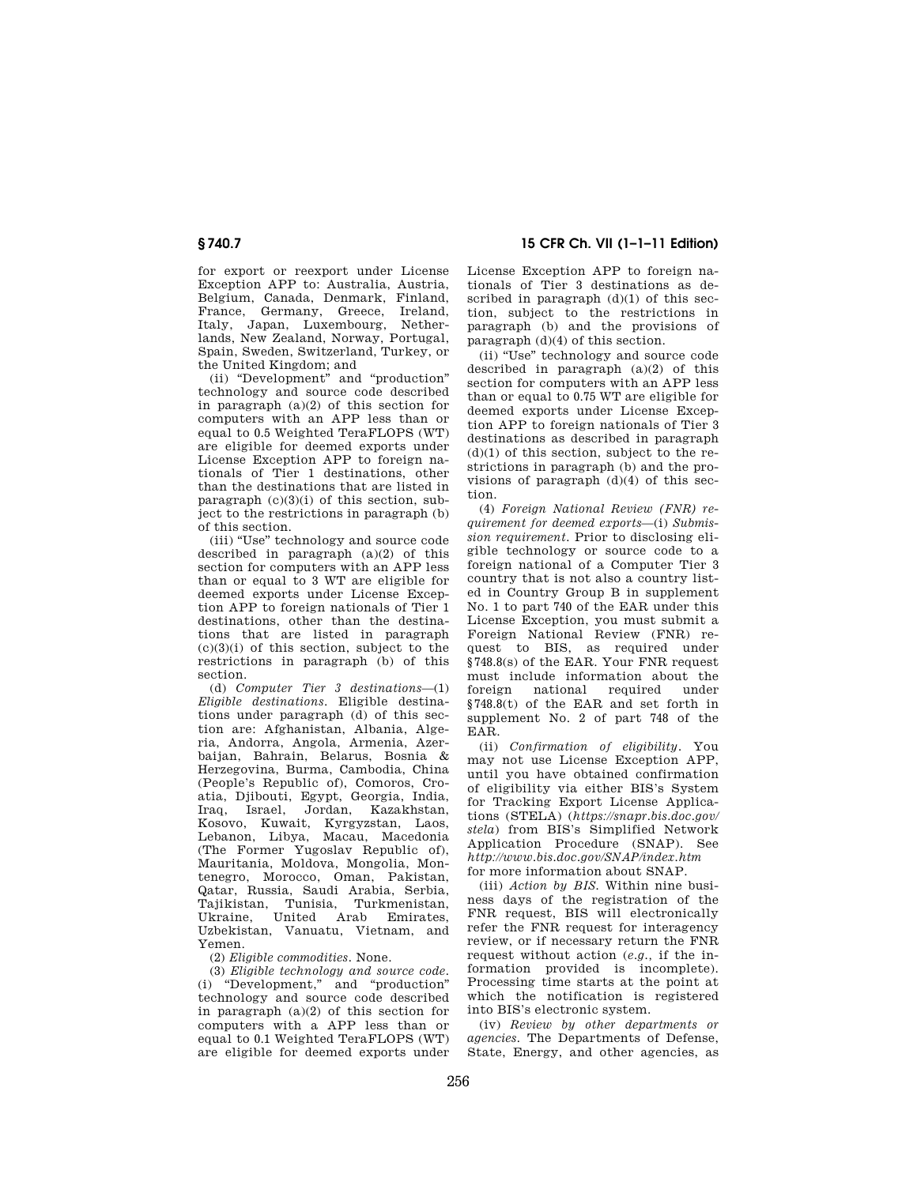## **§ 740.7 15 CFR Ch. VII (1–1–11 Edition)**

for export or reexport under License Exception APP to: Australia, Austria, Belgium, Canada, Denmark, Finland, France, Germany, Greece, Ireland, Italy, Japan, Luxembourg, Netherlands, New Zealand, Norway, Portugal, Spain, Sweden, Switzerland, Turkey, or the United Kingdom; and

(ii) "Development" and "production" technology and source code described in paragraph (a)(2) of this section for computers with an APP less than or equal to 0.5 Weighted TeraFLOPS (WT) are eligible for deemed exports under License Exception APP to foreign nationals of Tier 1 destinations, other than the destinations that are listed in paragraph (c)(3)(i) of this section, subject to the restrictions in paragraph (b) of this section.

(iii) ''Use'' technology and source code described in paragraph  $(a)(2)$  of this section for computers with an APP less than or equal to 3 WT are eligible for deemed exports under License Exception APP to foreign nationals of Tier 1 destinations, other than the destinations that are listed in paragraph  $(c)(3)(i)$  of this section, subject to the restrictions in paragraph (b) of this section.

(d) *Computer Tier 3 destinations*—(1) *Eligible destinations*. Eligible destinations under paragraph (d) of this section are: Afghanistan, Albania, Algeria, Andorra, Angola, Armenia, Azerbaijan, Bahrain, Belarus, Bosnia & Herzegovina, Burma, Cambodia, China (People's Republic of), Comoros, Croatia, Djibouti, Egypt, Georgia, India, Iraq, Israel, Jordan, Kazakhstan, Kosovo, Kuwait, Kyrgyzstan, Laos, Lebanon, Libya, Macau, Macedonia (The Former Yugoslav Republic of), Mauritania, Moldova, Mongolia, Montenegro, Morocco, Oman, Pakistan, Qatar, Russia, Saudi Arabia, Serbia, Tajikistan, Tunisia, Turkmenistan, United Arab Uzbekistan, Vanuatu, Vietnam, and Yemen.

(2) *Eligible commodities.* None.

(3) *Eligible technology and source code.*  (i) ''Development,'' and ''production'' technology and source code described in paragraph (a)(2) of this section for computers with a APP less than or equal to 0.1 Weighted TeraFLOPS (WT) are eligible for deemed exports under License Exception APP to foreign nationals of Tier 3 destinations as described in paragraph  $(d)(1)$  of this section, subject to the restrictions in paragraph (b) and the provisions of paragraph (d)(4) of this section.

(ii) ''Use'' technology and source code described in paragraph (a)(2) of this section for computers with an APP less than or equal to 0.75 WT are eligible for deemed exports under License Exception APP to foreign nationals of Tier 3 destinations as described in paragraph  $(d)(1)$  of this section, subject to the restrictions in paragraph (b) and the provisions of paragraph  $(d)(4)$  of this section.

(4) *Foreign National Review (FNR) requirement for deemed exports*—(i) *Submission requirement.* Prior to disclosing eligible technology or source code to a foreign national of a Computer Tier 3 country that is not also a country listed in Country Group B in supplement No. 1 to part 740 of the EAR under this License Exception, you must submit a Foreign National Review (FNR) request to BIS, as required under §748.8(s) of the EAR. Your FNR request must include information about the foreign national required under §748.8(t) of the EAR and set forth in supplement No. 2 of part 748 of the EAR.

(ii) *Confirmation of eligibility.* You may not use License Exception APP, until you have obtained confirmation of eligibility via either BIS's System for Tracking Export License Applications (STELA) (*https://snapr.bis.doc.gov/ stela*) from BIS's Simplified Network Application Procedure (SNAP). See *http://www.bis.doc.gov/SNAP/index.htm*  for more information about SNAP.

(iii) *Action by BIS.* Within nine business days of the registration of the FNR request, BIS will electronically refer the FNR request for interagency review, or if necessary return the FNR request without action (*e.g.,* if the information provided is incomplete). Processing time starts at the point at which the notification is registered into BIS's electronic system.

(iv) *Review by other departments or agencies.* The Departments of Defense, State, Energy, and other agencies, as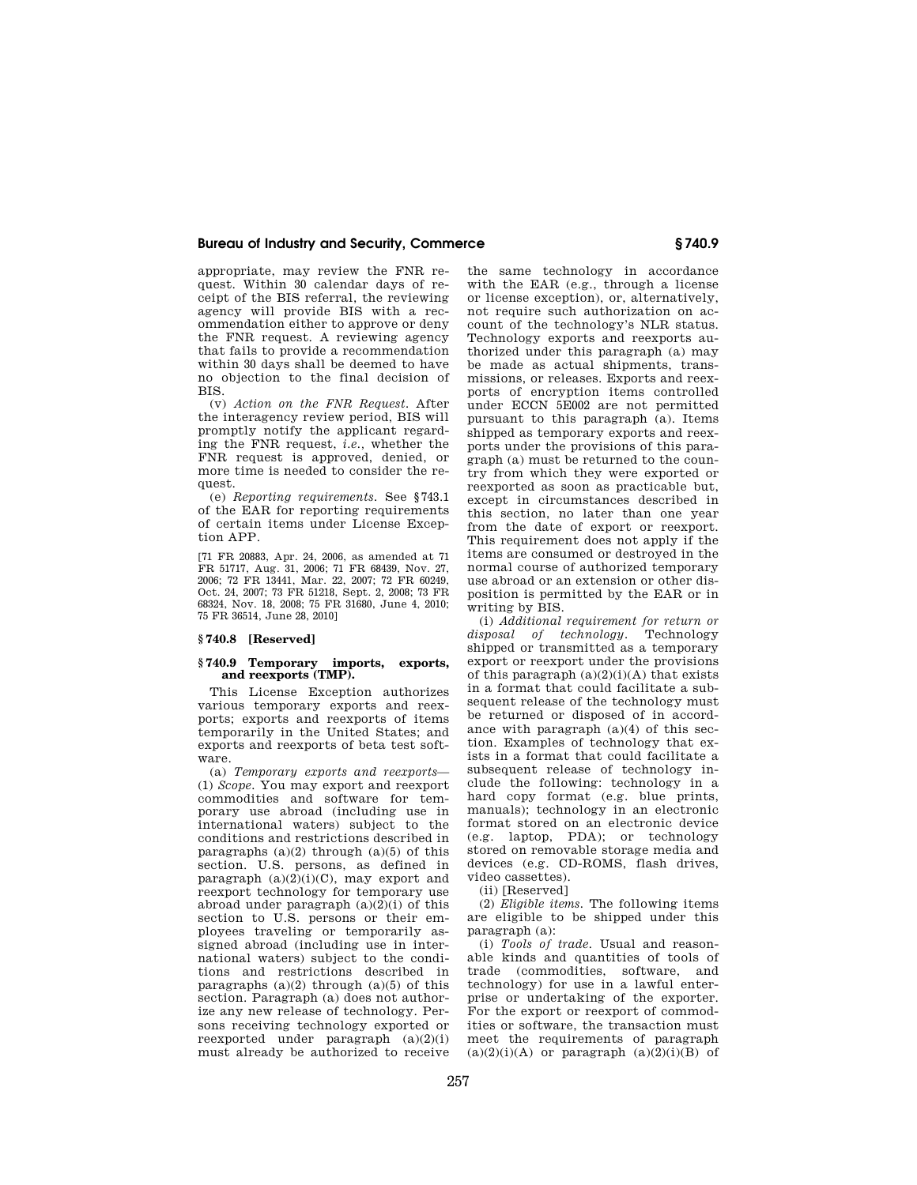appropriate, may review the FNR request. Within 30 calendar days of receipt of the BIS referral, the reviewing agency will provide BIS with a recommendation either to approve or deny the FNR request. A reviewing agency that fails to provide a recommendation within 30 days shall be deemed to have no objection to the final decision of BIS.

(v) *Action on the FNR Request.* After the interagency review period, BIS will promptly notify the applicant regarding the FNR request, *i.e.,* whether the FNR request is approved, denied, or more time is needed to consider the request.

(e) *Reporting requirements.* See §743.1 of the EAR for reporting requirements of certain items under License Exception APP.

[71 FR 20883, Apr. 24, 2006, as amended at 71 FR 51717, Aug. 31, 2006; 71 FR 68439, Nov. 27, 2006; 72 FR 13441, Mar. 22, 2007; 72 FR 60249, Oct. 24, 2007; 73 FR 51218, Sept. 2, 2008; 73 FR 68324, Nov. 18, 2008; 75 FR 31680, June 4, 2010; 75 FR 36514, June 28, 2010]

## **§ 740.8 [Reserved]**

# **§ 740.9 Temporary imports, exports, and reexports (TMP).**

This License Exception authorizes various temporary exports and reexports; exports and reexports of items temporarily in the United States; and exports and reexports of beta test software.

(a) *Temporary exports and reexports*— (1) *Scope.* You may export and reexport commodities and software for temporary use abroad (including use in international waters) subject to the conditions and restrictions described in paragraphs  $(a)(2)$  through  $(a)(5)$  of this section. U.S. persons, as defined in paragraph (a)(2)(i)(C), may export and reexport technology for temporary use abroad under paragraph  $(a)(2)(i)$  of this section to U.S. persons or their employees traveling or temporarily assigned abroad (including use in international waters) subject to the conditions and restrictions described in paragraphs  $(a)(2)$  through  $(a)(5)$  of this section. Paragraph (a) does not authorize any new release of technology. Persons receiving technology exported or reexported under paragraph (a)(2)(i) must already be authorized to receive

the same technology in accordance with the EAR (e.g., through a license or license exception), or, alternatively, not require such authorization on account of the technology's NLR status. Technology exports and reexports authorized under this paragraph (a) may be made as actual shipments, transmissions, or releases. Exports and reexports of encryption items controlled under ECCN 5E002 are not permitted pursuant to this paragraph (a). Items shipped as temporary exports and reexports under the provisions of this paragraph (a) must be returned to the country from which they were exported or reexported as soon as practicable but, except in circumstances described in this section, no later than one year from the date of export or reexport. This requirement does not apply if the items are consumed or destroyed in the normal course of authorized temporary use abroad or an extension or other disposition is permitted by the EAR or in writing by BIS.

(i) *Additional requirement for return or disposal of technology.* Technology shipped or transmitted as a temporary export or reexport under the provisions of this paragraph  $(a)(2)(i)(A)$  that exists in a format that could facilitate a subsequent release of the technology must be returned or disposed of in accordance with paragraph (a)(4) of this section. Examples of technology that exists in a format that could facilitate a subsequent release of technology include the following: technology in a hard copy format (e.g. blue prints, manuals); technology in an electronic format stored on an electronic device (e.g. laptop, PDA); or technology stored on removable storage media and devices (e.g. CD-ROMS, flash drives, video cassettes).

(ii) [Reserved]

(2) *Eligible items.* The following items are eligible to be shipped under this paragraph (a):

(i) *Tools of trade.* Usual and reasonable kinds and quantities of tools of trade (commodities, software, and technology) for use in a lawful enterprise or undertaking of the exporter. For the export or reexport of commodities or software, the transaction must meet the requirements of paragraph  $(a)(2)(i)(A)$  or paragraph  $(a)(2)(i)(B)$  of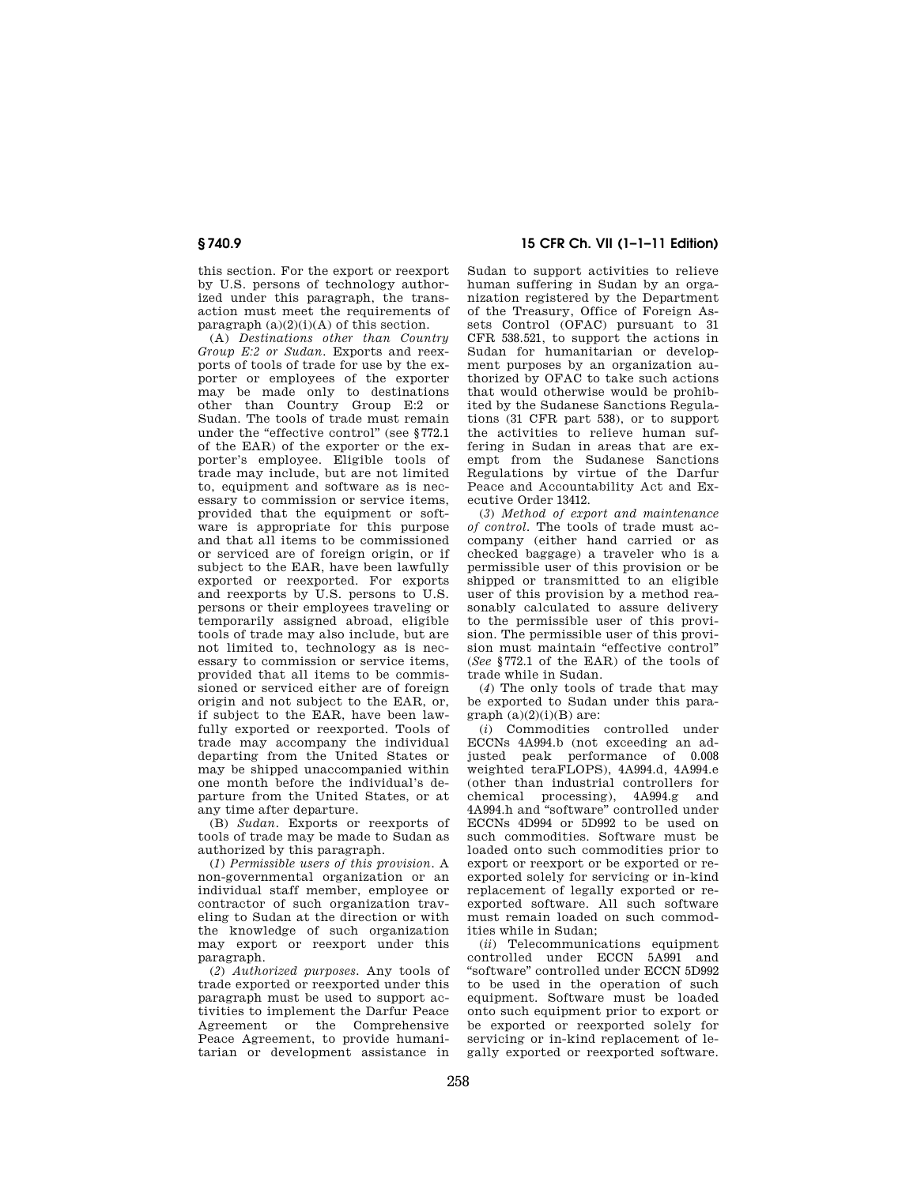this section. For the export or reexport by U.S. persons of technology authorized under this paragraph, the transaction must meet the requirements of paragraph  $(a)(2)(i)(A)$  of this section.

(A) *Destinations other than Country Group E:2 or Sudan.* Exports and reexports of tools of trade for use by the exporter or employees of the exporter may be made only to destinations other than Country Group E:2 or Sudan. The tools of trade must remain under the "effective control" (see §772.1) of the EAR) of the exporter or the exporter's employee. Eligible tools of trade may include, but are not limited to, equipment and software as is necessary to commission or service items, provided that the equipment or software is appropriate for this purpose and that all items to be commissioned or serviced are of foreign origin, or if subject to the EAR, have been lawfully exported or reexported. For exports and reexports by U.S. persons to U.S. persons or their employees traveling or temporarily assigned abroad, eligible tools of trade may also include, but are not limited to, technology as is necessary to commission or service items, provided that all items to be commissioned or serviced either are of foreign origin and not subject to the EAR, or, if subject to the EAR, have been lawfully exported or reexported. Tools of trade may accompany the individual departing from the United States or may be shipped unaccompanied within one month before the individual's departure from the United States, or at any time after departure.

(B) *Sudan.* Exports or reexports of tools of trade may be made to Sudan as authorized by this paragraph.

(*1*) *Permissible users of this provision.* A non-governmental organization or an individual staff member, employee or contractor of such organization traveling to Sudan at the direction or with the knowledge of such organization may export or reexport under this paragraph.

(*2*) *Authorized purposes.* Any tools of trade exported or reexported under this paragraph must be used to support activities to implement the Darfur Peace Agreement or the Comprehensive Peace Agreement, to provide humanitarian or development assistance in

**§ 740.9 15 CFR Ch. VII (1–1–11 Edition)** 

Sudan to support activities to relieve human suffering in Sudan by an organization registered by the Department of the Treasury, Office of Foreign Assets Control (OFAC) pursuant to 31 CFR 538.521, to support the actions in Sudan for humanitarian or development purposes by an organization authorized by OFAC to take such actions that would otherwise would be prohibited by the Sudanese Sanctions Regulations (31 CFR part 538), or to support the activities to relieve human suffering in Sudan in areas that are exempt from the Sudanese Sanctions Regulations by virtue of the Darfur Peace and Accountability Act and Executive Order 13412.

(*3*) *Method of export and maintenance of control.* The tools of trade must accompany (either hand carried or as checked baggage) a traveler who is a permissible user of this provision or be shipped or transmitted to an eligible user of this provision by a method reasonably calculated to assure delivery to the permissible user of this provision. The permissible user of this provision must maintain "effective control" (*See* §772.1 of the EAR) of the tools of trade while in Sudan.

(*4*) The only tools of trade that may be exported to Sudan under this para $graph (a)(2)(i)(B)$  are:

(*i*) Commodities controlled under ECCNs 4A994.b (not exceeding an adjusted peak performance of 0.008 weighted teraFLOPS), 4A994.d, 4A994.e (other than industrial controllers for chemical processing), 4A994.g and 4A994.h and ''software'' controlled under ECCNs 4D994 or 5D992 to be used on such commodities. Software must be loaded onto such commodities prior to export or reexport or be exported or reexported solely for servicing or in-kind replacement of legally exported or reexported software. All such software must remain loaded on such commodities while in Sudan;

(*ii*) Telecommunications equipment controlled under ECCN 5A991 and ''software'' controlled under ECCN 5D992 to be used in the operation of such equipment. Software must be loaded onto such equipment prior to export or be exported or reexported solely for servicing or in-kind replacement of legally exported or reexported software.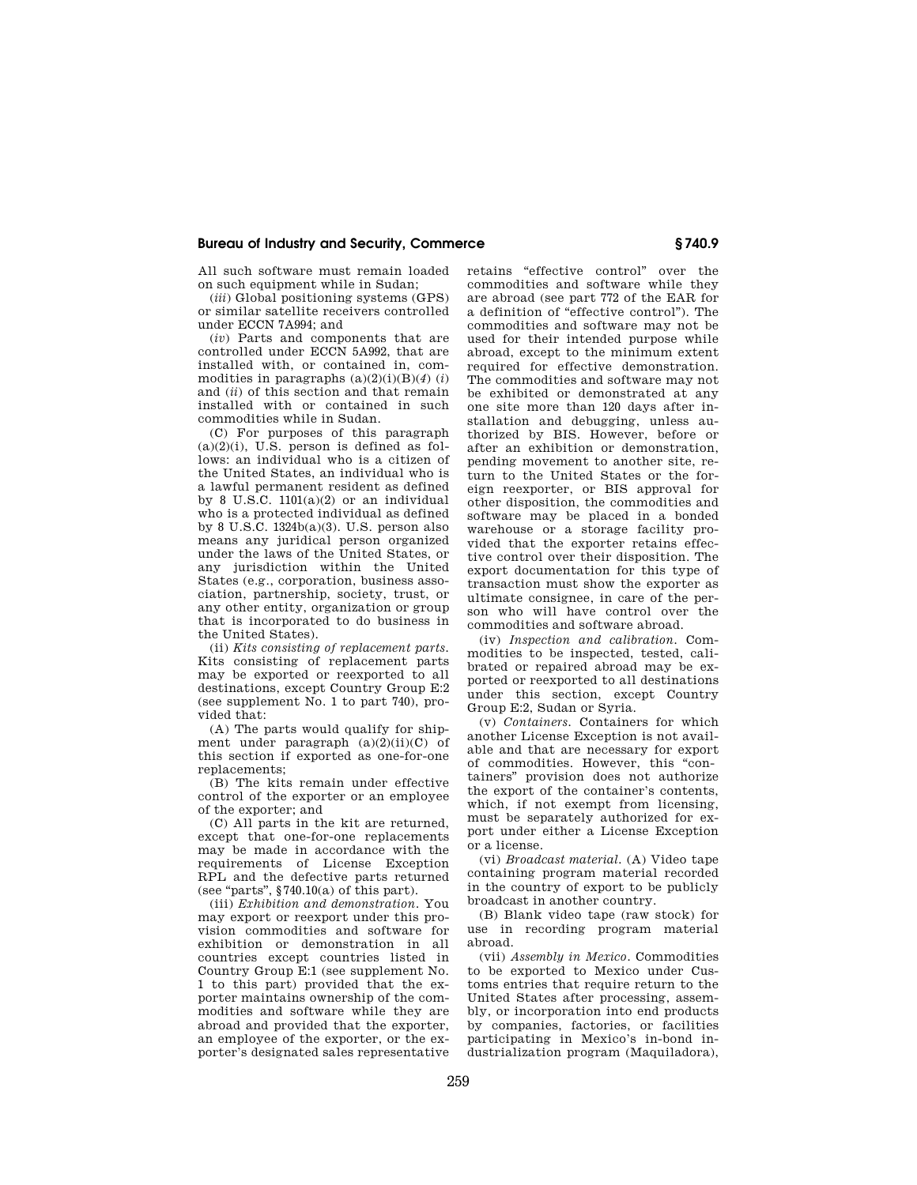All such software must remain loaded on such equipment while in Sudan;

(*iii*) Global positioning systems (GPS) or similar satellite receivers controlled under ECCN 7A994; and

(*iv*) Parts and components that are controlled under ECCN 5A992, that are installed with, or contained in, commodities in paragraphs  $(a)(2)(i)(B)(4)$  (*i*) and (*ii*) of this section and that remain installed with or contained in such commodities while in Sudan.

(C) For purposes of this paragraph  $(a)(2)(i)$ , U.S. person is defined as follows: an individual who is a citizen of the United States, an individual who is a lawful permanent resident as defined by 8 U.S.C.  $1101(a)(2)$  or an individual who is a protected individual as defined by 8 U.S.C. 1324b(a)(3). U.S. person also means any juridical person organized under the laws of the United States, or any jurisdiction within the United States (e.g., corporation, business association, partnership, society, trust, or any other entity, organization or group that is incorporated to do business in the United States).

(ii) *Kits consisting of replacement parts.*  Kits consisting of replacement parts may be exported or reexported to all destinations, except Country Group E:2 (see supplement No. 1 to part 740), provided that:

(A) The parts would qualify for shipment under paragraph  $(a)(2)(ii)(C)$  of this section if exported as one-for-one replacements;

(B) The kits remain under effective control of the exporter or an employee of the exporter; and

(C) All parts in the kit are returned, except that one-for-one replacements may be made in accordance with the requirements of License Exception RPL and the defective parts returned (see "parts",  $§740.10(a)$  of this part).

(iii) *Exhibition and demonstration.* You may export or reexport under this provision commodities and software for exhibition or demonstration in all countries except countries listed in Country Group E:1 (see supplement No. 1 to this part) provided that the exporter maintains ownership of the commodities and software while they are abroad and provided that the exporter, an employee of the exporter, or the exporter's designated sales representative retains "effective control" over the commodities and software while they are abroad (see part 772 of the EAR for a definition of ''effective control''). The commodities and software may not be used for their intended purpose while abroad, except to the minimum extent required for effective demonstration. The commodities and software may not be exhibited or demonstrated at any one site more than 120 days after installation and debugging, unless authorized by BIS. However, before or after an exhibition or demonstration, pending movement to another site, return to the United States or the foreign reexporter, or BIS approval for other disposition, the commodities and software may be placed in a bonded warehouse or a storage facility provided that the exporter retains effective control over their disposition. The export documentation for this type of transaction must show the exporter as ultimate consignee, in care of the person who will have control over the commodities and software abroad.

(iv) *Inspection and calibration.* Commodities to be inspected, tested, calibrated or repaired abroad may be exported or reexported to all destinations under this section, except Country Group E:2, Sudan or Syria.

(v) *Containers.* Containers for which another License Exception is not available and that are necessary for export of commodities. However, this "containers'' provision does not authorize the export of the container's contents, which, if not exempt from licensing, must be separately authorized for export under either a License Exception or a license.

(vi) *Broadcast material.* (A) Video tape containing program material recorded in the country of export to be publicly broadcast in another country.

(B) Blank video tape (raw stock) for use in recording program material abroad.

(vii) *Assembly in Mexico.* Commodities to be exported to Mexico under Customs entries that require return to the United States after processing, assembly, or incorporation into end products by companies, factories, or facilities participating in Mexico's in-bond industrialization program (Maquiladora),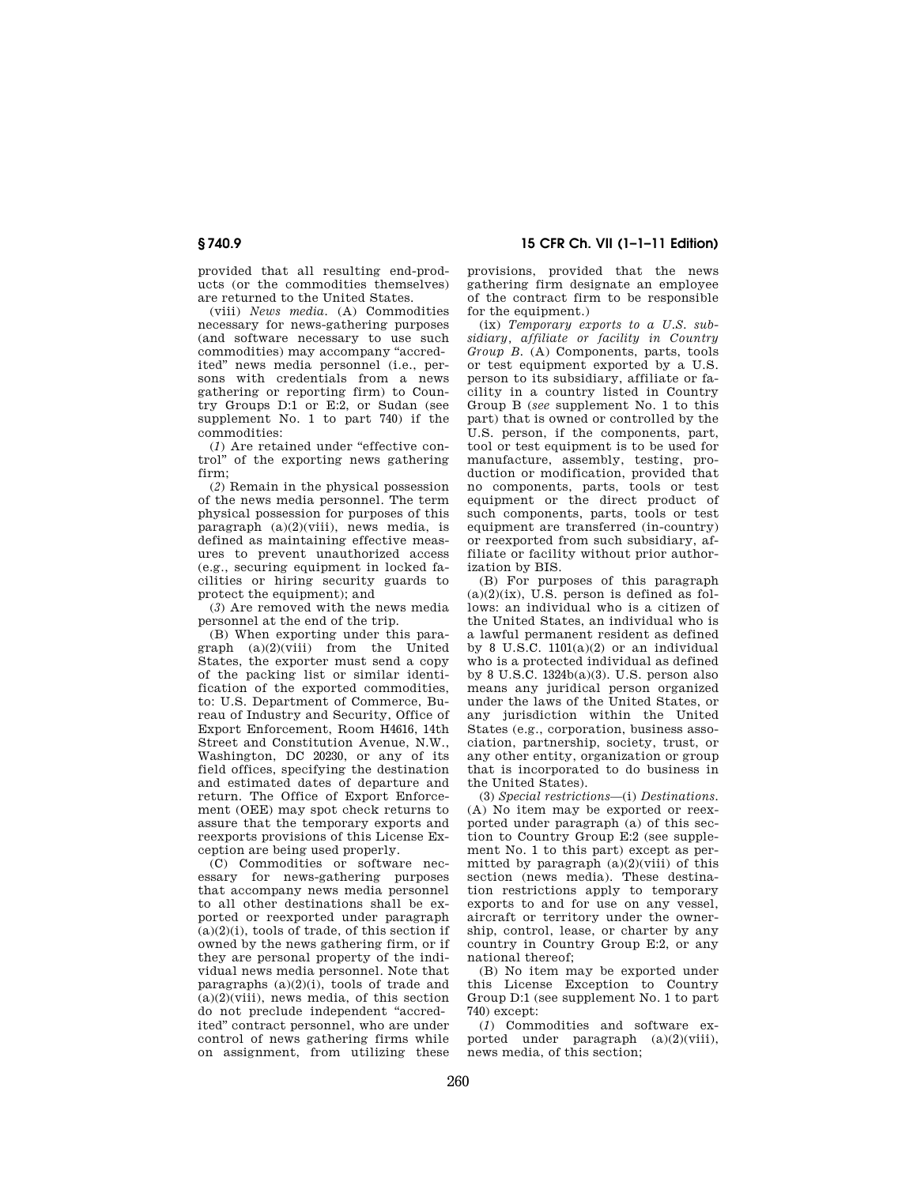provided that all resulting end-products (or the commodities themselves) are returned to the United States.

(viii) *News media.* (A) Commodities necessary for news-gathering purposes (and software necessary to use such commodities) may accompany ''accredited'' news media personnel (i.e., persons with credentials from a news gathering or reporting firm) to Country Groups D:1 or E:2, or Sudan (see supplement No. 1 to part 740) if the commodities:

 $(1)$  Are retained under "effective control'' of the exporting news gathering firm;

(*2*) Remain in the physical possession of the news media personnel. The term physical possession for purposes of this  $\text{param}$  (a)(2)(viii), news media, is defined as maintaining effective measures to prevent unauthorized access (e.g., securing equipment in locked facilities or hiring security guards to protect the equipment); and

(*3*) Are removed with the news media personnel at the end of the trip.

(B) When exporting under this paragraph  $(a)(2)(viii)$  from the United States, the exporter must send a copy of the packing list or similar identification of the exported commodities, to: U.S. Department of Commerce, Bureau of Industry and Security, Office of Export Enforcement, Room H4616, 14th Street and Constitution Avenue, N.W., Washington, DC 20230, or any of its field offices, specifying the destination and estimated dates of departure and return. The Office of Export Enforcement (OEE) may spot check returns to assure that the temporary exports and reexports provisions of this License Exception are being used properly.

(C) Commodities or software necessary for news-gathering purposes that accompany news media personnel to all other destinations shall be exported or reexported under paragraph  $(a)(2)(i)$ , tools of trade, of this section if owned by the news gathering firm, or if they are personal property of the individual news media personnel. Note that paragraphs  $(a)(2)(i)$ , tools of trade and  $(a)(2)(viii)$ , news media, of this section do not preclude independent ''accredited'' contract personnel, who are under control of news gathering firms while on assignment, from utilizing these

**§ 740.9 15 CFR Ch. VII (1–1–11 Edition)** 

provisions, provided that the news gathering firm designate an employee of the contract firm to be responsible for the equipment.)

(ix) *Temporary exports to a U.S. subsidiary, affiliate or facility in Country Group B.* (A) Components, parts, tools or test equipment exported by a U.S. person to its subsidiary, affiliate or facility in a country listed in Country Group B (*see* supplement No. 1 to this part) that is owned or controlled by the U.S. person, if the components, part, tool or test equipment is to be used for manufacture, assembly, testing, production or modification, provided that no components, parts, tools or test equipment or the direct product of such components, parts, tools or test equipment are transferred (in-country) or reexported from such subsidiary, affiliate or facility without prior authorization by BIS.

(B) For purposes of this paragraph  $(a)(2)(ix)$ , U.S. person is defined as follows: an individual who is a citizen of the United States, an individual who is a lawful permanent resident as defined by 8 U.S.C.  $1101(a)(2)$  or an individual who is a protected individual as defined by 8 U.S.C. 1324b(a)(3). U.S. person also means any juridical person organized under the laws of the United States, or any jurisdiction within the United States (e.g., corporation, business association, partnership, society, trust, or any other entity, organization or group that is incorporated to do business in the United States).

(3) *Special restrictions*—(i) *Destinations.*  (A) No item may be exported or reexported under paragraph (a) of this section to Country Group E:2 (see supplement No. 1 to this part) except as permitted by paragraph  $(a)(2)(viii)$  of this section (news media). These destination restrictions apply to temporary exports to and for use on any vessel, aircraft or territory under the ownership, control, lease, or charter by any country in Country Group E:2, or any national thereof;

(B) No item may be exported under this License Exception to Country Group D:1 (see supplement No. 1 to part 740) except:

(*1*) Commodities and software exported under paragraph (a)(2)(viii), news media, of this section;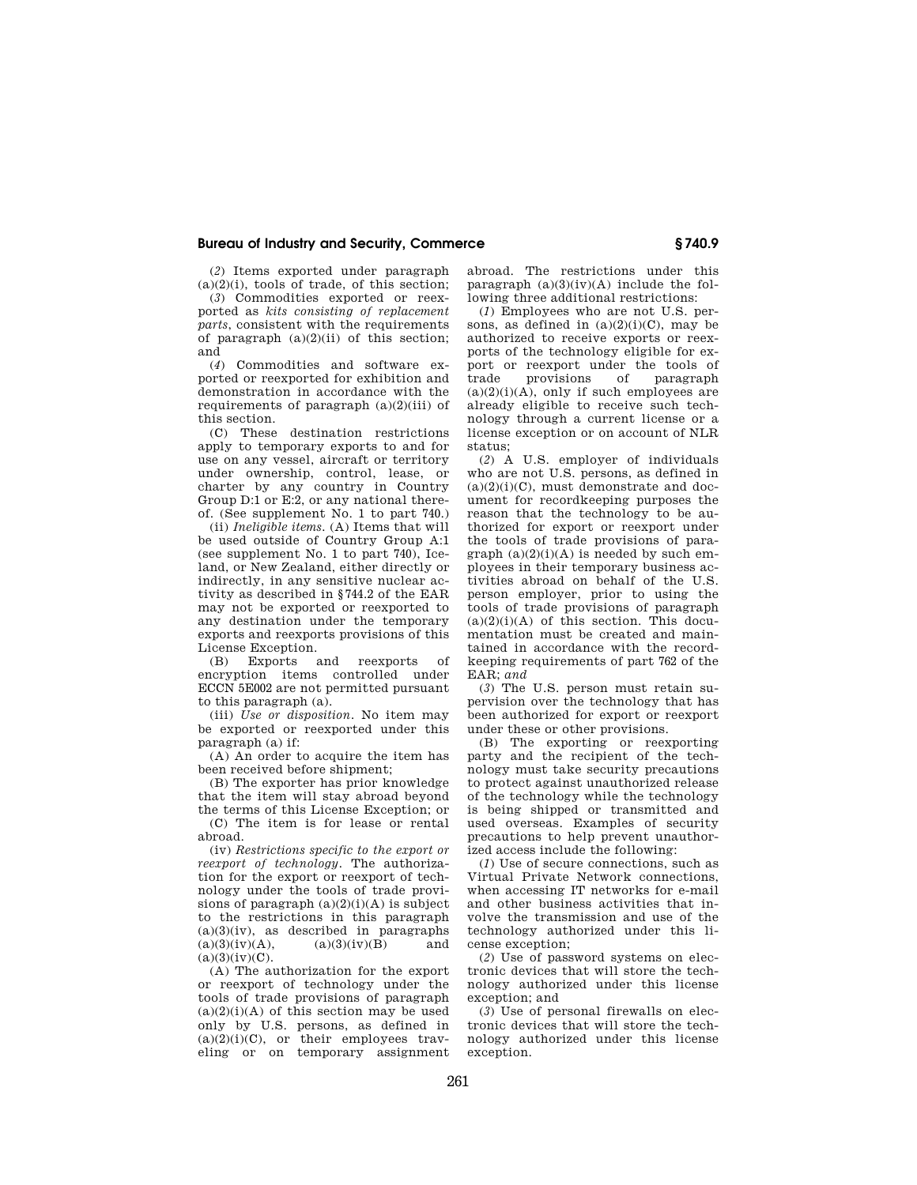(*2*) Items exported under paragraph  $(a)(2)(i)$ , tools of trade, of this section;

(*3*) Commodities exported or reexported as *kits consisting of replacement parts*, consistent with the requirements of paragraph  $(a)(2)(ii)$  of this section; and

(*4*) Commodities and software exported or reexported for exhibition and demonstration in accordance with the requirements of paragraph  $(a)(2)(iii)$  of this section.

(C) These destination restrictions apply to temporary exports to and for use on any vessel, aircraft or territory under ownership, control, lease, or charter by any country in Country Group D:1 or E:2, or any national thereof. (See supplement No. 1 to part 740.)

(ii) *Ineligible items.* (A) Items that will be used outside of Country Group A:1 (see supplement No. 1 to part 740), Iceland, or New Zealand, either directly or indirectly, in any sensitive nuclear activity as described in §744.2 of the EAR may not be exported or reexported to any destination under the temporary exports and reexports provisions of this License Exception.

(B) Exports and reexports of encryption items controlled under ECCN 5E002 are not permitted pursuant to this paragraph (a).

(iii) *Use or disposition.* No item may be exported or reexported under this paragraph (a) if:

 $(A)$  An order to acquire the item has been received before shipment;

(B) The exporter has prior knowledge that the item will stay abroad beyond the terms of this License Exception; or

(C) The item is for lease or rental abroad.

(iv) *Restrictions specific to the export or reexport of technology.* The authorization for the export or reexport of technology under the tools of trade provisions of paragraph  $(a)(2)(i)(A)$  is subject to the restrictions in this paragraph (a)(3)(iv), as described in paragraphs  $(a)(3)(iv)(A)$ ,  $(a)(3)(iv)(B)$  and  $(a)(3)(iv)(A),$  $(a)(3)(iv)(C)$ .

(A) The authorization for the export or reexport of technology under the tools of trade provisions of paragraph  $(a)(2)(i)(A)$  of this section may be used only by U.S. persons, as defined in  $(a)(2)(i)(C)$ , or their employees traveling or on temporary assignment abroad. The restrictions under this paragraph  $(a)(3)(iv)(A)$  include the following three additional restrictions:

(*1*) Employees who are not U.S. persons, as defined in  $(a)(2)(i)(C)$ , may be authorized to receive exports or reexports of the technology eligible for export or reexport under the tools of<br>trade provisions of paragraph trade provisions of paragraph  $(a)(2)(i)(A)$ , only if such employees are already eligible to receive such technology through a current license or a license exception or on account of NLR status;

(*2*) A U.S. employer of individuals who are not U.S. persons, as defined in  $(a)(2)(i)(C)$ , must demonstrate and document for recordkeeping purposes the reason that the technology to be authorized for export or reexport under the tools of trade provisions of paragraph  $(a)(2)(i)(A)$  is needed by such employees in their temporary business activities abroad on behalf of the U.S. person employer, prior to using the tools of trade provisions of paragraph  $(a)(2)(i)(A)$  of this section. This documentation must be created and maintained in accordance with the recordkeeping requirements of part 762 of the EAR; *and* 

(*3*) The U.S. person must retain supervision over the technology that has been authorized for export or reexport under these or other provisions.

(B) The exporting or reexporting party and the recipient of the technology must take security precautions to protect against unauthorized release of the technology while the technology is being shipped or transmitted and used overseas. Examples of security precautions to help prevent unauthorized access include the following:

(*1*) Use of secure connections, such as Virtual Private Network connections, when accessing IT networks for e-mail and other business activities that involve the transmission and use of the technology authorized under this license exception;

(*2*) Use of password systems on electronic devices that will store the technology authorized under this license exception; and

(*3*) Use of personal firewalls on electronic devices that will store the technology authorized under this license exception.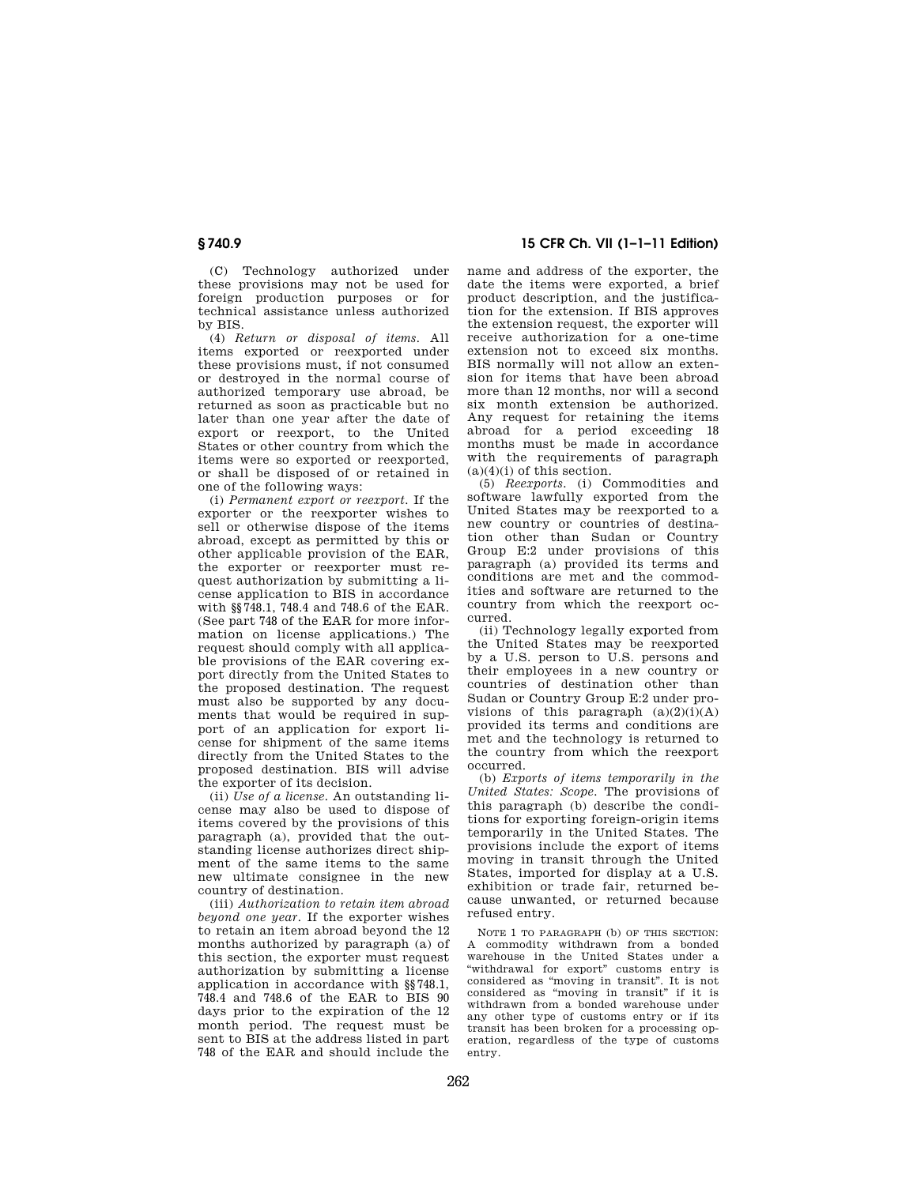(C) Technology authorized under these provisions may not be used for foreign production purposes or for technical assistance unless authorized by BIS.

(4) *Return or disposal of items.* All items exported or reexported under these provisions must, if not consumed or destroyed in the normal course of authorized temporary use abroad, be returned as soon as practicable but no later than one year after the date of export or reexport, to the United States or other country from which the items were so exported or reexported, or shall be disposed of or retained in one of the following ways:

(i) *Permanent export or reexport.* If the exporter or the reexporter wishes to sell or otherwise dispose of the items abroad, except as permitted by this or other applicable provision of the EAR, the exporter or reexporter must request authorization by submitting a license application to BIS in accordance with §§748.1, 748.4 and 748.6 of the EAR. (See part 748 of the EAR for more information on license applications.) The request should comply with all applicable provisions of the EAR covering export directly from the United States to the proposed destination. The request must also be supported by any documents that would be required in support of an application for export license for shipment of the same items directly from the United States to the proposed destination. BIS will advise the exporter of its decision.

(ii) *Use of a license.* An outstanding license may also be used to dispose of items covered by the provisions of this paragraph (a), provided that the outstanding license authorizes direct shipment of the same items to the same new ultimate consignee in the new country of destination.

(iii) *Authorization to retain item abroad beyond one year.* If the exporter wishes to retain an item abroad beyond the 12 months authorized by paragraph (a) of this section, the exporter must request authorization by submitting a license application in accordance with §§748.1, 748.4 and 748.6 of the EAR to BIS 90 days prior to the expiration of the 12 month period. The request must be sent to BIS at the address listed in part 748 of the EAR and should include the

**§ 740.9 15 CFR Ch. VII (1–1–11 Edition)** 

name and address of the exporter, the date the items were exported, a brief product description, and the justification for the extension. If BIS approves the extension request, the exporter will receive authorization for a one-time extension not to exceed six months. BIS normally will not allow an extension for items that have been abroad more than 12 months, nor will a second six month extension be authorized. Any request for retaining the items abroad for a period exceeding 18 months must be made in accordance with the requirements of paragraph  $(a)(4)(i)$  of this section.

(5) *Reexports.* (i) Commodities and software lawfully exported from the United States may be reexported to a new country or countries of destination other than Sudan or Country Group E:2 under provisions of this paragraph (a) provided its terms and conditions are met and the commodities and software are returned to the country from which the reexport occurred.

(ii) Technology legally exported from the United States may be reexported by a U.S. person to U.S. persons and their employees in a new country or countries of destination other than Sudan or Country Group E:2 under provisions of this paragraph  $(a)(2)(i)(A)$ provided its terms and conditions are met and the technology is returned to the country from which the reexport occurred.

(b) *Exports of items temporarily in the United States: Scope.* The provisions of this paragraph (b) describe the conditions for exporting foreign-origin items temporarily in the United States. The provisions include the export of items moving in transit through the United States, imported for display at a U.S. exhibition or trade fair, returned because unwanted, or returned because refused entry.

NOTE 1 TO PARAGRAPH (b) OF THIS SECTION: A commodity withdrawn from a bonded warehouse in the United States under a ''withdrawal for export'' customs entry is considered as ''moving in transit''. It is not considered as ''moving in transit'' if it is withdrawn from a bonded warehouse under any other type of customs entry or if its transit has been broken for a processing operation, regardless of the type of customs entry.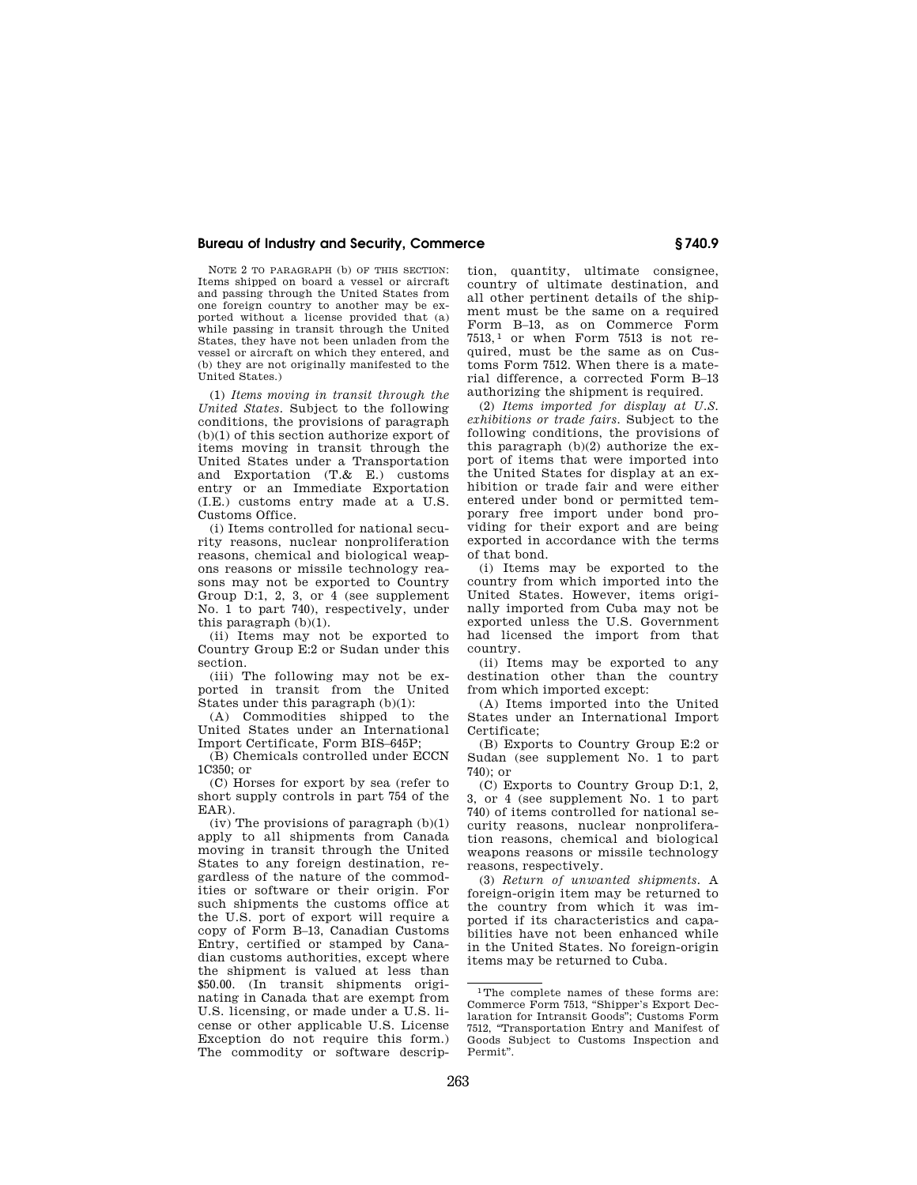NOTE 2 TO PARAGRAPH (b) OF THIS SECTION: Items shipped on board a vessel or aircraft and passing through the United States from one foreign country to another may be exported without a license provided that (a) while passing in transit through the United States, they have not been unladen from the vessel or aircraft on which they entered, and (b) they are not originally manifested to the United States.)

(1) *Items moving in transit through the United States.* Subject to the following conditions, the provisions of paragraph (b)(1) of this section authorize export of items moving in transit through the United States under a Transportation and Exportation (T.& E.) customs entry or an Immediate Exportation (I.E.) customs entry made at a U.S. Customs Office.

(i) Items controlled for national security reasons, nuclear nonproliferation reasons, chemical and biological weapons reasons or missile technology reasons may not be exported to Country Group D:1, 2, 3, or 4 (see supplement No. 1 to part 740), respectively, under this paragraph (b)(1).

(ii) Items may not be exported to Country Group E:2 or Sudan under this section.

(iii) The following may not be exported in transit from the United States under this paragraph (b)(1):

(A) Commodities shipped to the United States under an International Import Certificate, Form BIS–645P;

(B) Chemicals controlled under ECCN 1C350; or

(C) Horses for export by sea (refer to short supply controls in part 754 of the EAR).

(iv) The provisions of paragraph  $(b)(1)$ apply to all shipments from Canada moving in transit through the United States to any foreign destination, regardless of the nature of the commodities or software or their origin. For such shipments the customs office at the U.S. port of export will require a copy of Form B–13, Canadian Customs Entry, certified or stamped by Canadian customs authorities, except where the shipment is valued at less than \$50.00. (In transit shipments originating in Canada that are exempt from U.S. licensing, or made under a U.S. license or other applicable U.S. License Exception do not require this form.) The commodity or software description, quantity, ultimate consignee, country of ultimate destination, and all other pertinent details of the shipment must be the same on a required Form B–13, as on Commerce Form  $7513$ ,<sup>1</sup> or when Form  $7513$  is not required, must be the same as on Customs Form 7512. When there is a material difference, a corrected Form B–13 authorizing the shipment is required.

(2) *Items imported for display at U.S. exhibitions or trade fairs.* Subject to the following conditions, the provisions of this paragraph (b)(2) authorize the export of items that were imported into the United States for display at an exhibition or trade fair and were either entered under bond or permitted temporary free import under bond providing for their export and are being exported in accordance with the terms of that bond.

(i) Items may be exported to the country from which imported into the United States. However, items originally imported from Cuba may not be exported unless the U.S. Government had licensed the import from that country.

(ii) Items may be exported to any destination other than the country from which imported except:

(A) Items imported into the United States under an International Import Certificate;

(B) Exports to Country Group E:2 or Sudan (see supplement No. 1 to part  $740$ <sup>c</sup> or

(C) Exports to Country Group D:1, 2, 3, or 4 (see supplement No. 1 to part 740) of items controlled for national security reasons, nuclear nonproliferation reasons, chemical and biological weapons reasons or missile technology reasons, respectively.

(3) *Return of unwanted shipments.* A foreign-origin item may be returned to the country from which it was imported if its characteristics and capabilities have not been enhanced while in the United States. No foreign-origin items may be returned to Cuba.

<sup>1</sup>The complete names of these forms are: Commerce Form 7513, ''Shipper's Export Declaration for Intransit Goods''; Customs Form 7512, ''Transportation Entry and Manifest of Goods Subject to Customs Inspection and Permit''.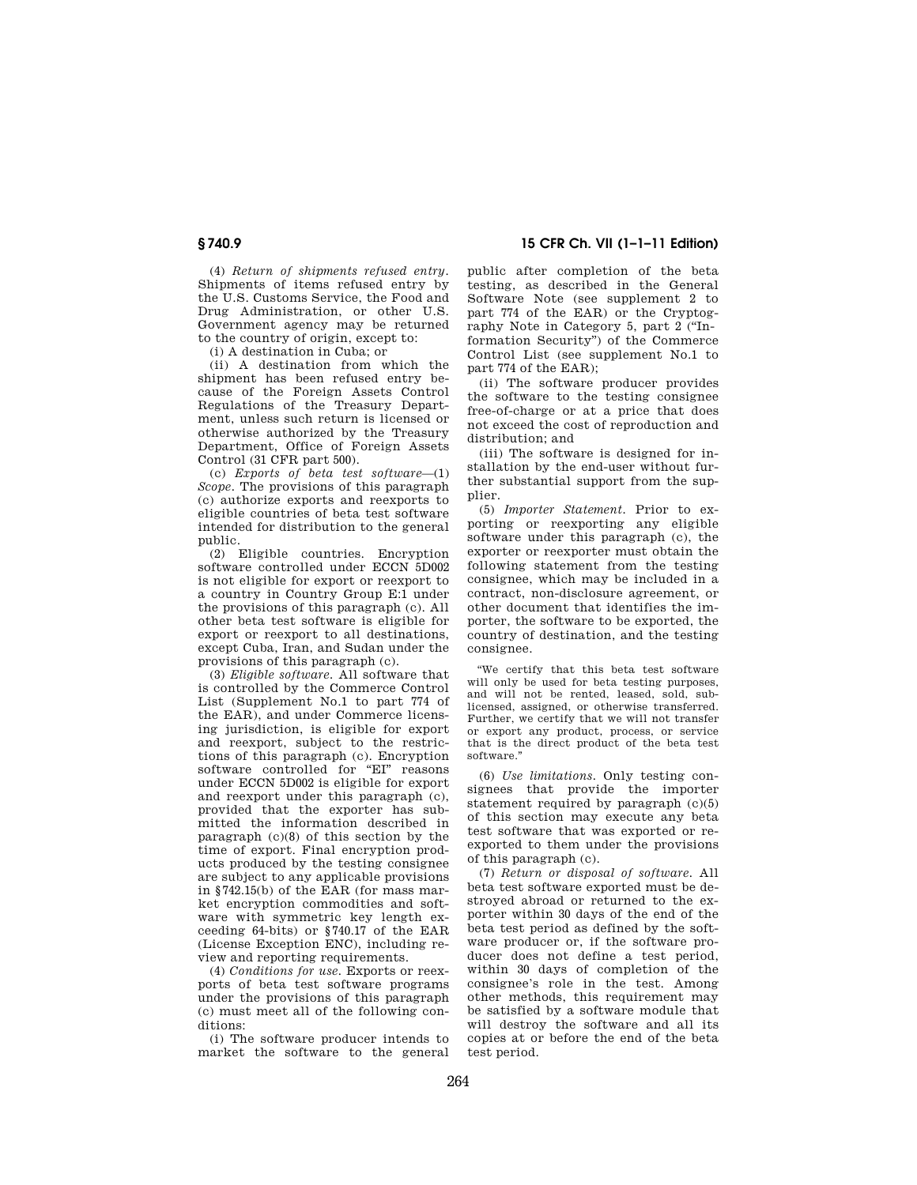(4) *Return of shipments refused entry.*  Shipments of items refused entry by the U.S. Customs Service, the Food and Drug Administration, or other U.S. Government agency may be returned to the country of origin, except to:

(i) A destination in Cuba; or

(ii) A destination from which the shipment has been refused entry because of the Foreign Assets Control Regulations of the Treasury Department, unless such return is licensed or otherwise authorized by the Treasury Department, Office of Foreign Assets Control (31 CFR part 500).

(c) *Exports of beta test software*—(1) *Scope.* The provisions of this paragraph (c) authorize exports and reexports to eligible countries of beta test software intended for distribution to the general public.

(2) Eligible countries. Encryption software controlled under ECCN 5D002 is not eligible for export or reexport to a country in Country Group E:1 under the provisions of this paragraph (c). All other beta test software is eligible for export or reexport to all destinations, except Cuba, Iran, and Sudan under the provisions of this paragraph (c).

(3) *Eligible software.* All software that is controlled by the Commerce Control List (Supplement No.1 to part 774 of the EAR), and under Commerce licensing jurisdiction, is eligible for export and reexport, subject to the restrictions of this paragraph (c). Encryption software controlled for "EI" reasons under ECCN 5D002 is eligible for export and reexport under this paragraph (c), provided that the exporter has submitted the information described in paragraph (c)(8) of this section by the time of export. Final encryption products produced by the testing consignee are subject to any applicable provisions in §742.15(b) of the EAR (for mass market encryption commodities and software with symmetric key length exceeding 64-bits) or §740.17 of the EAR (License Exception ENC), including review and reporting requirements.

(4) *Conditions for use.* Exports or reexports of beta test software programs under the provisions of this paragraph (c) must meet all of the following conditions:

(i) The software producer intends to market the software to the general

**§ 740.9 15 CFR Ch. VII (1–1–11 Edition)** 

public after completion of the beta testing, as described in the General Software Note (see supplement 2 to part 774 of the EAR) or the Cryptography Note in Category 5, part 2 (''Information Security'') of the Commerce Control List (see supplement No.1 to part 774 of the EAR);

(ii) The software producer provides the software to the testing consignee free-of-charge or at a price that does not exceed the cost of reproduction and distribution; and

(iii) The software is designed for installation by the end-user without further substantial support from the supplier.

(5) *Importer Statement.* Prior to exporting or reexporting any eligible software under this paragraph (c), the exporter or reexporter must obtain the following statement from the testing consignee, which may be included in a contract, non-disclosure agreement, or other document that identifies the importer, the software to be exported, the country of destination, and the testing consignee.

''We certify that this beta test software will only be used for beta testing purposes, and will not be rented, leased, sold, sublicensed, assigned, or otherwise transferred. Further, we certify that we will not transfer or export any product, process, or service that is the direct product of the beta test software.''

(6) *Use limitations.* Only testing consignees that provide the importer statement required by paragraph (c)(5) of this section may execute any beta test software that was exported or reexported to them under the provisions of this paragraph (c).

(7) *Return or disposal of software.* All beta test software exported must be destroyed abroad or returned to the exporter within 30 days of the end of the beta test period as defined by the software producer or, if the software producer does not define a test period, within 30 days of completion of the consignee's role in the test. Among other methods, this requirement may be satisfied by a software module that will destroy the software and all its copies at or before the end of the beta test period.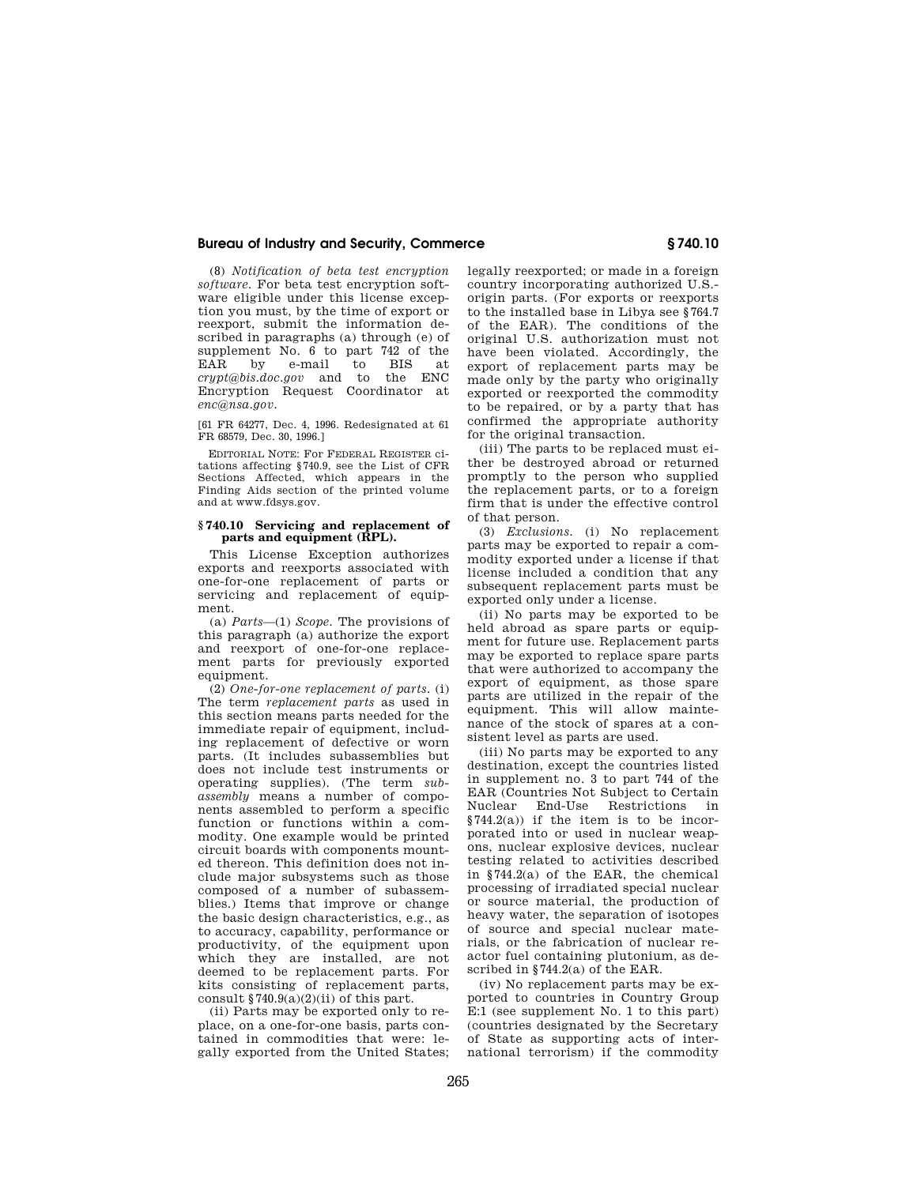(8) *Notification of beta test encryption software.* For beta test encryption software eligible under this license exception you must, by the time of export or reexport, submit the information described in paragraphs (a) through (e) of supplement No. 6 to part 742 of the<br>EAR by e-mail to BIS at EAR by e-mail to BIS at *crypt@bis.doc.gov* and to the ENC Encryption Request Coordinator at *enc@nsa.gov.* 

[61 FR 64277, Dec. 4, 1996. Redesignated at 61 FR 68579, Dec. 30, 1996.]

EDITORIAL NOTE: For FEDERAL REGISTER citations affecting §740.9, see the List of CFR Sections Affected, which appears in the Finding Aids section of the printed volume and at www.fdsys.gov.

#### **§ 740.10 Servicing and replacement of parts and equipment (RPL).**

This License Exception authorizes exports and reexports associated with one-for-one replacement of parts or servicing and replacement of equipment.

(a) *Parts*—(1) *Scope.* The provisions of this paragraph (a) authorize the export and reexport of one-for-one replacement parts for previously exported equipment.

(2) *One-for-one replacement of parts.* (i) The term *replacement parts* as used in this section means parts needed for the immediate repair of equipment, including replacement of defective or worn parts. (It includes subassemblies but does not include test instruments or operating supplies). (The term *subassembly* means a number of components assembled to perform a specific function or functions within a commodity. One example would be printed circuit boards with components mounted thereon. This definition does not include major subsystems such as those composed of a number of subassemblies.) Items that improve or change the basic design characteristics, e.g., as to accuracy, capability, performance or productivity, of the equipment upon which they are installed, are not deemed to be replacement parts. For kits consisting of replacement parts, consult  $$740.9(a)(2)(ii)$  of this part.

(ii) Parts may be exported only to replace, on a one-for-one basis, parts contained in commodities that were: legally exported from the United States; legally reexported; or made in a foreign country incorporating authorized U.S. origin parts. (For exports or reexports to the installed base in Libya see §764.7 of the EAR). The conditions of the original U.S. authorization must not have been violated. Accordingly, the export of replacement parts may be made only by the party who originally exported or reexported the commodity to be repaired, or by a party that has confirmed the appropriate authority for the original transaction.

(iii) The parts to be replaced must either be destroyed abroad or returned promptly to the person who supplied the replacement parts, or to a foreign firm that is under the effective control of that person.

(3) *Exclusions.* (i) No replacement parts may be exported to repair a commodity exported under a license if that license included a condition that any subsequent replacement parts must be exported only under a license.

(ii) No parts may be exported to be held abroad as spare parts or equipment for future use. Replacement parts may be exported to replace spare parts that were authorized to accompany the export of equipment, as those spare parts are utilized in the repair of the equipment. This will allow maintenance of the stock of spares at a consistent level as parts are used.

(iii) No parts may be exported to any destination, except the countries listed in supplement no. 3 to part 744 of the EAR (Countries Not Subject to Certain Nuclear End-Use Restrictions in  $§744.2(a)$ ) if the item is to be incorporated into or used in nuclear weapons, nuclear explosive devices, nuclear testing related to activities described in §744.2(a) of the EAR, the chemical processing of irradiated special nuclear or source material, the production of heavy water, the separation of isotopes of source and special nuclear materials, or the fabrication of nuclear reactor fuel containing plutonium, as described in §744.2(a) of the EAR.

(iv) No replacement parts may be exported to countries in Country Group E:1 (see supplement No. 1 to this part) (countries designated by the Secretary of State as supporting acts of international terrorism) if the commodity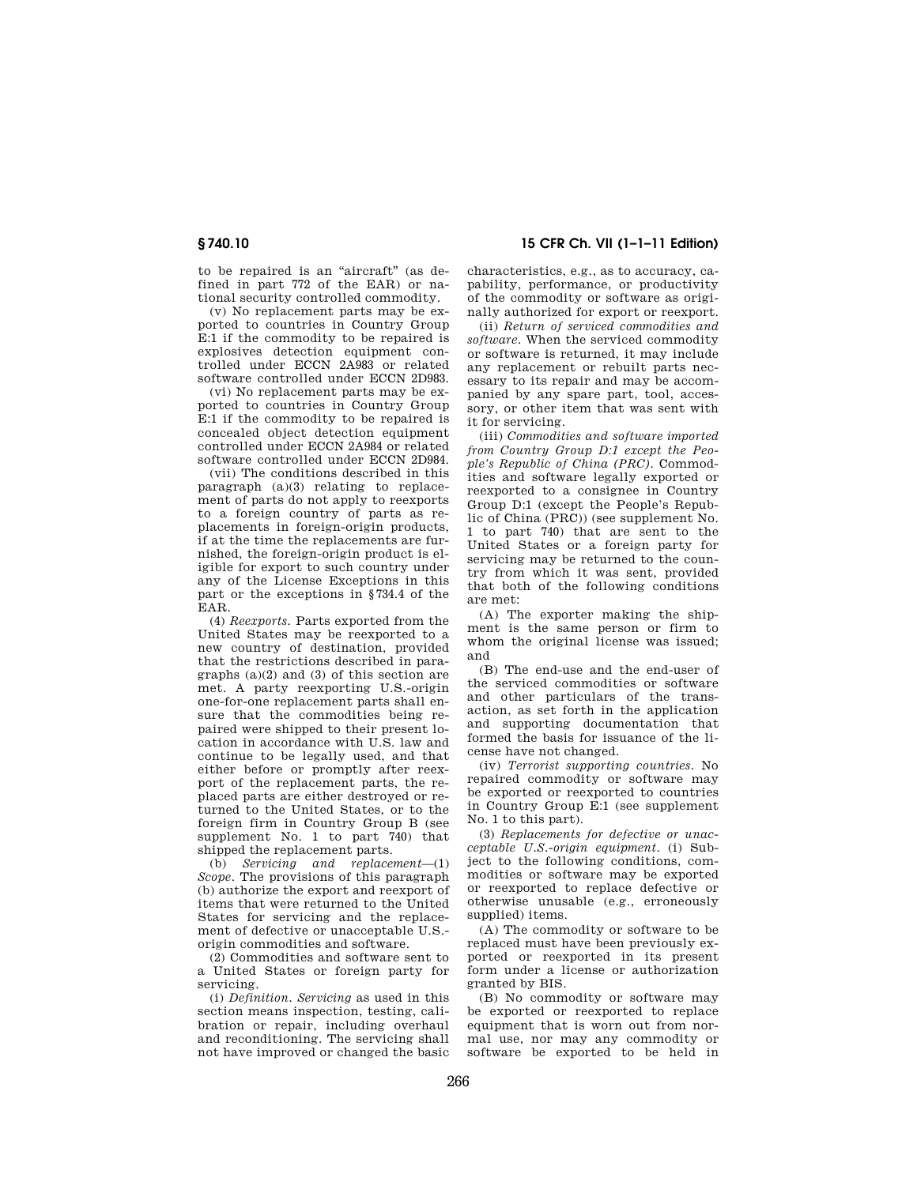to be repaired is an "aircraft" (as defined in part 772 of the EAR) or national security controlled commodity.

(v) No replacement parts may be exported to countries in Country Group E:1 if the commodity to be repaired is explosives detection equipment controlled under ECCN 2A983 or related software controlled under ECCN 2D983.

(vi) No replacement parts may be exported to countries in Country Group E:1 if the commodity to be repaired is concealed object detection equipment controlled under ECCN 2A984 or related software controlled under ECCN 2D984.

(vii) The conditions described in this paragraph (a)(3) relating to replacement of parts do not apply to reexports to a foreign country of parts as replacements in foreign-origin products, if at the time the replacements are furnished, the foreign-origin product is eligible for export to such country under any of the License Exceptions in this part or the exceptions in §734.4 of the EAR.

(4) *Reexports.* Parts exported from the United States may be reexported to a new country of destination, provided that the restrictions described in paragraphs (a)(2) and (3) of this section are met. A party reexporting U.S.-origin one-for-one replacement parts shall ensure that the commodities being repaired were shipped to their present location in accordance with U.S. law and continue to be legally used, and that either before or promptly after reexport of the replacement parts, the replaced parts are either destroyed or returned to the United States, or to the foreign firm in Country Group B (see supplement No. 1 to part 740) that shipped the replacement parts.

(b) *Servicing and replacement*—(1) *Scope.* The provisions of this paragraph (b) authorize the export and reexport of items that were returned to the United States for servicing and the replacement of defective or unacceptable U.S. origin commodities and software.

(2) Commodities and software sent to a United States or foreign party for servicing.

(i) *Definition. Servicing* as used in this section means inspection, testing, calibration or repair, including overhaul and reconditioning. The servicing shall not have improved or changed the basic characteristics, e.g., as to accuracy, capability, performance, or productivity of the commodity or software as originally authorized for export or reexport.

(ii) *Return of serviced commodities and software.* When the serviced commodity or software is returned, it may include any replacement or rebuilt parts necessary to its repair and may be accompanied by any spare part, tool, accessory, or other item that was sent with it for servicing.

(iii) *Commodities and software imported from Country Group D:1 except the People's Republic of China (PRC).* Commodities and software legally exported or reexported to a consignee in Country Group D:1 (except the People's Republic of China (PRC)) (see supplement No. 1 to part 740) that are sent to the United States or a foreign party for servicing may be returned to the country from which it was sent, provided that both of the following conditions are met:

(A) The exporter making the shipment is the same person or firm to whom the original license was issued; and

(B) The end-use and the end-user of the serviced commodities or software and other particulars of the transaction, as set forth in the application and supporting documentation that formed the basis for issuance of the license have not changed.

(iv) *Terrorist supporting countries.* No repaired commodity or software may be exported or reexported to countries in Country Group E:1 (see supplement No. 1 to this part).

(3) *Replacements for defective or unacceptable U.S.-origin equipment.* (i) Subject to the following conditions, commodities or software may be exported or reexported to replace defective or otherwise unusable (e.g., erroneously supplied) items.

(A) The commodity or software to be replaced must have been previously exported or reexported in its present form under a license or authorization granted by BIS.

(B) No commodity or software may be exported or reexported to replace equipment that is worn out from normal use, nor may any commodity or software be exported to be held in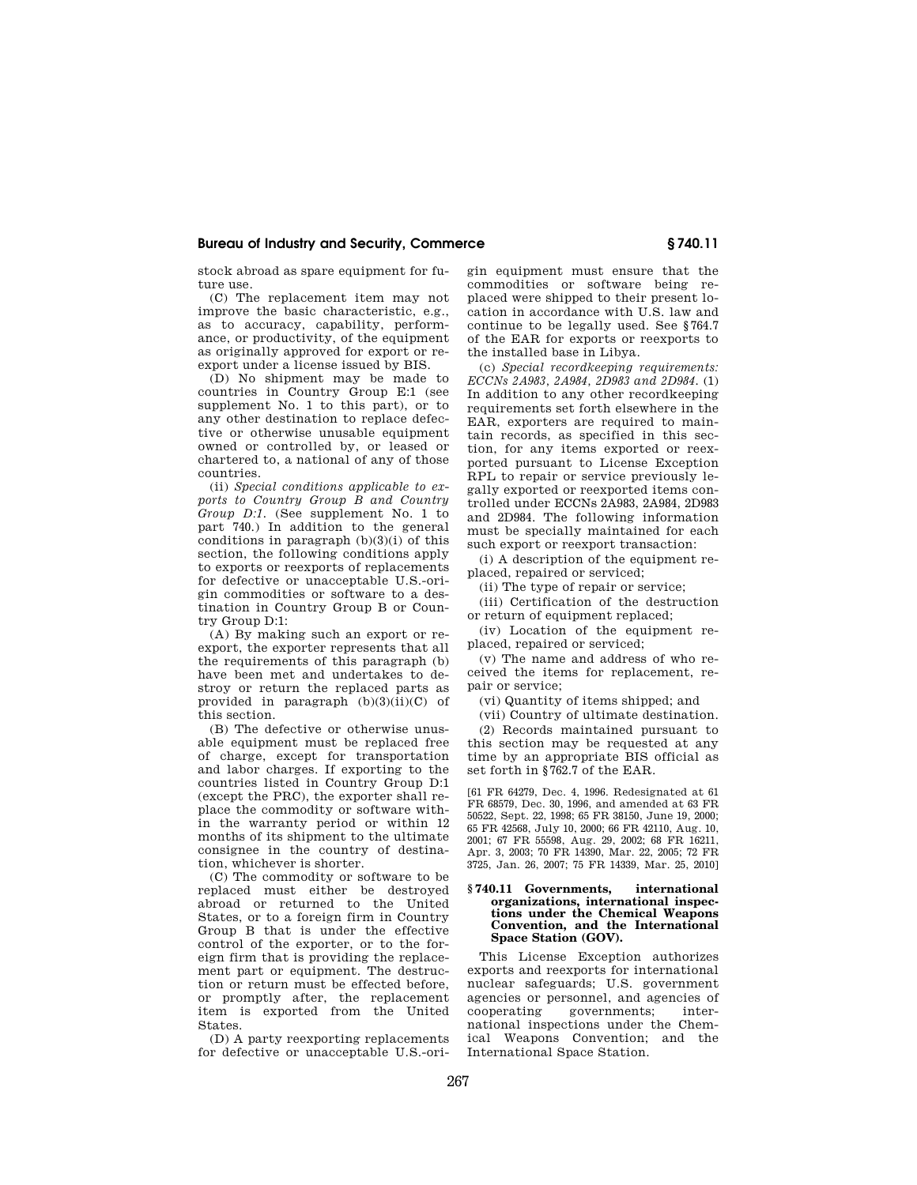stock abroad as spare equipment for future use.

(C) The replacement item may not improve the basic characteristic, e.g., as to accuracy, capability, performance, or productivity, of the equipment as originally approved for export or reexport under a license issued by BIS.

(D) No shipment may be made to countries in Country Group E:1 (see supplement No. 1 to this part), or to any other destination to replace defective or otherwise unusable equipment owned or controlled by, or leased or chartered to, a national of any of those countries.

(ii) *Special conditions applicable to exports to Country Group B and Country Group D:1.* (See supplement No. 1 to part 740.) In addition to the general conditions in paragraph  $(b)(3)(i)$  of this section, the following conditions apply to exports or reexports of replacements for defective or unacceptable U.S.-origin commodities or software to a destination in Country Group B or Country Group D:1:

(A) By making such an export or reexport, the exporter represents that all the requirements of this paragraph (b) have been met and undertakes to destroy or return the replaced parts as provided in paragraph  $(b)(3)(ii)(C)$  of this section.

(B) The defective or otherwise unusable equipment must be replaced free of charge, except for transportation and labor charges. If exporting to the countries listed in Country Group D:1 (except the PRC), the exporter shall replace the commodity or software within the warranty period or within 12 months of its shipment to the ultimate consignee in the country of destination, whichever is shorter.

(C) The commodity or software to be replaced must either be destroyed abroad or returned to the United States, or to a foreign firm in Country Group B that is under the effective control of the exporter, or to the foreign firm that is providing the replacement part or equipment. The destruction or return must be effected before, or promptly after, the replacement item is exported from the United States.

(D) A party reexporting replacements for defective or unacceptable U.S.-origin equipment must ensure that the commodities or software being replaced were shipped to their present location in accordance with U.S. law and continue to be legally used. See §764.7 of the EAR for exports or reexports to the installed base in Libya.

(c) *Special recordkeeping requirements: ECCNs 2A983, 2A984, 2D983 and 2D984.* (1) In addition to any other recordkeeping requirements set forth elsewhere in the EAR, exporters are required to maintain records, as specified in this section, for any items exported or reexported pursuant to License Exception RPL to repair or service previously legally exported or reexported items controlled under ECCNs 2A983, 2A984, 2D983 and 2D984. The following information must be specially maintained for each such export or reexport transaction:

(i) A description of the equipment replaced, repaired or serviced;

(ii) The type of repair or service;

(iii) Certification of the destruction or return of equipment replaced;

(iv) Location of the equipment replaced, repaired or serviced;

(v) The name and address of who received the items for replacement, repair or service;

(vi) Quantity of items shipped; and

(vii) Country of ultimate destination. (2) Records maintained pursuant to

this section may be requested at any time by an appropriate BIS official as set forth in §762.7 of the EAR.

[61 FR 64279, Dec. 4, 1996. Redesignated at 61 FR 68579, Dec. 30, 1996, and amended at 63 FR 50522, Sept. 22, 1998; 65 FR 38150, June 19, 2000; 65 FR 42568, July 10, 2000; 66 FR 42110, Aug. 10, 2001; 67 FR 55598, Aug. 29, 2002; 68 FR 16211, Apr. 3, 2003; 70 FR 14390, Mar. 22, 2005; 72 FR 3725, Jan. 26, 2007; 75 FR 14339, Mar. 25, 2010]

#### **§ 740.11 Governments, international organizations, international inspections under the Chemical Weapons Convention, and the International Space Station (GOV).**

This License Exception authorizes exports and reexports for international nuclear safeguards; U.S. government agencies or personnel, and agencies of cooperating governments; international inspections under the Chemical Weapons Convention; and the International Space Station.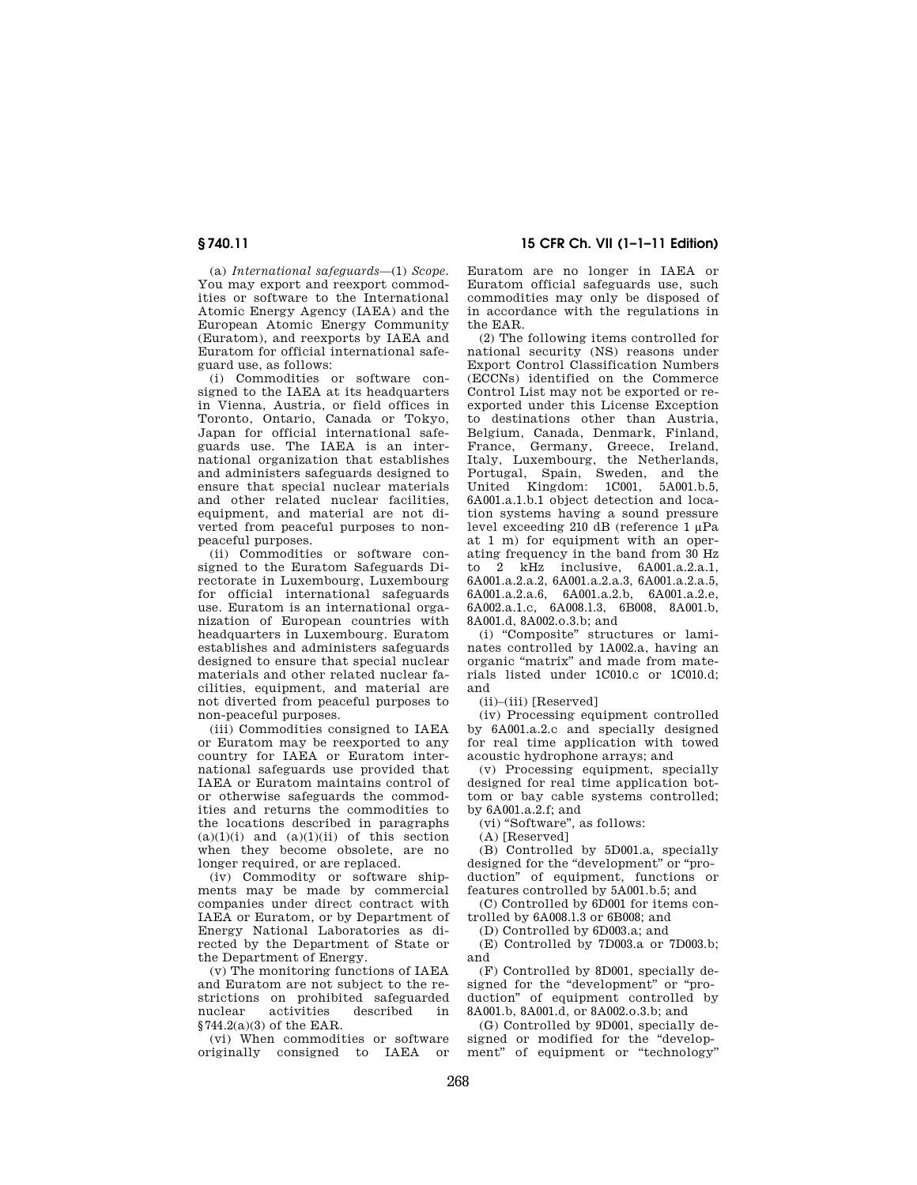(a) *International safeguards*—(1) *Scope.*  You may export and reexport commodities or software to the International Atomic Energy Agency (IAEA) and the European Atomic Energy Community (Euratom), and reexports by IAEA and Euratom for official international safeguard use, as follows:

(i) Commodities or software consigned to the IAEA at its headquarters in Vienna, Austria, or field offices in Toronto, Ontario, Canada or Tokyo, Japan for official international safeguards use. The IAEA is an international organization that establishes and administers safeguards designed to ensure that special nuclear materials and other related nuclear facilities, equipment, and material are not diverted from peaceful purposes to nonpeaceful purposes.

(ii) Commodities or software consigned to the Euratom Safeguards Directorate in Luxembourg, Luxembourg for official international safeguards use. Euratom is an international organization of European countries with headquarters in Luxembourg. Euratom establishes and administers safeguards designed to ensure that special nuclear materials and other related nuclear facilities, equipment, and material are not diverted from peaceful purposes to non-peaceful purposes.

(iii) Commodities consigned to IAEA or Euratom may be reexported to any country for IAEA or Euratom international safeguards use provided that IAEA or Euratom maintains control of or otherwise safeguards the commodities and returns the commodities to the locations described in paragraphs  $(a)(1)(i)$  and  $(a)(1)(ii)$  of this section when they become obsolete, are no longer required, or are replaced.

(iv) Commodity or software shipments may be made by commercial companies under direct contract with IAEA or Euratom, or by Department of Energy National Laboratories as directed by the Department of State or the Department of Energy.

(v) The monitoring functions of IAEA and Euratom are not subject to the restrictions on prohibited safeguarded activities  $$744.2(a)(3)$  of the EAR.

(vi) When commodities or software originally consigned to IAEA or

**§ 740.11 15 CFR Ch. VII (1–1–11 Edition)** 

Euratom are no longer in IAEA or Euratom official safeguards use, such commodities may only be disposed of in accordance with the regulations in the EAR.

(2) The following items controlled for national security (NS) reasons under Export Control Classification Numbers (ECCNs) identified on the Commerce Control List may not be exported or reexported under this License Exception to destinations other than Austria, Belgium, Canada, Denmark, Finland, France, Germany, Greece, Ireland, Italy, Luxembourg, the Netherlands, Portugal, Spain, Sweden, and the United Kingdom: 1C001, 5A001.b.5, 6A001.a.1.b.1 object detection and location systems having a sound pressure level exceeding 210 dB (reference 1 μPa at 1 m) for equipment with an operating frequency in the band from 30 Hz to 2 kHz inclusive, 6A001.a.2.a.1, 6A001.a.2.a.2, 6A001.a.2.a.3, 6A001.a.2.a.5, 6A001.a.2.a.6, 6A001.a.2.b, 6A001.a.2.e, 6A002.a.1.c, 6A008.l.3, 6B008, 8A001.b, 8A001.d, 8A002.o.3.b; and

(i) ''Composite'' structures or laminates controlled by 1A002.a, having an organic ''matrix'' and made from materials listed under 1C010.c or 1C010.d; and

(ii)–(iii) [Reserved]

(iv) Processing equipment controlled by 6A001.a.2.c and specially designed for real time application with towed acoustic hydrophone arrays; and

(v) Processing equipment, specially designed for real time application bottom or bay cable systems controlled; by 6A001.a.2.f; and

(vi) ''Software'', as follows:

(A) [Reserved]

(B) Controlled by 5D001.a, specially designed for the "development" or "production'' of equipment, functions or features controlled by 5A001.b.5; and

(C) Controlled by 6D001 for items controlled by 6A008.l.3 or 6B008; and

(D) Controlled by 6D003.a; and

(E) Controlled by 7D003.a or 7D003.b; and

(F) Controlled by 8D001, specially designed for the "development" or "production'' of equipment controlled by 8A001.b, 8A001.d, or 8A002.o.3.b; and

(G) Controlled by 9D001, specially designed or modified for the ''development" of equipment or "technology"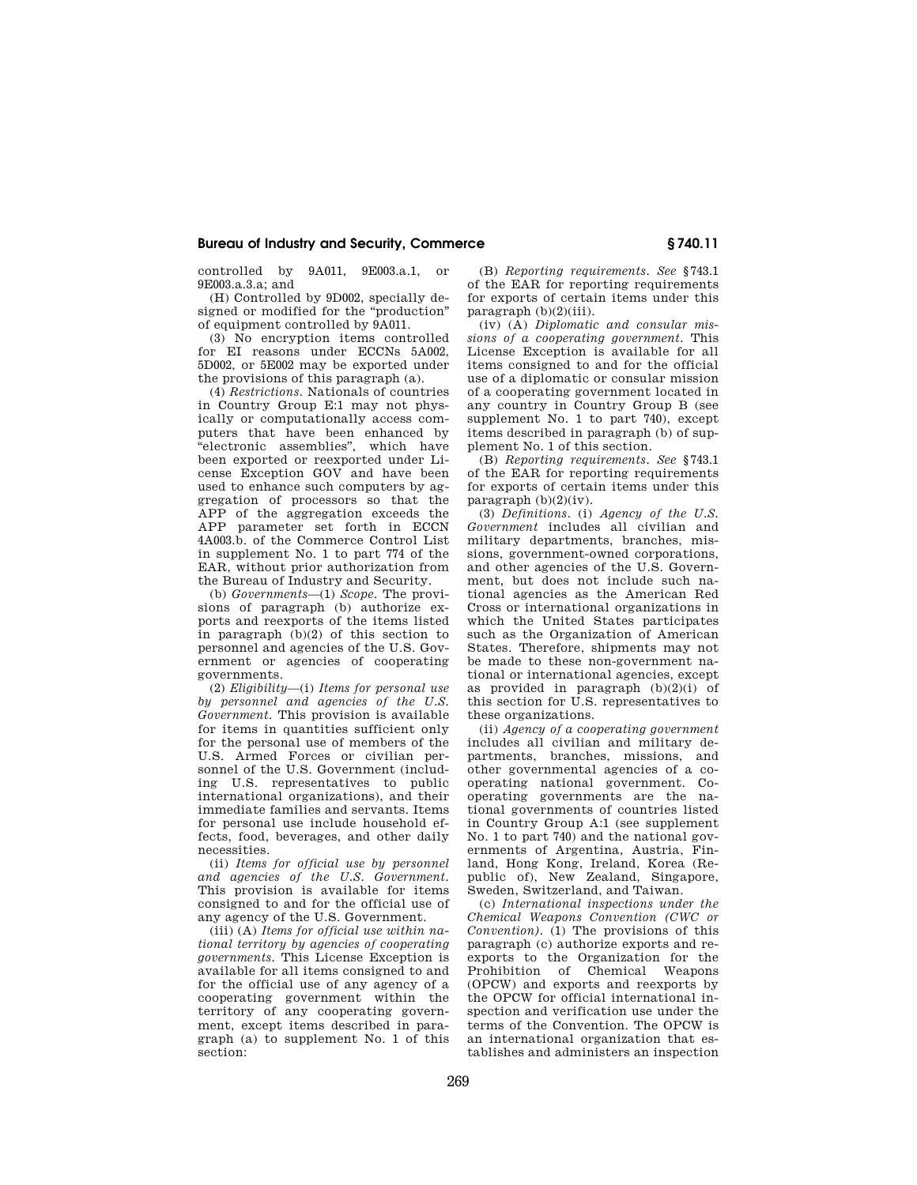controlled by 9A011, 9E003.a.1, or 9E003.a.3.a; and

(H) Controlled by 9D002, specially designed or modified for the ''production'' of equipment controlled by 9A011.

(3) No encryption items controlled for EI reasons under ECCNs 5A002, 5D002, or 5E002 may be exported under the provisions of this paragraph (a).

(4) *Restrictions.* Nationals of countries in Country Group E:1 may not physically or computationally access computers that have been enhanced by <sup>a</sup>electronic assemblies", which have been exported or reexported under License Exception GOV and have been used to enhance such computers by aggregation of processors so that the APP of the aggregation exceeds the APP parameter set forth in ECCN 4A003.b. of the Commerce Control List in supplement No. 1 to part 774 of the EAR, without prior authorization from the Bureau of Industry and Security.

(b) *Governments*—(1) *Scope.* The provisions of paragraph (b) authorize exports and reexports of the items listed in paragraph (b)(2) of this section to personnel and agencies of the U.S. Government or agencies of cooperating governments.

(2) *Eligibility*—(i) *Items for personal use by personnel and agencies of the U.S. Government.* This provision is available for items in quantities sufficient only for the personal use of members of the U.S. Armed Forces or civilian personnel of the U.S. Government (including U.S. representatives to public international organizations), and their immediate families and servants. Items for personal use include household effects, food, beverages, and other daily necessities.

(ii) *Items for official use by personnel and agencies of the U.S. Government.*  This provision is available for items consigned to and for the official use of any agency of the U.S. Government.

(iii) (A) *Items for official use within national territory by agencies of cooperating governments.* This License Exception is available for all items consigned to and for the official use of any agency of a cooperating government within the territory of any cooperating government, except items described in paragraph (a) to supplement No. 1 of this section:

(B) *Reporting requirements. See* §743.1 of the EAR for reporting requirements for exports of certain items under this  $\text{pargraph (b)}(2)(iii)$ .

(iv) (A) *Diplomatic and consular missions of a cooperating government.* This License Exception is available for all items consigned to and for the official use of a diplomatic or consular mission of a cooperating government located in any country in Country Group B (see supplement No. 1 to part 740), except items described in paragraph (b) of supplement No. 1 of this section.

(B) *Reporting requirements. See* §743.1 of the EAR for reporting requirements for exports of certain items under this paragraph  $(b)(2)(iv)$ .

(3) *Definitions.* (i) *Agency of the U.S. Government* includes all civilian and military departments, branches, missions, government-owned corporations, and other agencies of the U.S. Government, but does not include such national agencies as the American Red Cross or international organizations in which the United States participates such as the Organization of American States. Therefore, shipments may not be made to these non-government national or international agencies, except as provided in paragraph  $(b)(2)(i)$  of this section for U.S. representatives to these organizations.

(ii) *Agency of a cooperating government*  includes all civilian and military departments, branches, missions, and other governmental agencies of a cooperating national government. Cooperating governments are the national governments of countries listed in Country Group A:1 (see supplement No. 1 to part 740) and the national governments of Argentina, Austria, Finland, Hong Kong, Ireland, Korea (Republic of), New Zealand, Singapore, Sweden, Switzerland, and Taiwan.

(c) *International inspections under the Chemical Weapons Convention (CWC or Convention).* (1) The provisions of this paragraph (c) authorize exports and reexports to the Organization for the Prohibition of Chemical Weapons (OPCW) and exports and reexports by the OPCW for official international inspection and verification use under the terms of the Convention. The OPCW is an international organization that establishes and administers an inspection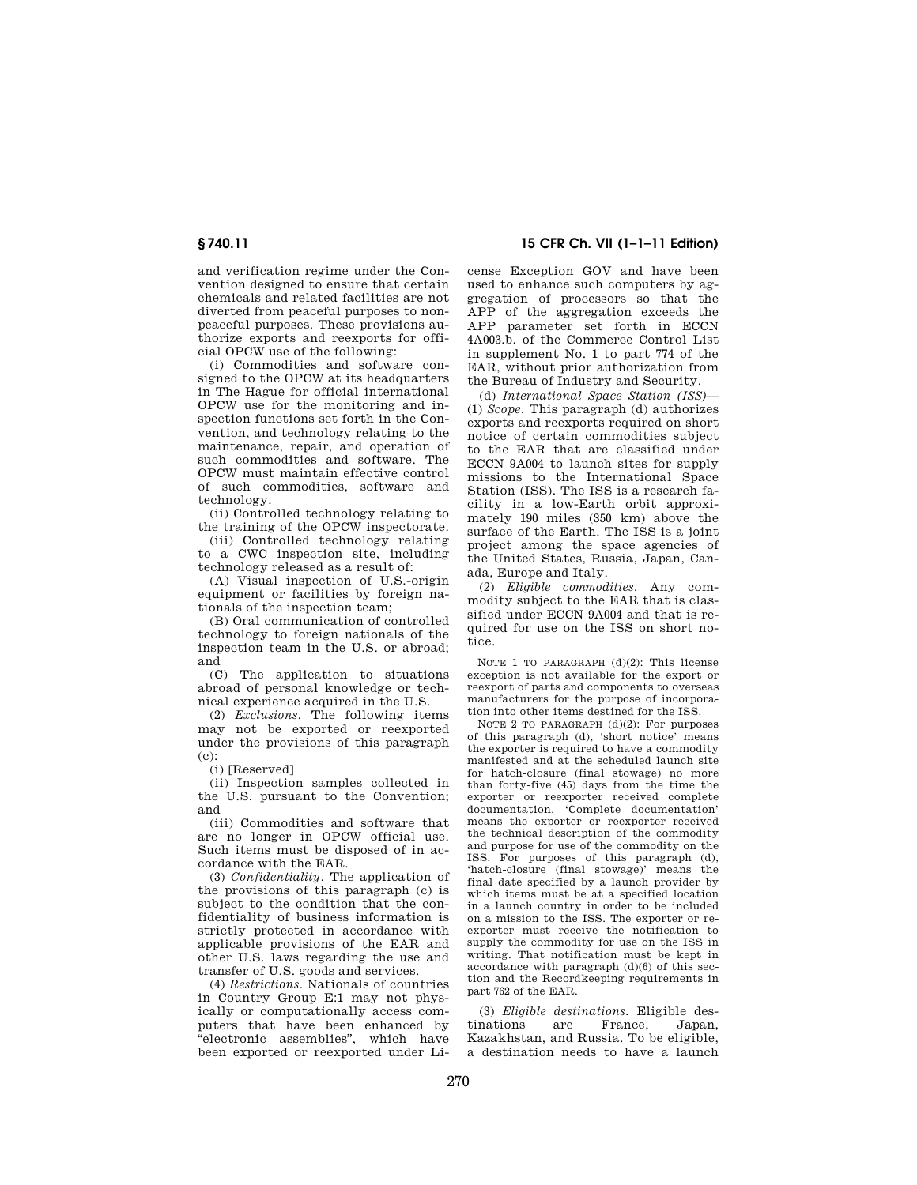and verification regime under the Convention designed to ensure that certain chemicals and related facilities are not diverted from peaceful purposes to nonpeaceful purposes. These provisions authorize exports and reexports for official OPCW use of the following:

(i) Commodities and software consigned to the OPCW at its headquarters in The Hague for official international OPCW use for the monitoring and inspection functions set forth in the Convention, and technology relating to the maintenance, repair, and operation of such commodities and software. The OPCW must maintain effective control of such commodities, software and technology.

(ii) Controlled technology relating to the training of the OPCW inspectorate.

(iii) Controlled technology relating to a CWC inspection site, including technology released as a result of:

(A) Visual inspection of U.S.-origin equipment or facilities by foreign nationals of the inspection team;

(B) Oral communication of controlled technology to foreign nationals of the inspection team in the U.S. or abroad; and

(C) The application to situations abroad of personal knowledge or technical experience acquired in the U.S.

(2) *Exclusions.* The following items may not be exported or reexported under the provisions of this paragraph  $(c)$ :

(i) [Reserved]

(ii) Inspection samples collected in the U.S. pursuant to the Convention; and

(iii) Commodities and software that are no longer in OPCW official use. Such items must be disposed of in accordance with the EAR.

(3) *Confidentiality.* The application of the provisions of this paragraph (c) is subject to the condition that the confidentiality of business information is strictly protected in accordance with applicable provisions of the EAR and other U.S. laws regarding the use and transfer of U.S. goods and services.

(4) *Restrictions*. Nationals of countries in Country Group E:1 may not physically or computationally access computers that have been enhanced by ''electronic assemblies'', which have been exported or reexported under Li-

**§ 740.11 15 CFR Ch. VII (1–1–11 Edition)** 

cense Exception GOV and have been used to enhance such computers by aggregation of processors so that the APP of the aggregation exceeds the APP parameter set forth in ECCN 4A003.b. of the Commerce Control List in supplement No. 1 to part 774 of the EAR, without prior authorization from the Bureau of Industry and Security.

(d) *International Space Station (ISS)*— (1) *Scope.* This paragraph (d) authorizes exports and reexports required on short notice of certain commodities subject to the EAR that are classified under ECCN 9A004 to launch sites for supply missions to the International Space Station (ISS). The ISS is a research facility in a low-Earth orbit approximately 190 miles (350 km) above the surface of the Earth. The ISS is a joint project among the space agencies of the United States, Russia, Japan, Canada, Europe and Italy.

(2) *Eligible commodities.* Any commodity subject to the EAR that is classified under ECCN 9A004 and that is required for use on the ISS on short notice.

NOTE 1 TO PARAGRAPH (d)(2): This license exception is not available for the export or reexport of parts and components to overseas manufacturers for the purpose of incorporation into other items destined for the ISS.

NOTE 2 TO PARAGRAPH (d)(2): For purposes of this paragraph (d), 'short notice' means the exporter is required to have a commodity manifested and at the scheduled launch site for hatch-closure (final stowage) no more than forty-five (45) days from the time the exporter or reexporter received complete documentation. 'Complete documentation' means the exporter or reexporter received the technical description of the commodity and purpose for use of the commodity on the ISS. For purposes of this paragraph (d), 'hatch-closure (final stowage)' means the final date specified by a launch provider by which items must be at a specified location in a launch country in order to be included on a mission to the ISS. The exporter or reexporter must receive the notification to supply the commodity for use on the ISS in writing. That notification must be kept in accordance with paragraph (d)(6) of this section and the Recordkeeping requirements in part 762 of the EAR.

(3) *Eligible destinations.* Eligible destinations are France, Japan, Kazakhstan, and Russia. To be eligible, a destination needs to have a launch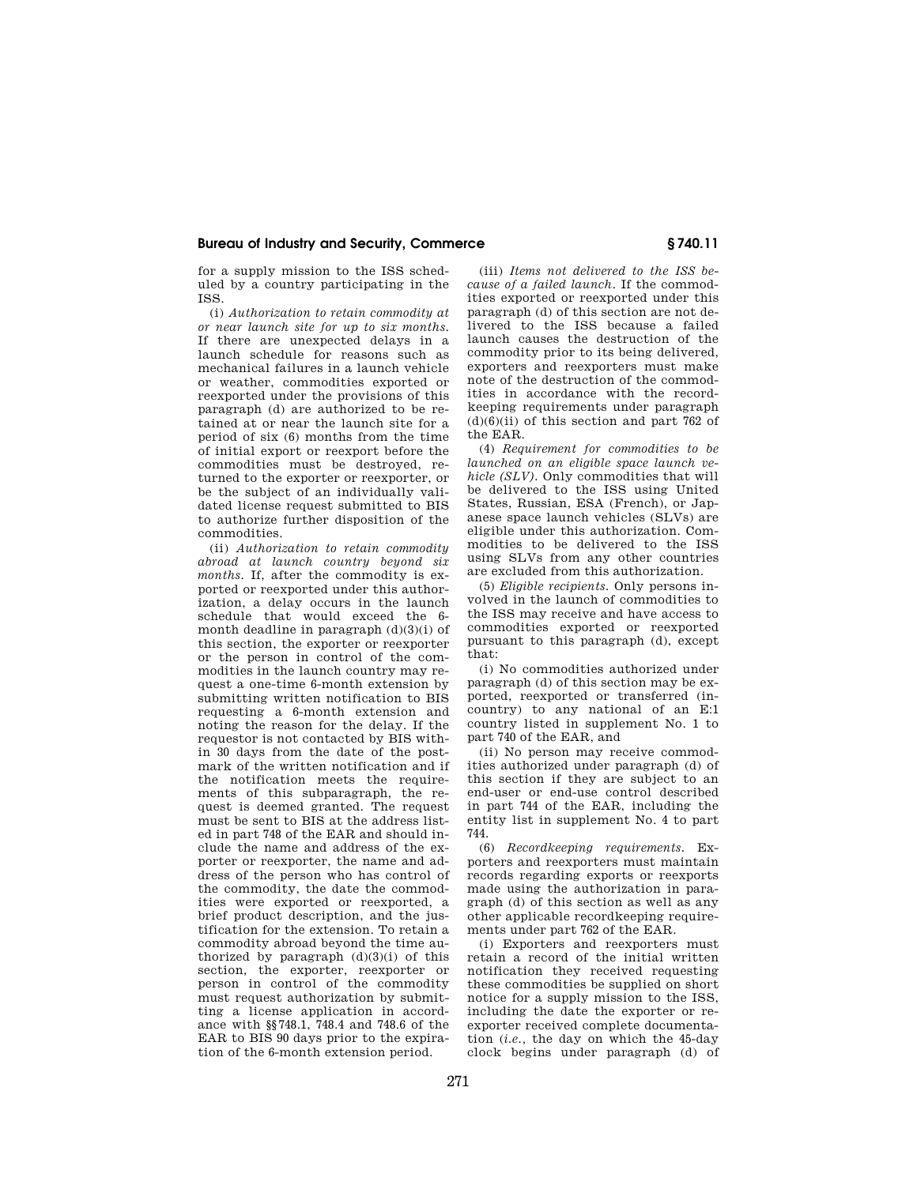for a supply mission to the ISS scheduled by a country participating in the ISS.

(i) *Authorization to retain commodity at or near launch site for up to six months.*  If there are unexpected delays in a launch schedule for reasons such as mechanical failures in a launch vehicle or weather, commodities exported or reexported under the provisions of this paragraph (d) are authorized to be retained at or near the launch site for a period of six (6) months from the time of initial export or reexport before the commodities must be destroyed, returned to the exporter or reexporter, or be the subject of an individually validated license request submitted to BIS to authorize further disposition of the commodities.

(ii) *Authorization to retain commodity abroad at launch country beyond six months.* If, after the commodity is exported or reexported under this authorization, a delay occurs in the launch schedule that would exceed the 6 month deadline in paragraph  $(d)(3)(i)$  of this section, the exporter or reexporter or the person in control of the commodities in the launch country may request a one-time 6-month extension by submitting written notification to BIS requesting a 6-month extension and noting the reason for the delay. If the requestor is not contacted by BIS within 30 days from the date of the postmark of the written notification and if the notification meets the requirements of this subparagraph, the request is deemed granted. The request must be sent to BIS at the address listed in part 748 of the EAR and should include the name and address of the exporter or reexporter, the name and address of the person who has control of the commodity, the date the commodities were exported or reexported, a brief product description, and the justification for the extension. To retain a commodity abroad beyond the time authorized by paragraph  $(d)(3)(i)$  of this section, the exporter, reexporter or person in control of the commodity must request authorization by submitting a license application in accordance with §§748.1, 748.4 and 748.6 of the EAR to BIS 90 days prior to the expiration of the 6-month extension period.

(iii) *Items not delivered to the ISS because of a failed launch.* If the commodities exported or reexported under this paragraph (d) of this section are not delivered to the ISS because a failed launch causes the destruction of the commodity prior to its being delivered, exporters and reexporters must make note of the destruction of the commodities in accordance with the recordkeeping requirements under paragraph  $(d)(6)(ii)$  of this section and part 762 of the EAR.

(4) *Requirement for commodities to be launched on an eligible space launch vehicle (SLV).* Only commodities that will be delivered to the ISS using United States, Russian, ESA (French), or Japanese space launch vehicles (SLVs) are eligible under this authorization. Commodities to be delivered to the ISS using SLVs from any other countries are excluded from this authorization.

(5) *Eligible recipients.* Only persons involved in the launch of commodities to the ISS may receive and have access to commodities exported or reexported pursuant to this paragraph (d), except that:

(i) No commodities authorized under paragraph (d) of this section may be exported, reexported or transferred (incountry) to any national of an E:1 country listed in supplement No. 1 to part 740 of the EAR, and

(ii) No person may receive commodities authorized under paragraph (d) of this section if they are subject to an end-user or end-use control described in part 744 of the EAR, including the entity list in supplement No. 4 to part 744.

(6) *Recordkeeping requirements.* Exporters and reexporters must maintain records regarding exports or reexports made using the authorization in paragraph (d) of this section as well as any other applicable recordkeeping requirements under part 762 of the EAR.

(i) Exporters and reexporters must retain a record of the initial written notification they received requesting these commodities be supplied on short notice for a supply mission to the ISS, including the date the exporter or reexporter received complete documentation (*i.e.,* the day on which the 45-day clock begins under paragraph (d) of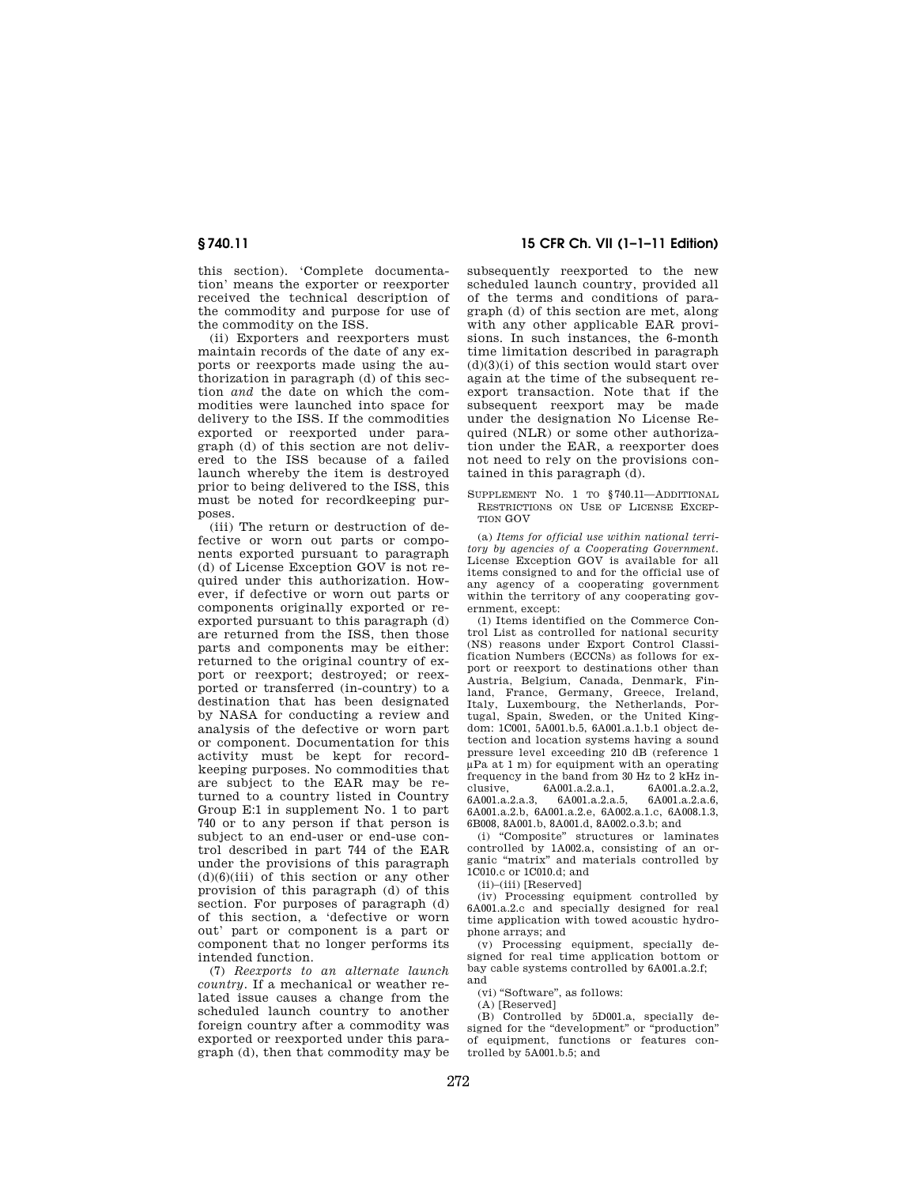this section). 'Complete documentation' means the exporter or reexporter received the technical description of the commodity and purpose for use of the commodity on the ISS.

(ii) Exporters and reexporters must maintain records of the date of any exports or reexports made using the authorization in paragraph (d) of this section *and* the date on which the commodities were launched into space for delivery to the ISS. If the commodities exported or reexported under paragraph (d) of this section are not delivered to the ISS because of a failed launch whereby the item is destroyed prior to being delivered to the ISS, this must be noted for recordkeeping purposes.

(iii) The return or destruction of defective or worn out parts or components exported pursuant to paragraph (d) of License Exception GOV is not required under this authorization. However, if defective or worn out parts or components originally exported or reexported pursuant to this paragraph (d) are returned from the ISS, then those parts and components may be either: returned to the original country of export or reexport; destroyed; or reexported or transferred (in-country) to a destination that has been designated by NASA for conducting a review and analysis of the defective or worn part or component. Documentation for this activity must be kept for recordkeeping purposes. No commodities that are subject to the EAR may be returned to a country listed in Country Group E:1 in supplement No. 1 to part 740 or to any person if that person is subject to an end-user or end-use control described in part 744 of the EAR under the provisions of this paragraph  $(d)(6)(iii)$  of this section or any other provision of this paragraph (d) of this section. For purposes of paragraph (d) of this section, a 'defective or worn out' part or component is a part or component that no longer performs its intended function.

(7) *Reexports to an alternate launch country.* If a mechanical or weather related issue causes a change from the scheduled launch country to another foreign country after a commodity was exported or reexported under this paragraph (d), then that commodity may be

**§ 740.11 15 CFR Ch. VII (1–1–11 Edition)** 

subsequently reexported to the new scheduled launch country, provided all of the terms and conditions of paragraph (d) of this section are met, along with any other applicable EAR provisions. In such instances, the 6-month time limitation described in paragraph  $(d)(3)(i)$  of this section would start over again at the time of the subsequent reexport transaction. Note that if the subsequent reexport may be made under the designation No License Required (NLR) or some other authorization under the EAR, a reexporter does not need to rely on the provisions contained in this paragraph (d).

SUPPLEMENT NO. 1 TO §740.11—ADDITIONAL RESTRICTIONS ON USE OF LICENSE EXCEP-TION GOV

(a) *Items for official use within national territory by agencies of a Cooperating Government.*  License Exception GOV is available for all items consigned to and for the official use of any agency of a cooperating government within the territory of any cooperating government, except:

(1) Items identified on the Commerce Control List as controlled for national security (NS) reasons under Export Control Classification Numbers (ECCNs) as follows for export or reexport to destinations other than Austria, Belgium, Canada, Denmark, Finland, France, Germany, Greece, Ireland, Italy, Luxembourg, the Netherlands, Portugal, Spain, Sweden, or the United Kingdom: 1C001, 5A001.b.5, 6A001.a.1.b.1 object detection and location systems having a sound pressure level exceeding 210 dB (reference 1 μPa at 1 m) for equipment with an operating frequency in the band from 30 Hz to 2 kHz inclusive, 6A001.a.2.a.1, 6A001.a.2.a.2, 6A001.a.2.a.3, 6A001.a.2.a.5, 6A001.a.2.a.6, 6A001.a.2.b, 6A001.a.2.e, 6A002.a.1.c, 6A008.1.3, 6B008, 8A001.b, 8A001.d, 8A002.o.3.b; and

(i) ''Composite'' structures or laminates controlled by 1A002.a, consisting of an organic ''matrix'' and materials controlled by 1C010.c or 1C010.d; and

(ii)–(iii) [Reserved]

(iv) Processing equipment controlled by 6A001.a.2.c and specially designed for real time application with towed acoustic hydrophone arrays; and

(v) Processing equipment, specially designed for real time application bottom or bay cable systems controlled by 6A001.a.2.f; and

(vi) "Software", as follows:

(A) [Reserved]

(B) Controlled by 5D001.a, specially designed for the "development" or "production" of equipment, functions or features controlled by 5A001.b.5; and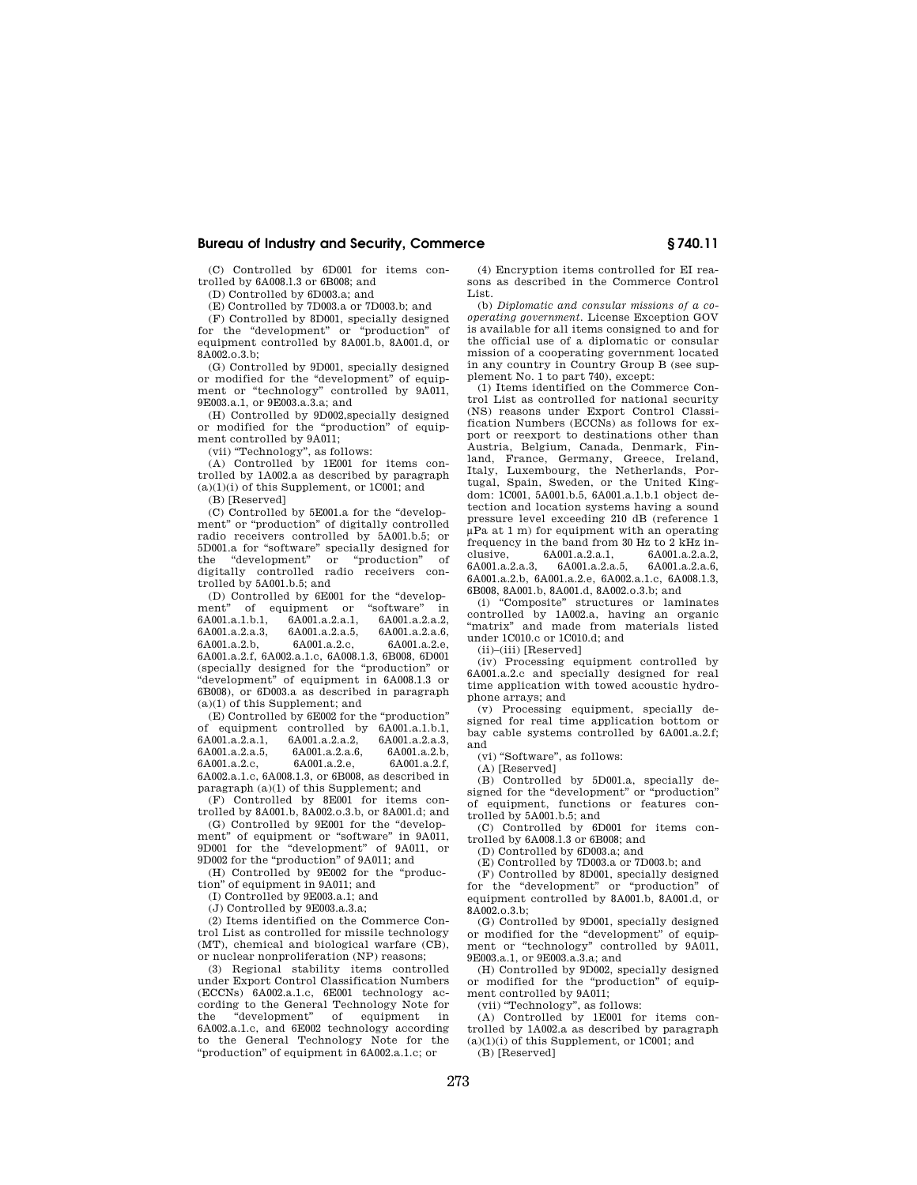(C) Controlled by 6D001 for items controlled by 6A008.l.3 or 6B008; and

(D) Controlled by 6D003.a; and

(E) Controlled by 7D003.a or 7D003.b; and

(F) Controlled by 8D001, specially designed for the "development" or "production" of equipment controlled by 8A001.b, 8A001.d, or 8A002.o.3.b;

(G) Controlled by 9D001, specially designed or modified for the "development" of equipment or "technology" controlled by 9A011, 9E003.a.1, or 9E003.a.3.a; and

(H) Controlled by 9D002,specially designed or modified for the "production" of equipment controlled by 9A011;

(vii) ''Technology'', as follows:

(A) Controlled by 1E001 for items controlled by 1A002.a as described by paragraph  $(a)(1)(i)$  of this Supplement, or 1C001; and

(B) [Reserved]

(C) Controlled by 5E001.a for the ''development'' or ''production'' of digitally controlled radio receivers controlled by 5A001.b.5; or 5D001.a for ''software'' specially designed for the "development" or "production" of digitally controlled radio receivers controlled by 5A001.b.5; and

(D) Controlled by 6E001 for the "develop-<br>
ent" of equipment or "software" is ment" of equipment or "software" in 6A001.a.1.b.1, 6A001.a.2.a.1, 6A001.a.2.a.2, 6A001.a.1.b.1, 6A001.a.2.a.1, 6A001.a.2.a.2, 6A001.a.2.a.3, 6A001.a.2.a.5, 6A001.a.2.a.6, 6A001.a.2.b, 6A001.a.2.f, 6A002.a.1.c, 6A008.1.3, 6B008, 6D001 (specially designed for the ''production'' or ''development'' of equipment in 6A008.1.3 or 6B008), or 6D003.a as described in paragraph (a)(1) of this Supplement; and

(E) Controlled by 6E002 for the ''production'' of equipment controlled by 6A001.a.1.b.1, 6A001.a.2.a.1, 6A001.a.2.a.2, 6A001.a.2.a.3, 6A001.a.2.a.5, 6A001.a.2.a.6, 6A001.a.2.b, 6A001.a.2.c, 6A001.a.2.e, 6A001.a.2.f, 6A002.a.1.c, 6A008.1.3, or 6B008, as described in paragraph (a)(1) of this Supplement; and

(F) Controlled by 8E001 for items controlled by 8A001.b, 8A002.o.3.b, or 8A001.d; and

(G) Controlled by 9E001 for the ''development" of equipment or "software" in 9A011, 9D001 for the ''development'' of 9A011, or 9D002 for the ''production'' of 9A011; and

(H) Controlled by 9E002 for the ''production'' of equipment in 9A011; and

(I) Controlled by 9E003.a.1; and

(J) Controlled by 9E003.a.3.a;

(2) Items identified on the Commerce Control List as controlled for missile technology (MT), chemical and biological warfare (CB), or nuclear nonproliferation (NP) reasons;

(3) Regional stability items controlled under Export Control Classification Numbers (ECCNs) 6A002.a.1.c, 6E001 technology according to the General Technology Note for the ''development'' of equipment in 6A002.a.1.c, and 6E002 technology according to the General Technology Note for the ''production'' of equipment in 6A002.a.1.c; or

(4) Encryption items controlled for EI reasons as described in the Commerce Control List.

(b) *Diplomatic and consular missions of a cooperating government.* License Exception GOV is available for all items consigned to and for the official use of a diplomatic or consular mission of a cooperating government located in any country in Country Group B (see supplement No. 1 to part 740), except:

(1) Items identified on the Commerce Control List as controlled for national security (NS) reasons under Export Control Classification Numbers (ECCNs) as follows for export or reexport to destinations other than Austria, Belgium, Canada, Denmark, Finland, France, Germany, Greece, Ireland, Italy, Luxembourg, the Netherlands, Portugal, Spain, Sweden, or the United Kingdom: 1C001, 5A001.b.5, 6A001.a.1.b.1 object detection and location systems having a sound pressure level exceeding 210 dB (reference 1 μPa at 1 m) for equipment with an operating frequency in the band from 30 Hz to  $2$  kHz in-<br>clusive. 6A001.a.2.a.1, 6A001.a.2.a.2, clusive, 6A001.a.2.a.1, 6A001.a.2.a.2,<br>6A001.a.2.a.3, 6A001.a.2.a.5, 6A001.a.2.a.6, 6A001.a.2.a.3, 6A001.a.2.a.5, 6A001.a.2.a.6, 6A001.a.2.b, 6A001.a.2.e, 6A002.a.1.c, 6A008.1.3, 6B008, 8A001.b, 8A001.d, 8A002.o.3.b; and

(i) ''Composite'' structures or laminates controlled by 1A002.a, having an organic "matrix" and made from materials listed under 1C010.c or 1C010.d; and

(ii)–(iii) [Reserved]

(iv) Processing equipment controlled by 6A001.a.2.c and specially designed for real time application with towed acoustic hydrophone arrays; and

(v) Processing equipment, specially designed for real time application bottom or bay cable systems controlled by 6A001.a.2.f; and

(vi) "Software", as follows:

(A) [Reserved]

(B) Controlled by 5D001.a, specially designed for the "development" or "production" of equipment, functions or features controlled by 5A001.b.5; and

(C) Controlled by 6D001 for items controlled by 6A008.l.3 or 6B008; and

(D) Controlled by 6D003.a; and

(E) Controlled by 7D003.a or 7D003.b; and (F) Controlled by 8D001, specially designed

for the "development" or "production" of equipment controlled by 8A001.b, 8A001.d, or 8A002.o.3.b;

(G) Controlled by 9D001, specially designed or modified for the "development" of equipment or "technology" controlled by 9A011, 9E003.a.1, or 9E003.a.3.a; and

(H) Controlled by 9D002, specially designed or modified for the ''production'' of equipment controlled by 9A011;

(vii) "Technology", as follows:

(A) Controlled by 1E001 for items controlled by 1A002.a as described by paragraph (a)(1)(i) of this Supplement, or 1C001; and

(B) [Reserved]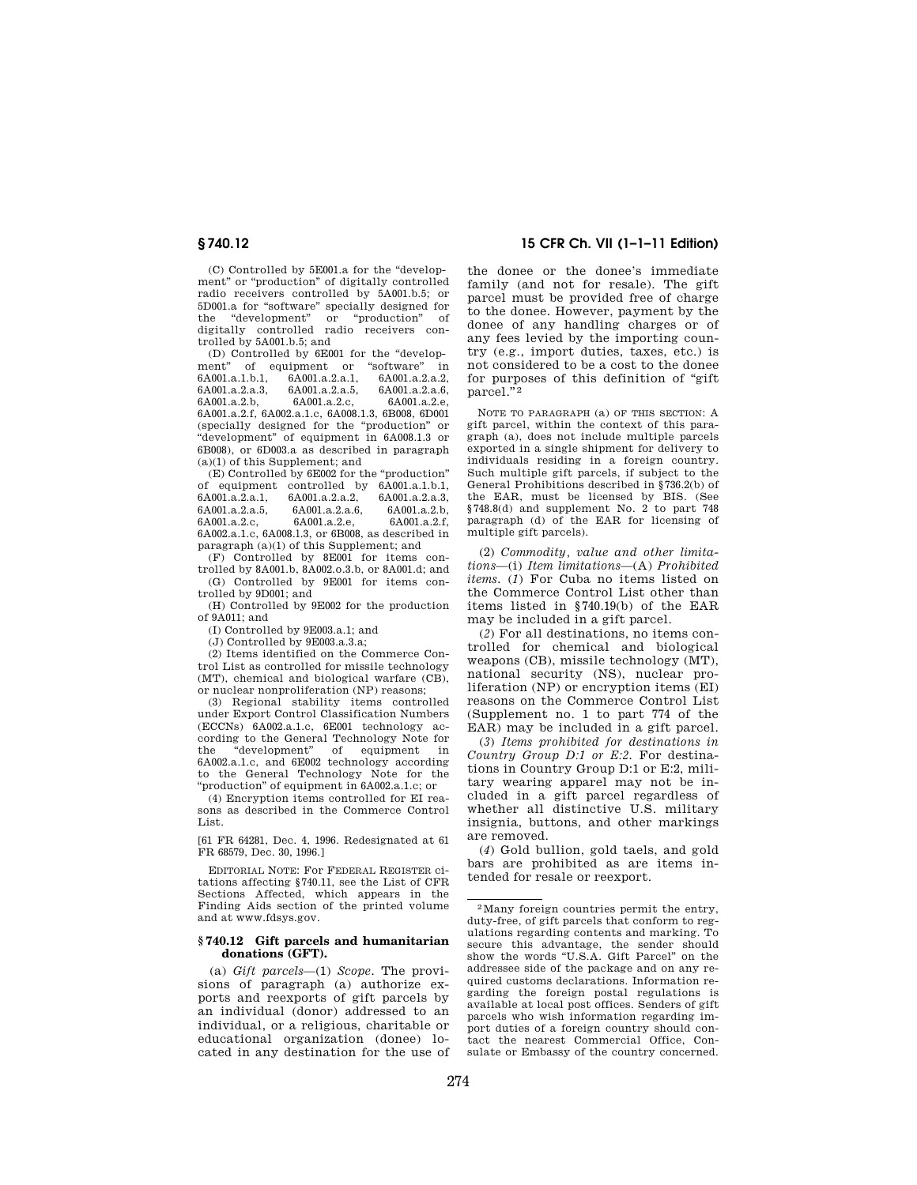(C) Controlled by 5E001.a for the ''development'' or ''production'' of digitally controlled radio receivers controlled by 5A001.b.5; or 5D001.a for ''software'' specially designed for the ''development'' or ''production'' of digitally controlled radio receivers controlled by 5A001.b.5; and

(D) Controlled by 6E001 for the "development" of equipment or "software" in 6A001.a.1.b.1. 6A001.a.2.a.1. 6A001.a.2.a.2. 6A001.a.2.a.2, 6A001.a.2.a.3, 6A001.a.2.a.5, 6A001.a.2.a.6, 6A001.a.2.c. 6A001.a.2.f, 6A002.a.1.c, 6A008.1.3, 6B008, 6D001 (specially designed for the ''production'' or ''development'' of equipment in 6A008.1.3 or 6B008), or 6D003.a as described in paragraph (a)(1) of this Supplement; and

(E) Controlled by 6E002 for the ''production'' of equipment controlled by 6A001.a.1.b.1, 6A001.a.2.a.1, 6A001.a.2.a.2, 6A001.a.2.a.3, 6A001.a.2.a.5, 6A001.a.2.a.6, 6A001.a.2.b, 6A001.a.2.e, 6A002.a.1.c, 6A008.l.3, or 6B008, as described in paragraph (a)(1) of this Supplement; and

(F) Controlled by 8E001 for items controlled by 8A001.b, 8A002.o.3.b, or 8A001.d; and (G) Controlled by 9E001 for items con-

trolled by 9D001; and (H) Controlled by 9E002 for the production

of 9A011; and

(I) Controlled by 9E003.a.1; and

(J) Controlled by 9E003.a.3.a;

(2) Items identified on the Commerce Control List as controlled for missile technology (MT), chemical and biological warfare (CB), or nuclear nonproliferation (NP) reasons;

(3) Regional stability items controlled under Export Control Classification Numbers (ECCNs) 6A002.a.1.c, 6E001 technology according to the General Technology Note for the "development" of equipment in 6A002.a.1.c, and 6E002 technology according to the General Technology Note for the ''production'' of equipment in 6A002.a.1.c; or

(4) Encryption items controlled for EI reasons as described in the Commerce Control List.

[61 FR 64281, Dec. 4, 1996. Redesignated at 61 FR 68579, Dec. 30, 1996.]

EDITORIAL NOTE: For FEDERAL REGISTER citations affecting §740.11, see the List of CFR Sections Affected, which appears in the Finding Aids section of the printed volume and at www.fdsys.gov.

#### **§ 740.12 Gift parcels and humanitarian donations (GFT).**

(a) *Gift parcels*—(1) *Scope.* The provisions of paragraph (a) authorize exports and reexports of gift parcels by an individual (donor) addressed to an individual, or a religious, charitable or educational organization (donee) located in any destination for the use of

## **§ 740.12 15 CFR Ch. VII (1–1–11 Edition)**

the donee or the donee's immediate family (and not for resale). The gift parcel must be provided free of charge to the donee. However, payment by the donee of any handling charges or of any fees levied by the importing country (e.g., import duties, taxes, etc.) is not considered to be a cost to the donee for purposes of this definition of ''gift parcel."<sup>2</sup>

NOTE TO PARAGRAPH (a) OF THIS SECTION: A gift parcel, within the context of this paragraph (a), does not include multiple parcels exported in a single shipment for delivery to individuals residing in a foreign country. Such multiple gift parcels, if subject to the General Prohibitions described in §736.2(b) of the EAR, must be licensed by BIS. (See §748.8(d) and supplement No. 2 to part 748 paragraph (d) of the EAR for licensing of multiple gift parcels).

(2) *Commodity, value and other limitations*—(i) *Item limitations*—(A) *Prohibited items.* (*1*) For Cuba no items listed on the Commerce Control List other than items listed in §740.19(b) of the EAR may be included in a gift parcel.

(*2*) For all destinations, no items controlled for chemical and biological weapons (CB), missile technology (MT), national security (NS), nuclear proliferation (NP) or encryption items (EI) reasons on the Commerce Control List (Supplement no. 1 to part 774 of the EAR) may be included in a gift parcel.

(*3*) *Items prohibited for destinations in Country Group D:1 or E:2.* For destinations in Country Group D:1 or E:2, military wearing apparel may not be included in a gift parcel regardless of whether all distinctive U.S. military insignia, buttons, and other markings are removed.

(*4*) Gold bullion, gold taels, and gold bars are prohibited as are items intended for resale or reexport.

<sup>2</sup>Many foreign countries permit the entry, duty-free, of gift parcels that conform to regulations regarding contents and marking. To secure this advantage, the sender should show the words "U.S.A. Gift Parcel" on the addressee side of the package and on any required customs declarations. Information regarding the foreign postal regulations is available at local post offices. Senders of gift parcels who wish information regarding import duties of a foreign country should contact the nearest Commercial Office, Consulate or Embassy of the country concerned.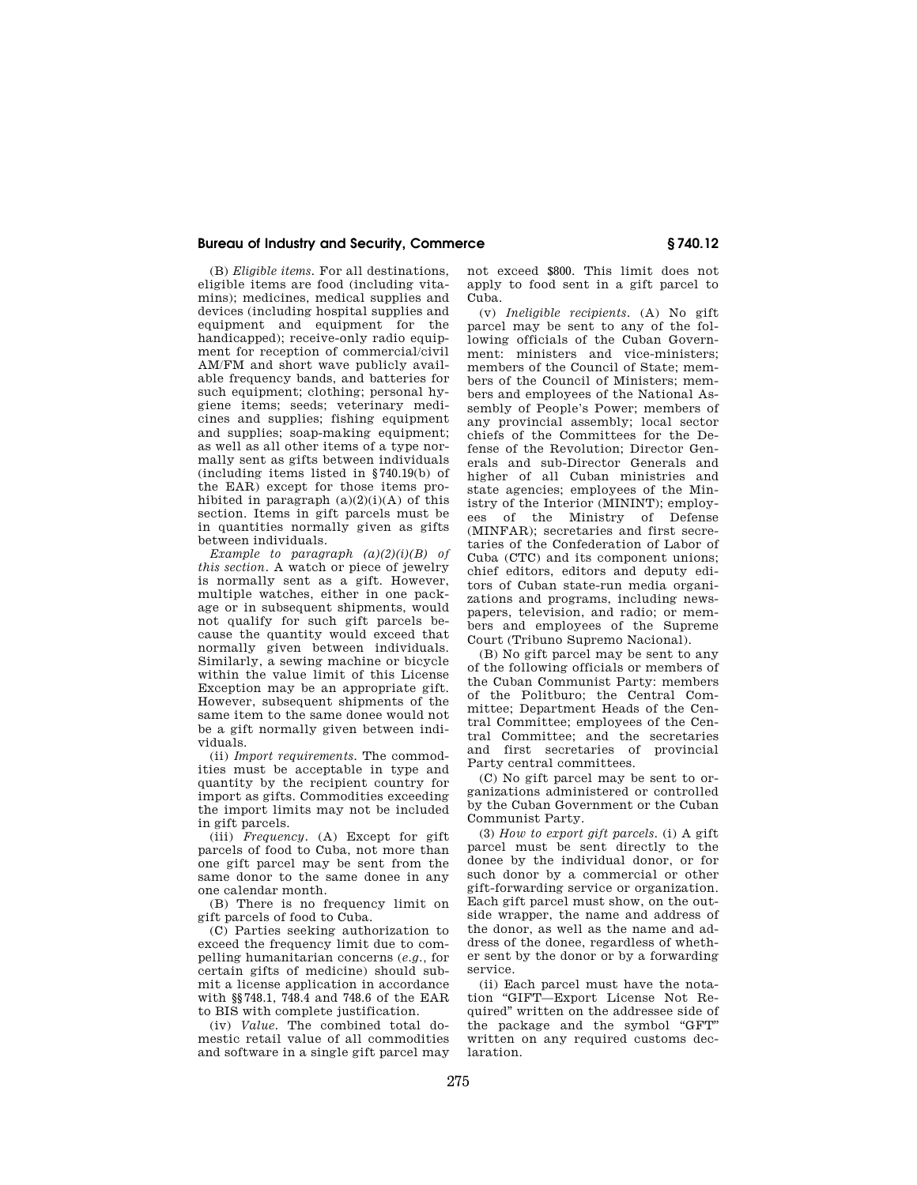(B) *Eligible items.* For all destinations, eligible items are food (including vitamins); medicines, medical supplies and devices (including hospital supplies and equipment and equipment for the handicapped); receive-only radio equipment for reception of commercial/civil AM/FM and short wave publicly available frequency bands, and batteries for such equipment; clothing; personal hygiene items; seeds; veterinary medicines and supplies; fishing equipment and supplies; soap-making equipment; as well as all other items of a type normally sent as gifts between individuals (including items listed in §740.19(b) of the EAR) except for those items prohibited in paragraph  $(a)(2)(i)(A)$  of this section. Items in gift parcels must be in quantities normally given as gifts between individuals.

*Example to paragraph (a)(2)(i)(B) of this section.* A watch or piece of jewelry is normally sent as a gift. However, multiple watches, either in one package or in subsequent shipments, would not qualify for such gift parcels because the quantity would exceed that normally given between individuals. Similarly, a sewing machine or bicycle within the value limit of this License Exception may be an appropriate gift. However, subsequent shipments of the same item to the same donee would not be a gift normally given between individuals.

(ii) *Import requirements.* The commodities must be acceptable in type and quantity by the recipient country for import as gifts. Commodities exceeding the import limits may not be included in gift parcels.

(iii) *Frequency.* (A) Except for gift parcels of food to Cuba, not more than one gift parcel may be sent from the same donor to the same donee in any one calendar month.

(B) There is no frequency limit on gift parcels of food to Cuba.

(C) Parties seeking authorization to exceed the frequency limit due to compelling humanitarian concerns (*e.g.,* for certain gifts of medicine) should submit a license application in accordance with §§748.1, 748.4 and 748.6 of the EAR to BIS with complete justification.

(iv) *Value.* The combined total domestic retail value of all commodities and software in a single gift parcel may not exceed \$800. This limit does not apply to food sent in a gift parcel to Cuba.

(v) *Ineligible recipients.* (A) No gift parcel may be sent to any of the following officials of the Cuban Government: ministers and vice-ministers; members of the Council of State; members of the Council of Ministers; members and employees of the National Assembly of People's Power; members of any provincial assembly; local sector chiefs of the Committees for the Defense of the Revolution; Director Generals and sub-Director Generals and higher of all Cuban ministries and state agencies; employees of the Ministry of the Interior (MININT); employees of the Ministry of Defense (MINFAR); secretaries and first secretaries of the Confederation of Labor of Cuba (CTC) and its component unions; chief editors, editors and deputy editors of Cuban state-run media organizations and programs, including newspapers, television, and radio; or members and employees of the Supreme Court (Tribuno Supremo Nacional).

(B) No gift parcel may be sent to any of the following officials or members of the Cuban Communist Party: members of the Politburo; the Central Committee; Department Heads of the Central Committee; employees of the Central Committee; and the secretaries and first secretaries of provincial Party central committees.

(C) No gift parcel may be sent to organizations administered or controlled by the Cuban Government or the Cuban Communist Party.

(3) *How to export gift parcels.* (i) A gift parcel must be sent directly to the donee by the individual donor, or for such donor by a commercial or other gift-forwarding service or organization. Each gift parcel must show, on the outside wrapper, the name and address of the donor, as well as the name and address of the donee, regardless of whether sent by the donor or by a forwarding service.

(ii) Each parcel must have the notation ''GIFT—Export License Not Required'' written on the addressee side of the package and the symbol "GFT" written on any required customs declaration.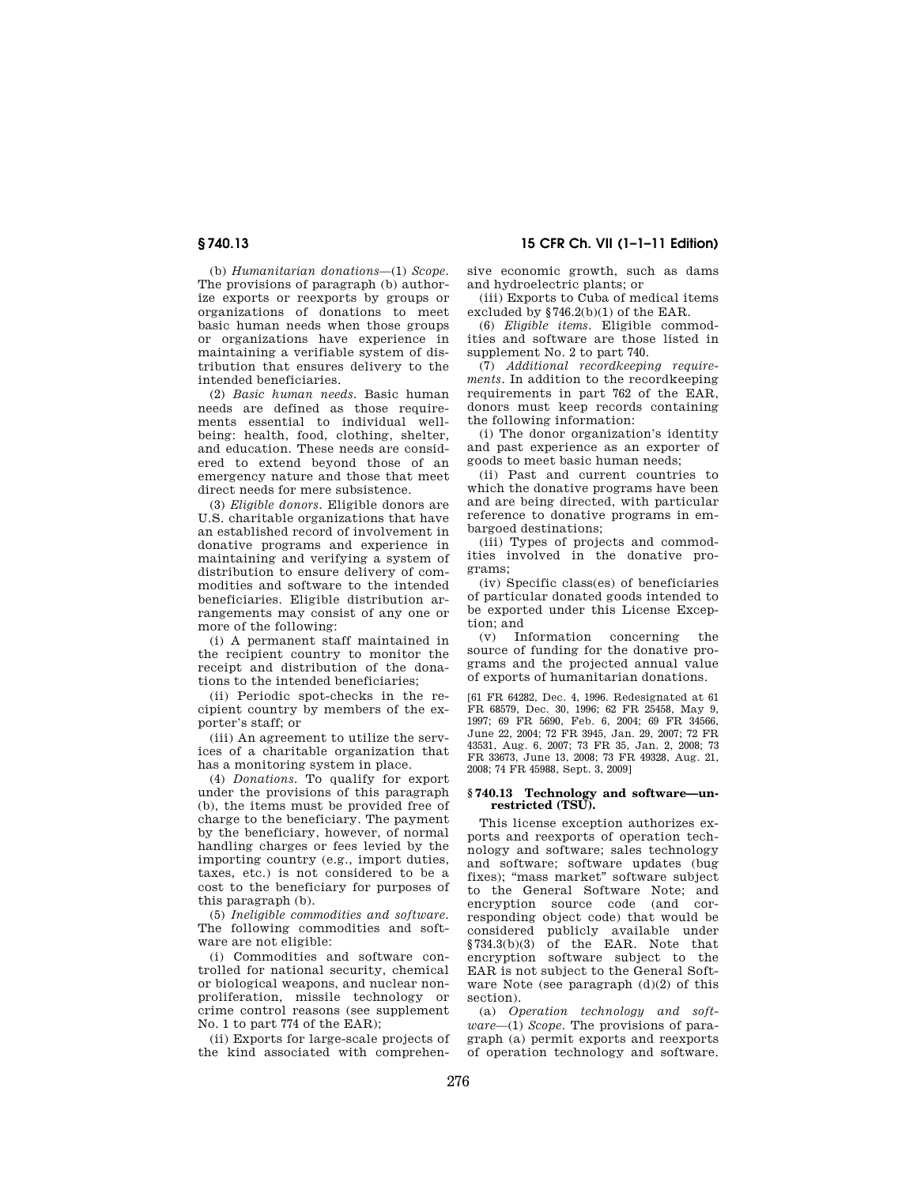**§ 740.13 15 CFR Ch. VII (1–1–11 Edition)** 

(b) *Humanitarian donations*—(1) *Scope.*  The provisions of paragraph (b) authorize exports or reexports by groups or organizations of donations to meet basic human needs when those groups or organizations have experience in maintaining a verifiable system of distribution that ensures delivery to the intended beneficiaries.

(2) *Basic human needs.* Basic human needs are defined as those requirements essential to individual wellbeing: health, food, clothing, shelter, and education. These needs are considered to extend beyond those of an emergency nature and those that meet direct needs for mere subsistence.

(3) *Eligible donors.* Eligible donors are U.S. charitable organizations that have an established record of involvement in donative programs and experience in maintaining and verifying a system of distribution to ensure delivery of commodities and software to the intended beneficiaries. Eligible distribution arrangements may consist of any one or more of the following:

(i) A permanent staff maintained in the recipient country to monitor the receipt and distribution of the donations to the intended beneficiaries;

(ii) Periodic spot-checks in the recipient country by members of the exporter's staff; or

(iii) An agreement to utilize the services of a charitable organization that has a monitoring system in place.

(4) *Donations.* To qualify for export under the provisions of this paragraph (b), the items must be provided free of charge to the beneficiary. The payment by the beneficiary, however, of normal handling charges or fees levied by the importing country (e.g., import duties, taxes, etc.) is not considered to be a cost to the beneficiary for purposes of this paragraph (b).

(5) *Ineligible commodities and software.*  The following commodities and software are not eligible:

(i) Commodities and software controlled for national security, chemical or biological weapons, and nuclear nonproliferation, missile technology or crime control reasons (see supplement No. 1 to part 774 of the EAR);

(ii) Exports for large-scale projects of the kind associated with comprehensive economic growth, such as dams and hydroelectric plants; or

(iii) Exports to Cuba of medical items excluded by  $$746.2(b)(1)$  of the EAR.

(6) *Eligible items.* Eligible commodities and software are those listed in supplement No. 2 to part 740.

(7) *Additional recordkeeping requirements.* In addition to the recordkeeping requirements in part 762 of the EAR, donors must keep records containing the following information:

(i) The donor organization's identity and past experience as an exporter of goods to meet basic human needs;

(ii) Past and current countries to which the donative programs have been and are being directed, with particular reference to donative programs in embargoed destinations;

(iii) Types of projects and commodities involved in the donative programs;

(iv) Specific class(es) of beneficiaries of particular donated goods intended to be exported under this License Exception; and

(v) Information concerning the source of funding for the donative programs and the projected annual value of exports of humanitarian donations.

[61 FR 64282, Dec. 4, 1996. Redesignated at 61 FR 68579, Dec. 30, 1996; 62 FR 25458, May 9, 1997; 69 FR 5690, Feb. 6, 2004; 69 FR 34566, June 22, 2004; 72 FR 3945, Jan. 29, 2007; 72 FR 43531, Aug. 6, 2007; 73 FR 35, Jan. 2, 2008; 73 FR 33673, June 13, 2008; 73 FR 49328, Aug. 21, 2008; 74 FR 45988, Sept. 3, 2009]

#### **§ 740.13 Technology and software—unrestricted (TSU).**

This license exception authorizes exports and reexports of operation technology and software; sales technology and software; software updates (bug fixes); ''mass market'' software subject to the General Software Note; and encryption source code (and corresponding object code) that would be considered publicly available under §734.3(b)(3) of the EAR. Note that encryption software subject to the EAR is not subject to the General Software Note (see paragraph  $(d)(2)$  of this section).

(a) *Operation technology and software*—(1) *Scope.* The provisions of paragraph (a) permit exports and reexports of operation technology and software.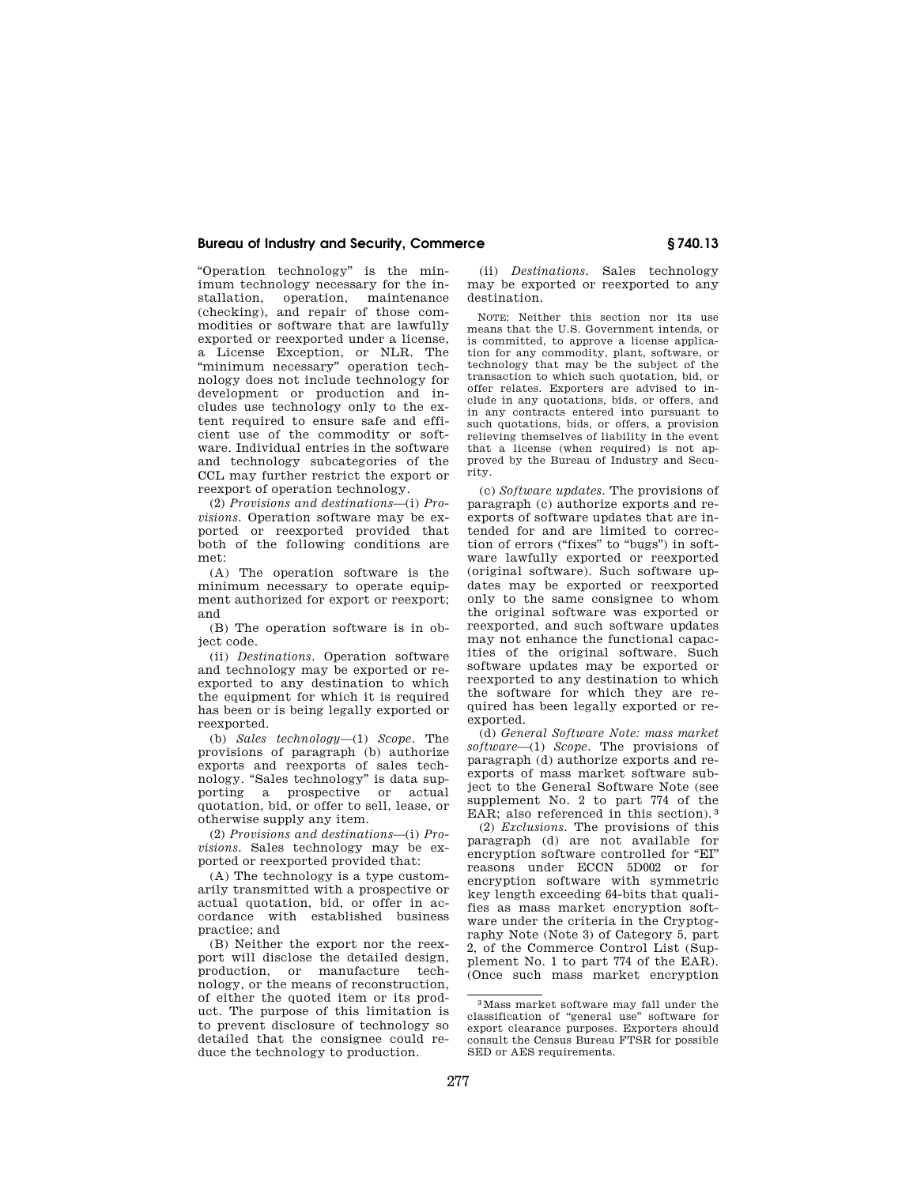''Operation technology'' is the minimum technology necessary for the installation, operation, maintenance (checking), and repair of those commodities or software that are lawfully exported or reexported under a license, a License Exception, or NLR. The "minimum necessary" operation technology does not include technology for development or production and includes use technology only to the extent required to ensure safe and efficient use of the commodity or software. Individual entries in the software and technology subcategories of the CCL may further restrict the export or reexport of operation technology.

(2) *Provisions and destinations*—(i) *Provisions.* Operation software may be exported or reexported provided that both of the following conditions are met:

(A) The operation software is the minimum necessary to operate equipment authorized for export or reexport; and

(B) The operation software is in object code.

(ii) *Destinations.* Operation software and technology may be exported or reexported to any destination to which the equipment for which it is required has been or is being legally exported or reexported.

(b) *Sales technology*—(1) *Scope.* The provisions of paragraph (b) authorize exports and reexports of sales technology. ''Sales technology'' is data supporting a prospective or actual quotation, bid, or offer to sell, lease, or otherwise supply any item.

(2) *Provisions and destinations*—(i) *Provisions.* Sales technology may be exported or reexported provided that:

(A) The technology is a type customarily transmitted with a prospective or actual quotation, bid, or offer in accordance with established business practice; and

(B) Neither the export nor the reexport will disclose the detailed design, production, or manufacture technology, or the means of reconstruction, of either the quoted item or its product. The purpose of this limitation is to prevent disclosure of technology so detailed that the consignee could reduce the technology to production.

(ii) *Destinations.* Sales technology may be exported or reexported to any destination.

NOTE: Neither this section nor its use means that the U.S. Government intends, or is committed, to approve a license application for any commodity, plant, software, or technology that may be the subject of the transaction to which such quotation, bid, or offer relates. Exporters are advised to include in any quotations, bids, or offers, and in any contracts entered into pursuant to such quotations, bids, or offers, a provision relieving themselves of liability in the event that a license (when required) is not approved by the Bureau of Industry and Security.

(c) *Software updates.* The provisions of paragraph (c) authorize exports and reexports of software updates that are intended for and are limited to correction of errors ("fixes" to "bugs") in software lawfully exported or reexported (original software). Such software updates may be exported or reexported only to the same consignee to whom the original software was exported or reexported, and such software updates may not enhance the functional capacities of the original software. Such software updates may be exported or reexported to any destination to which the software for which they are required has been legally exported or reexported.

(d) *General Software Note: mass market software*—(1) *Scope.* The provisions of paragraph (d) authorize exports and reexports of mass market software subject to the General Software Note (see supplement No. 2 to part 774 of the EAR; also referenced in this section).<sup>3</sup>

(2) *Exclusions.* The provisions of this paragraph (d) are not available for encryption software controlled for "EI" reasons under ECCN 5D002 or for encryption software with symmetric key length exceeding 64-bits that qualifies as mass market encryption software under the criteria in the Cryptography Note (Note 3) of Category 5, part 2, of the Commerce Control List (Supplement No. 1 to part 774 of the EAR). (Once such mass market encryption

<sup>3</sup>Mass market software may fall under the classification of ''general use'' software for export clearance purposes. Exporters should consult the Census Bureau FTSR for possible SED or AES requirements.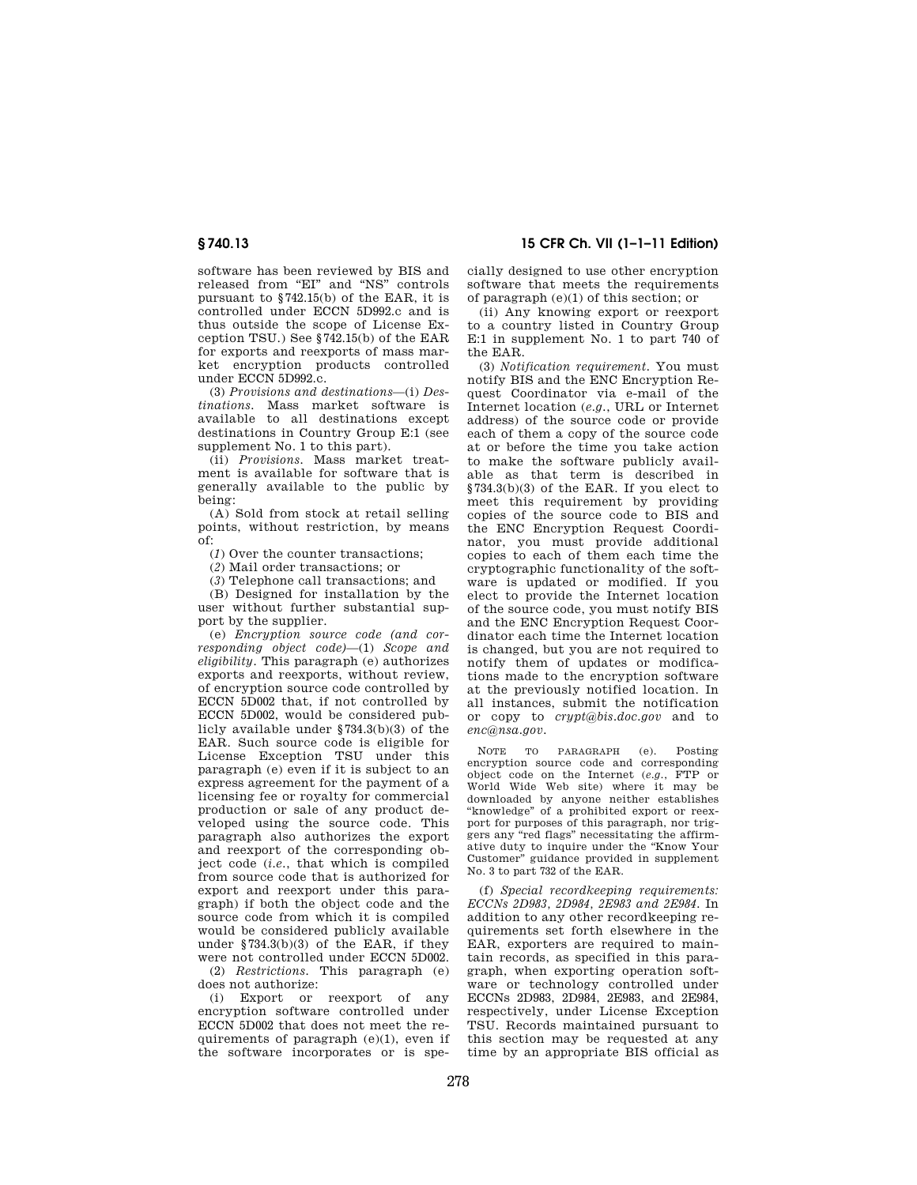software has been reviewed by BIS and released from "EI" and "NS" controls pursuant to §742.15(b) of the EAR, it is controlled under ECCN 5D992.c and is thus outside the scope of License Exception TSU.) See §742.15(b) of the EAR for exports and reexports of mass market encryption products controlled under ECCN 5D992.c.

(3) *Provisions and destinations*—(i) *Destinations.* Mass market software is available to all destinations except destinations in Country Group E:1 (see supplement No. 1 to this part).

(ii) *Provisions.* Mass market treatment is available for software that is generally available to the public by being:

(A) Sold from stock at retail selling points, without restriction, by means  $\overline{0}$ f<sup>+</sup>

(*1*) Over the counter transactions;

(*2*) Mail order transactions; or

(*3*) Telephone call transactions; and

(B) Designed for installation by the user without further substantial support by the supplier.

(e) *Encryption source code (and corresponding object code)*—(1) *Scope and eligibility.* This paragraph (e) authorizes exports and reexports, without review, of encryption source code controlled by ECCN 5D002 that, if not controlled by ECCN 5D002, would be considered publicly available under §734.3(b)(3) of the EAR. Such source code is eligible for License Exception TSU under this paragraph (e) even if it is subject to an express agreement for the payment of a licensing fee or royalty for commercial production or sale of any product developed using the source code. This paragraph also authorizes the export and reexport of the corresponding object code (*i.e.*, that which is compiled from source code that is authorized for export and reexport under this paragraph) if both the object code and the source code from which it is compiled would be considered publicly available under §734.3(b)(3) of the EAR, if they were not controlled under ECCN 5D002.

(2) *Restrictions.* This paragraph (e) does not authorize:

(i) Export or reexport of any encryption software controlled under ECCN 5D002 that does not meet the requirements of paragraph (e)(1), even if the software incorporates or is spe-

**§ 740.13 15 CFR Ch. VII (1–1–11 Edition)** 

cially designed to use other encryption software that meets the requirements of paragraph (e)(1) of this section; or

(ii) Any knowing export or reexport to a country listed in Country Group E:1 in supplement No. 1 to part 740 of the EAR.

(3) *Notification requirement.* You must notify BIS and the ENC Encryption Request Coordinator via e-mail of the Internet location (*e.g.*, URL or Internet address) of the source code or provide each of them a copy of the source code at or before the time you take action to make the software publicly available as that term is described in §734.3(b)(3) of the EAR. If you elect to meet this requirement by providing copies of the source code to BIS and the ENC Encryption Request Coordinator, you must provide additional copies to each of them each time the cryptographic functionality of the software is updated or modified. If you elect to provide the Internet location of the source code, you must notify BIS and the ENC Encryption Request Coordinator each time the Internet location is changed, but you are not required to notify them of updates or modifications made to the encryption software at the previously notified location. In all instances, submit the notification or copy to *crypt@bis.doc.gov* and to *enc@nsa.gov.* 

NOTE TO PARAGRAPH (e). Posting encryption source code and corresponding object code on the Internet (*e.g.*, FTP or World Wide Web site) where it may be downloaded by anyone neither establishes ''knowledge'' of a prohibited export or reexport for purposes of this paragraph, nor triggers any ''red flags'' necessitating the affirmative duty to inquire under the ''Know Your Customer'' guidance provided in supplement No. 3 to part 732 of the EAR.

(f) *Special recordkeeping requirements: ECCNs 2D983, 2D984, 2E983 and 2E984.* In addition to any other recordkeeping requirements set forth elsewhere in the EAR, exporters are required to maintain records, as specified in this paragraph, when exporting operation software or technology controlled under ECCNs 2D983, 2D984, 2E983, and 2E984, respectively, under License Exception TSU. Records maintained pursuant to this section may be requested at any time by an appropriate BIS official as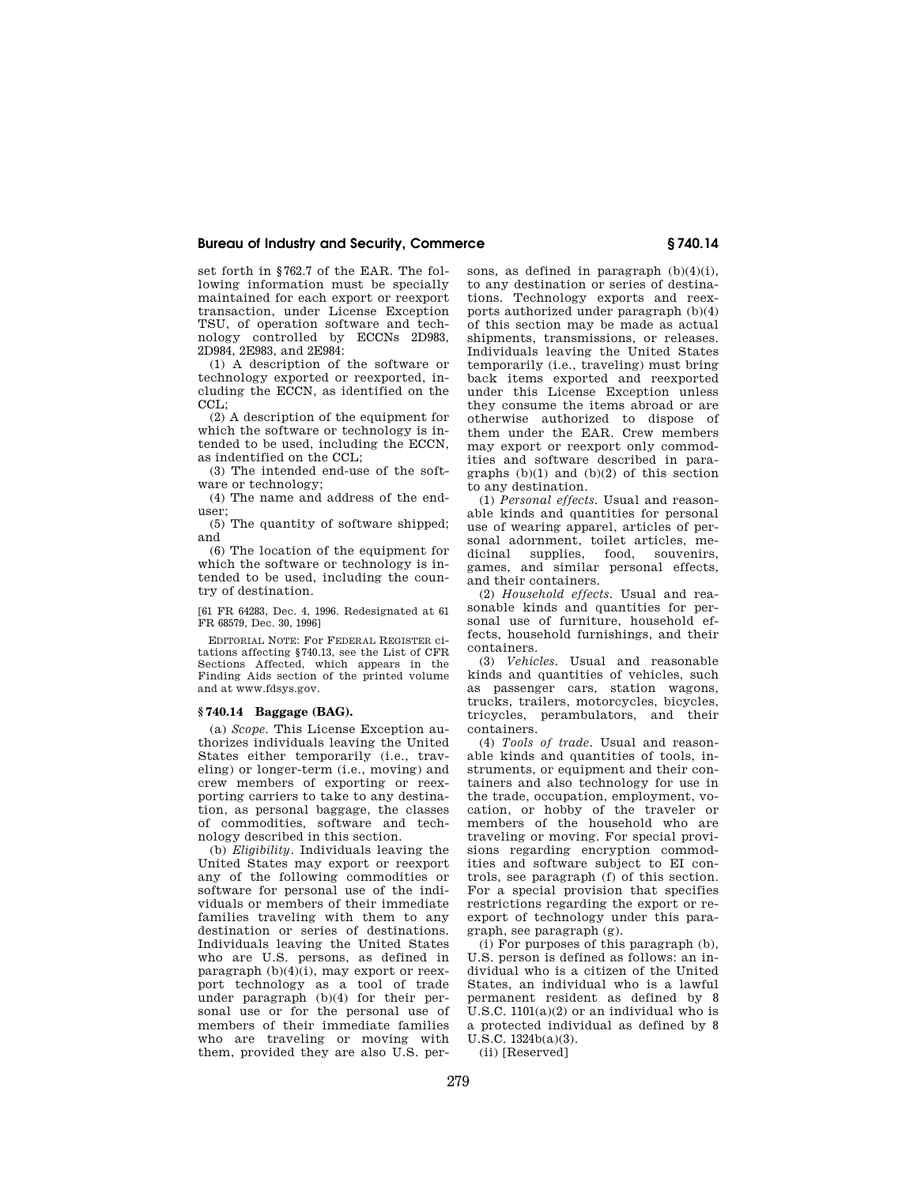set forth in §762.7 of the EAR. The following information must be specially maintained for each export or reexport transaction, under License Exception TSU, of operation software and technology controlled by ECCNs 2D983, 2D984, 2E983, and 2E984:

(1) A description of the software or technology exported or reexported, including the ECCN, as identified on the CCL:

(2) A description of the equipment for which the software or technology is intended to be used, including the ECCN, as indentified on the CCL;

(3) The intended end-use of the software or technology;

(4) The name and address of the enduser;

(5) The quantity of software shipped; and

(6) The location of the equipment for which the software or technology is intended to be used, including the country of destination.

[61 FR 64283, Dec. 4, 1996. Redesignated at 61 FR 68579, Dec. 30, 1996]

EDITORIAL NOTE: For FEDERAL REGISTER citations affecting §740.13, see the List of CFR Sections Affected, which appears in the Finding Aids section of the printed volume and at www.fdsys.gov.

#### **§ 740.14 Baggage (BAG).**

(a) *Scope.* This License Exception authorizes individuals leaving the United States either temporarily (i.e., traveling) or longer-term (i.e., moving) and crew members of exporting or reexporting carriers to take to any destination, as personal baggage, the classes of commodities, software and technology described in this section.

(b) *Eligibility.* Individuals leaving the United States may export or reexport any of the following commodities or software for personal use of the individuals or members of their immediate families traveling with them to any destination or series of destinations. Individuals leaving the United States who are U.S. persons, as defined in paragraph  $(b)(4)(i)$ , may export or reexport technology as a tool of trade under paragraph (b)(4) for their personal use or for the personal use of members of their immediate families who are traveling or moving with them, provided they are also U.S. persons, as defined in paragraph (b)(4)(i), to any destination or series of destinations. Technology exports and reexports authorized under paragraph (b)(4) of this section may be made as actual shipments, transmissions, or releases. Individuals leaving the United States temporarily (i.e., traveling) must bring back items exported and reexported under this License Exception unless they consume the items abroad or are otherwise authorized to dispose of them under the EAR. Crew members may export or reexport only commodities and software described in paragraphs  $(b)(1)$  and  $(b)(2)$  of this section to any destination.

(1) *Personal effects.* Usual and reasonable kinds and quantities for personal use of wearing apparel, articles of personal adornment, toilet articles, medicinal supplies, food, souvenirs, games, and similar personal effects, and their containers.

(2) *Household effects.* Usual and reasonable kinds and quantities for personal use of furniture, household effects, household furnishings, and their containers.

(3) *Vehicles.* Usual and reasonable kinds and quantities of vehicles, such as passenger cars, station wagons, trucks, trailers, motorcycles, bicycles, tricycles, perambulators, and their containers.

(4) *Tools of trade.* Usual and reasonable kinds and quantities of tools, instruments, or equipment and their containers and also technology for use in the trade, occupation, employment, vocation, or hobby of the traveler or members of the household who are traveling or moving. For special provisions regarding encryption commodities and software subject to EI controls, see paragraph (f) of this section. For a special provision that specifies restrictions regarding the export or reexport of technology under this paragraph, see paragraph (g).

(i) For purposes of this paragraph (b), U.S. person is defined as follows: an individual who is a citizen of the United States, an individual who is a lawful permanent resident as defined by 8 U.S.C.  $1101(a)(2)$  or an individual who is a protected individual as defined by 8 U.S.C. 1324b(a)(3).

(ii) [Reserved]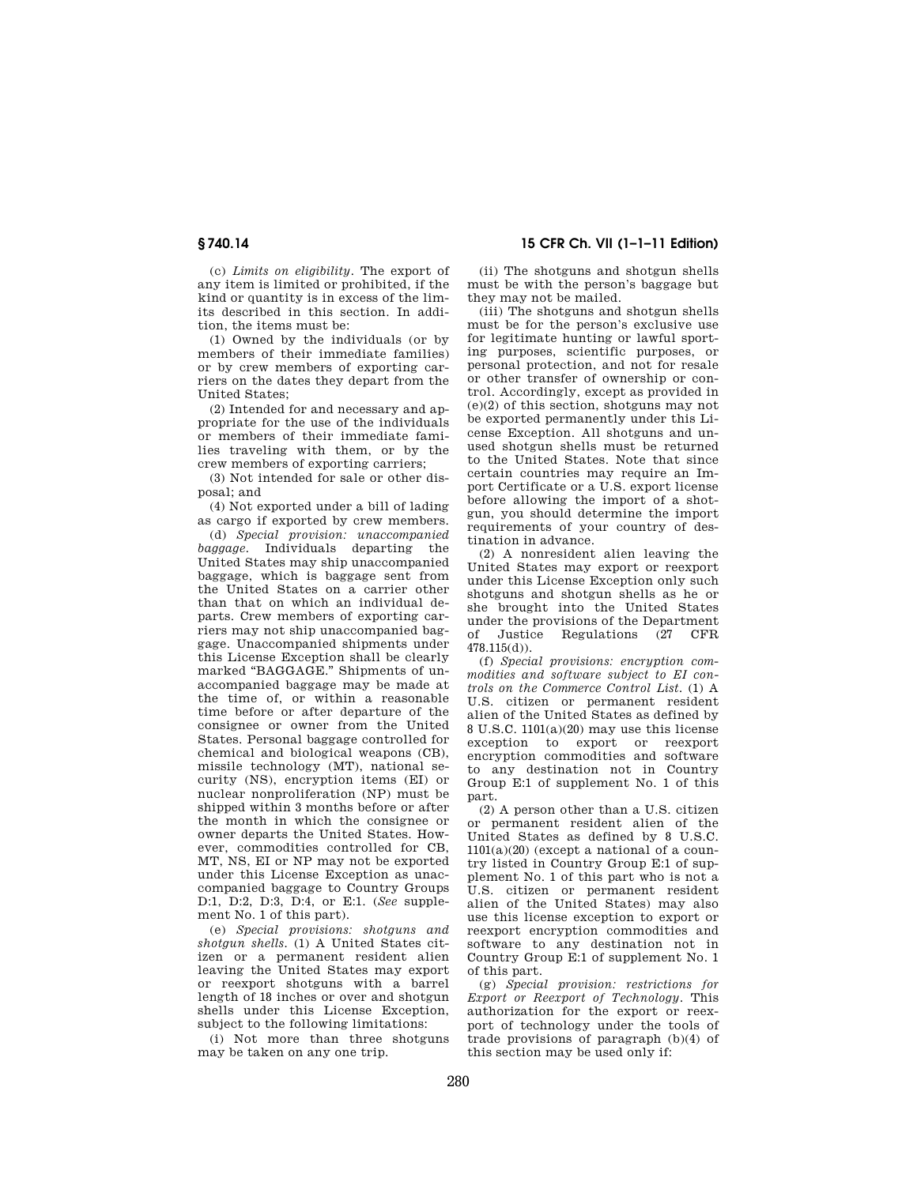(c) *Limits on eligibility.* The export of any item is limited or prohibited, if the kind or quantity is in excess of the limits described in this section. In addition, the items must be:

(1) Owned by the individuals (or by members of their immediate families) or by crew members of exporting carriers on the dates they depart from the United States;

(2) Intended for and necessary and appropriate for the use of the individuals or members of their immediate families traveling with them, or by the crew members of exporting carriers;

(3) Not intended for sale or other disposal; and

(4) Not exported under a bill of lading as cargo if exported by crew members.

(d) *Special provision: unaccompanied baggage.* Individuals departing the United States may ship unaccompanied baggage, which is baggage sent from the United States on a carrier other than that on which an individual departs. Crew members of exporting carriers may not ship unaccompanied baggage. Unaccompanied shipments under this License Exception shall be clearly marked "BAGGAGE." Shipments of unaccompanied baggage may be made at the time of, or within a reasonable time before or after departure of the consignee or owner from the United States. Personal baggage controlled for chemical and biological weapons (CB), missile technology (MT), national security (NS), encryption items (EI) or nuclear nonproliferation (NP) must be shipped within 3 months before or after the month in which the consignee or owner departs the United States. However, commodities controlled for CB, MT, NS, EI or NP may not be exported under this License Exception as unaccompanied baggage to Country Groups D:1, D:2, D:3, D:4, or E:1. (*See* supplement No. 1 of this part).

(e) *Special provisions: shotguns and shotgun shells.* (1) A United States citizen or a permanent resident alien leaving the United States may export or reexport shotguns with a barrel length of 18 inches or over and shotgun shells under this License Exception, subject to the following limitations:

(i) Not more than three shotguns may be taken on any one trip.

## **§ 740.14 15 CFR Ch. VII (1–1–11 Edition)**

(ii) The shotguns and shotgun shells must be with the person's baggage but they may not be mailed.

(iii) The shotguns and shotgun shells must be for the person's exclusive use for legitimate hunting or lawful sporting purposes, scientific purposes, or personal protection, and not for resale or other transfer of ownership or control. Accordingly, except as provided in (e)(2) of this section, shotguns may not be exported permanently under this License Exception. All shotguns and unused shotgun shells must be returned to the United States. Note that since certain countries may require an Import Certificate or a U.S. export license before allowing the import of a shotgun, you should determine the import requirements of your country of destination in advance.

(2) A nonresident alien leaving the United States may export or reexport under this License Exception only such shotguns and shotgun shells as he or she brought into the United States under the provisions of the Department of Justice Regulations (27 CFR 478.115(d)).

(f) *Special provisions: encryption commodities and software subject to EI controls on the Commerce Control List.* (1) A U.S. citizen or permanent resident alien of the United States as defined by 8 U.S.C. 1101(a)(20) may use this license exception to export or reexport encryption commodities and software to any destination not in Country Group E:1 of supplement No. 1 of this part.

(2) A person other than a U.S. citizen or permanent resident alien of the United States as defined by 8 U.S.C.  $1101(a)(20)$  (except a national of a country listed in Country Group E:1 of supplement No. 1 of this part who is not a U.S. citizen or permanent resident alien of the United States) may also use this license exception to export or reexport encryption commodities and software to any destination not in Country Group E:1 of supplement No. 1 of this part.

(g) *Special provision: restrictions for Export or Reexport of Technology.* This authorization for the export or reexport of technology under the tools of trade provisions of paragraph (b)(4) of this section may be used only if: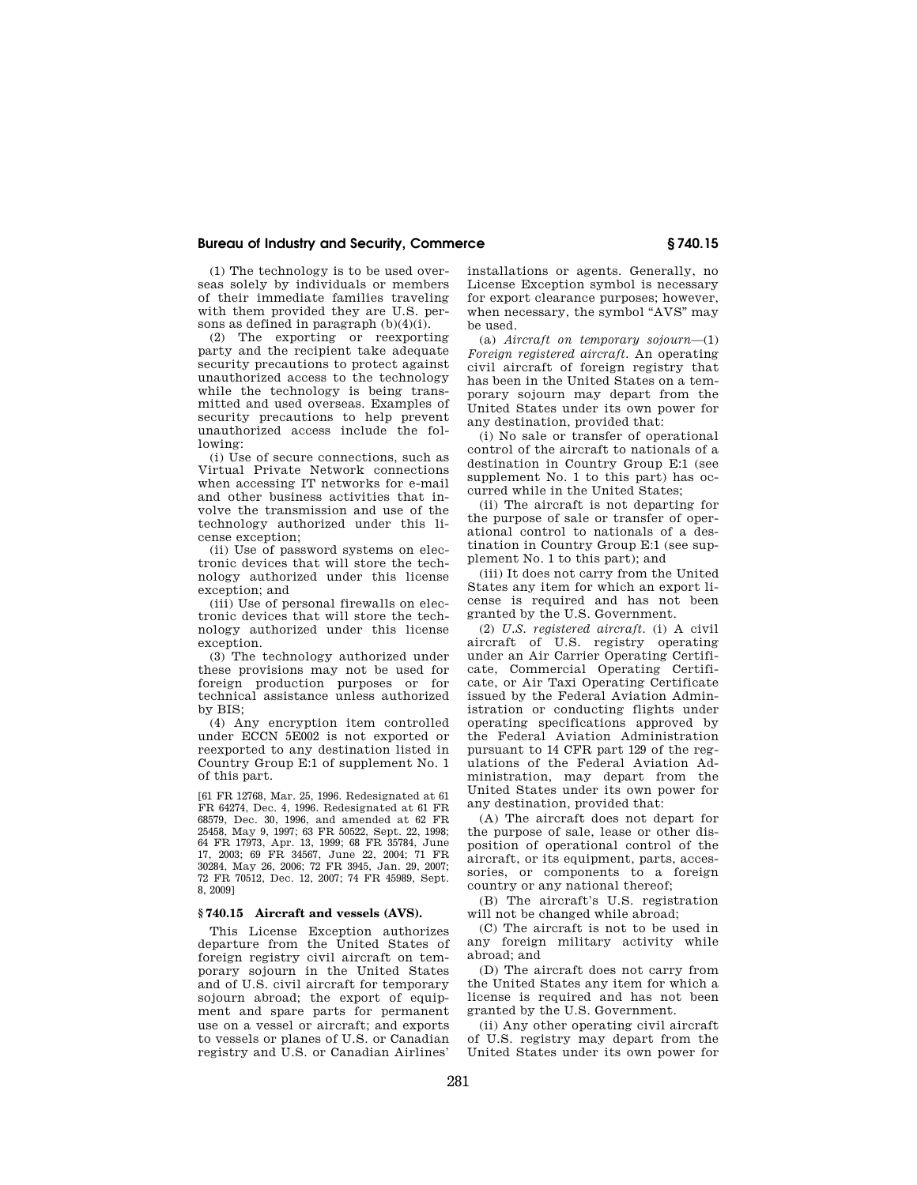(1) The technology is to be used overseas solely by individuals or members of their immediate families traveling with them provided they are U.S. persons as defined in paragraph (b)(4)(i).

(2) The exporting or reexporting party and the recipient take adequate security precautions to protect against unauthorized access to the technology while the technology is being transmitted and used overseas. Examples of security precautions to help prevent unauthorized access include the following:

(i) Use of secure connections, such as Virtual Private Network connections when accessing IT networks for e-mail and other business activities that involve the transmission and use of the technology authorized under this license exception;

(ii) Use of password systems on electronic devices that will store the technology authorized under this license exception; and

(iii) Use of personal firewalls on electronic devices that will store the technology authorized under this license exception.

(3) The technology authorized under these provisions may not be used for foreign production purposes or for technical assistance unless authorized by BIS;

(4) Any encryption item controlled under ECCN 5E002 is not exported or reexported to any destination listed in Country Group E:1 of supplement No. 1 of this part.

[61 FR 12768, Mar. 25, 1996. Redesignated at 61 FR 64274, Dec. 4, 1996. Redesignated at 61 FR 68579, Dec. 30, 1996, and amended at 62 FR 25458, May 9, 1997; 63 FR 50522, Sept. 22, 1998; 64 FR 17973, Apr. 13, 1999; 68 FR 35784, June 17, 2003; 69 FR 34567, June 22, 2004; 71 FR 30284, May 26, 2006; 72 FR 3945, Jan. 29, 2007; 72 FR 70512, Dec. 12, 2007; 74 FR 45989, Sept. 8, 2009]

#### **§ 740.15 Aircraft and vessels (AVS).**

This License Exception authorizes departure from the United States of foreign registry civil aircraft on temporary sojourn in the United States and of U.S. civil aircraft for temporary sojourn abroad; the export of equipment and spare parts for permanent use on a vessel or aircraft; and exports to vessels or planes of U.S. or Canadian registry and U.S. or Canadian Airlines'

installations or agents. Generally, no License Exception symbol is necessary for export clearance purposes; however, when necessary, the symbol "AVS" may be used.

(a) *Aircraft on temporary sojourn*—(1) *Foreign registered aircraft.* An operating civil aircraft of foreign registry that has been in the United States on a temporary sojourn may depart from the United States under its own power for any destination, provided that:

(i) No sale or transfer of operational control of the aircraft to nationals of a destination in Country Group E:1 (see supplement No. 1 to this part) has occurred while in the United States;

(ii) The aircraft is not departing for the purpose of sale or transfer of operational control to nationals of a destination in Country Group E:1 (see supplement No. 1 to this part); and

(iii) It does not carry from the United States any item for which an export license is required and has not been granted by the U.S. Government.

(2) *U.S. registered aircraft.* (i) A civil aircraft of U.S. registry operating under an Air Carrier Operating Certificate, Commercial Operating Certificate, or Air Taxi Operating Certificate issued by the Federal Aviation Administration or conducting flights under operating specifications approved by the Federal Aviation Administration pursuant to 14 CFR part 129 of the regulations of the Federal Aviation Administration, may depart from the United States under its own power for any destination, provided that:

(A) The aircraft does not depart for the purpose of sale, lease or other disposition of operational control of the aircraft, or its equipment, parts, accessories, or components to a foreign country or any national thereof;

(B) The aircraft's U.S. registration will not be changed while abroad;

(C) The aircraft is not to be used in any foreign military activity while abroad; and

(D) The aircraft does not carry from the United States any item for which a license is required and has not been granted by the U.S. Government.

(ii) Any other operating civil aircraft of U.S. registry may depart from the United States under its own power for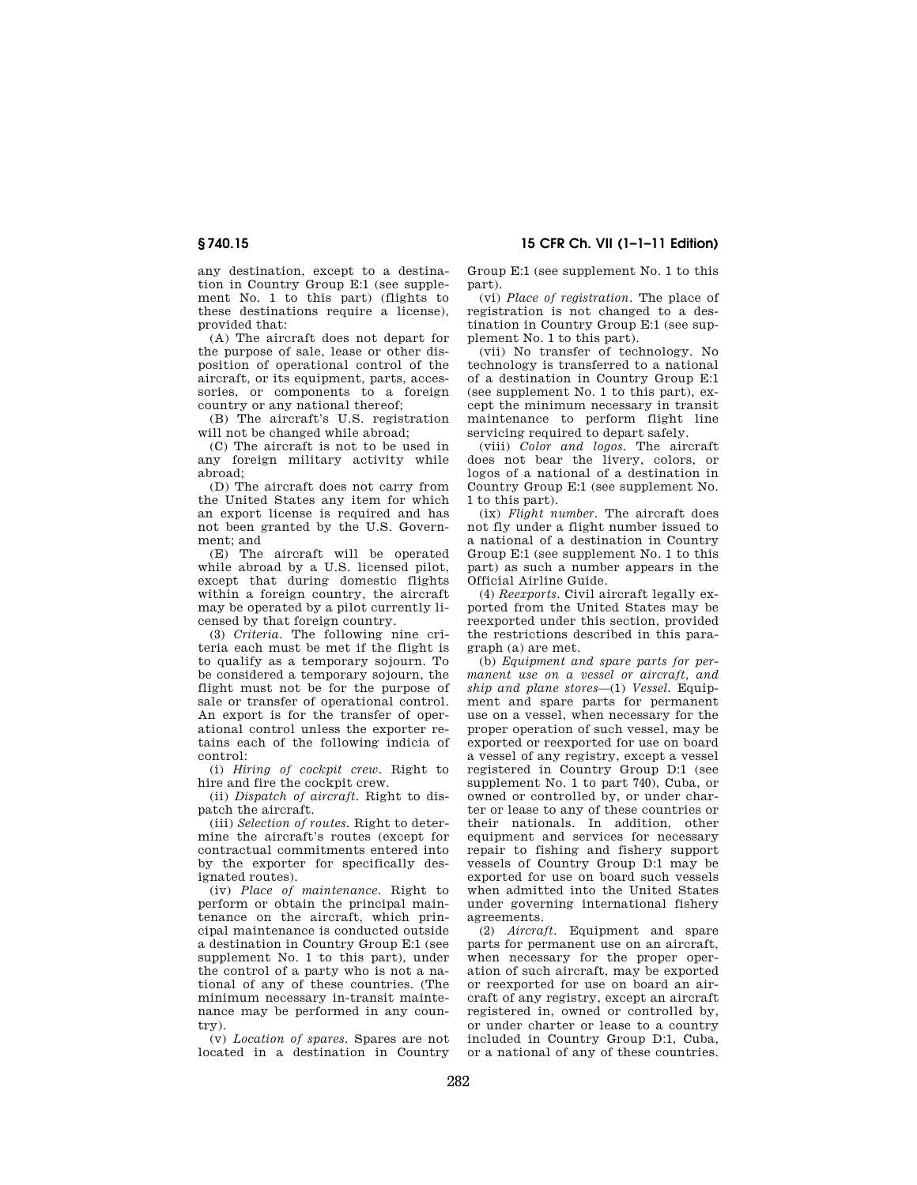any destination, except to a destination in Country Group E:1 (see supplement No. 1 to this part) (flights to these destinations require a license), provided that:

(A) The aircraft does not depart for the purpose of sale, lease or other disposition of operational control of the aircraft, or its equipment, parts, accessories, or components to a foreign country or any national thereof;

(B) The aircraft's U.S. registration will not be changed while abroad;

(C) The aircraft is not to be used in any foreign military activity while abroad;

(D) The aircraft does not carry from the United States any item for which an export license is required and has not been granted by the U.S. Government; and

(E) The aircraft will be operated while abroad by a U.S. licensed pilot, except that during domestic flights within a foreign country, the aircraft may be operated by a pilot currently licensed by that foreign country.

(3) *Criteria.* The following nine criteria each must be met if the flight is to qualify as a temporary sojourn. To be considered a temporary sojourn, the flight must not be for the purpose of sale or transfer of operational control. An export is for the transfer of operational control unless the exporter retains each of the following indicia of control:

(i) *Hiring of cockpit crew.* Right to hire and fire the cockpit crew.

(ii) *Dispatch of aircraft.* Right to dispatch the aircraft.

(iii) *Selection of routes.* Right to determine the aircraft's routes (except for contractual commitments entered into by the exporter for specifically designated routes).

(iv) *Place of maintenance.* Right to perform or obtain the principal maintenance on the aircraft, which principal maintenance is conducted outside a destination in Country Group E:1 (see supplement No. 1 to this part), under the control of a party who is not a national of any of these countries. (The minimum necessary in-transit maintenance may be performed in any country).

(v) *Location of spares.* Spares are not located in a destination in Country Group E:1 (see supplement No. 1 to this part).

(vi) *Place of registration.* The place of registration is not changed to a destination in Country Group E:1 (see supplement No. 1 to this part).

(vii) No transfer of technology. No technology is transferred to a national of a destination in Country Group E:1 (see supplement No. 1 to this part), except the minimum necessary in transit maintenance to perform flight line servicing required to depart safely.

(viii) *Color and logos.* The aircraft does not bear the livery, colors, or logos of a national of a destination in Country Group E:1 (see supplement No. 1 to this part).

(ix) *Flight number.* The aircraft does not fly under a flight number issued to a national of a destination in Country Group E:1 (see supplement No. 1 to this part) as such a number appears in the Official Airline Guide.

(4) *Reexports.* Civil aircraft legally exported from the United States may be reexported under this section, provided the restrictions described in this paragraph (a) are met.

(b) *Equipment and spare parts for permanent use on a vessel or aircraft, and ship and plane stores*—(1) *Vessel.* Equipment and spare parts for permanent use on a vessel, when necessary for the proper operation of such vessel, may be exported or reexported for use on board a vessel of any registry, except a vessel registered in Country Group D:1 (see supplement No. 1 to part 740), Cuba, or owned or controlled by, or under charter or lease to any of these countries or their nationals. In addition, other equipment and services for necessary repair to fishing and fishery support vessels of Country Group D:1 may be exported for use on board such vessels when admitted into the United States under governing international fishery agreements.

(2) *Aircraft.* Equipment and spare parts for permanent use on an aircraft, when necessary for the proper operation of such aircraft, may be exported or reexported for use on board an aircraft of any registry, except an aircraft registered in, owned or controlled by, or under charter or lease to a country included in Country Group D:1, Cuba, or a national of any of these countries.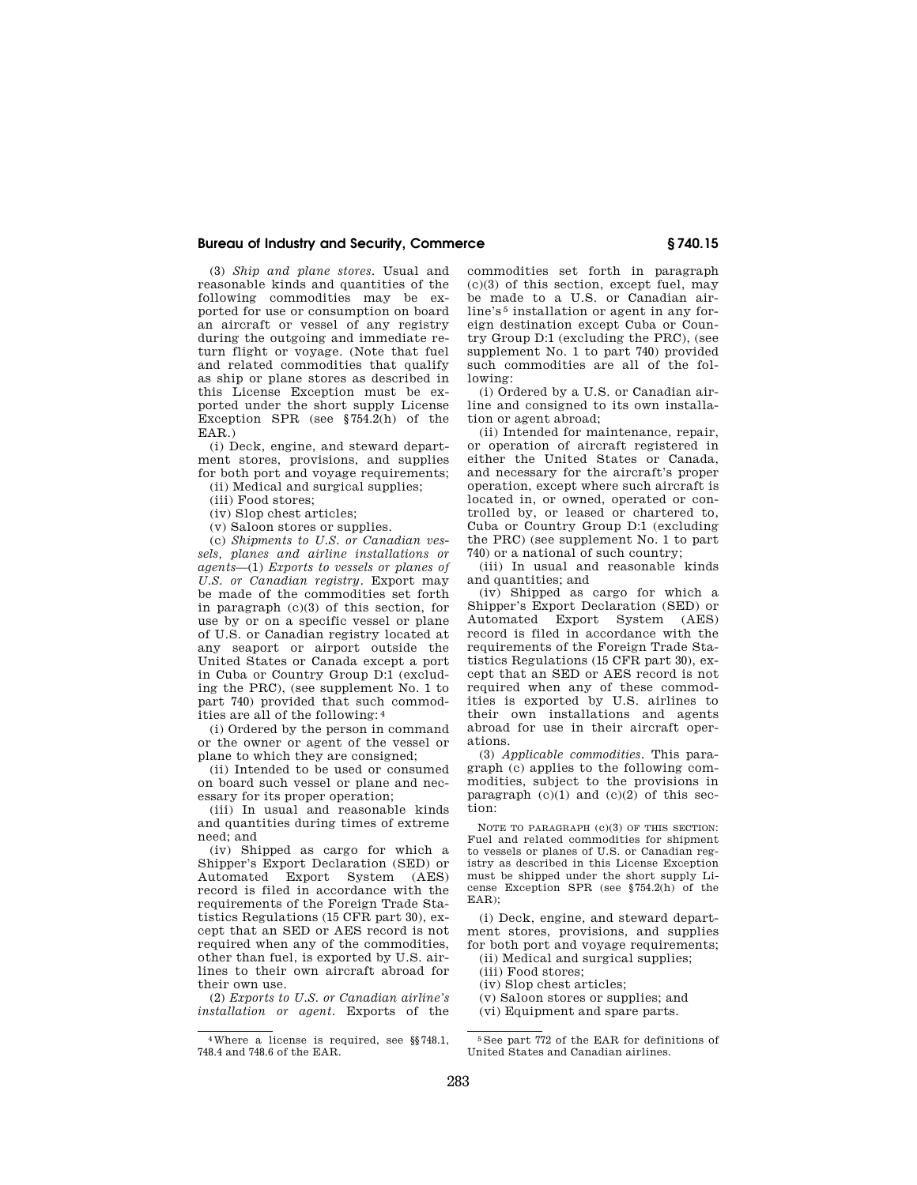(3) *Ship and plane stores.* Usual and reasonable kinds and quantities of the following commodities may be exported for use or consumption on board an aircraft or vessel of any registry during the outgoing and immediate return flight or voyage. (Note that fuel and related commodities that qualify as ship or plane stores as described in this License Exception must be exported under the short supply License Exception SPR (see §754.2(h) of the EAR.)

(i) Deck, engine, and steward department stores, provisions, and supplies for both port and voyage requirements;

(ii) Medical and surgical supplies;

(iii) Food stores;

(iv) Slop chest articles;

(v) Saloon stores or supplies.

(c) *Shipments to U.S. or Canadian vessels, planes and airline installations or agents*—(1) *Exports to vessels or planes of U.S. or Canadian registry.* Export may be made of the commodities set forth in paragraph (c)(3) of this section, for use by or on a specific vessel or plane of U.S. or Canadian registry located at any seaport or airport outside the United States or Canada except a port in Cuba or Country Group D:1 (excluding the PRC), (see supplement No. 1 to part 740) provided that such commodities are all of the following: 4

(i) Ordered by the person in command or the owner or agent of the vessel or plane to which they are consigned;

(ii) Intended to be used or consumed on board such vessel or plane and necessary for its proper operation;

(iii) In usual and reasonable kinds and quantities during times of extreme need; and

(iv) Shipped as cargo for which a Shipper's Export Declaration (SED) or Automated Export System (AES) record is filed in accordance with the requirements of the Foreign Trade Statistics Regulations (15 CFR part 30), except that an SED or AES record is not required when any of the commodities, other than fuel, is exported by U.S. airlines to their own aircraft abroad for their own use.

(2) *Exports to U.S. or Canadian airline's installation or agent.* Exports of the

commodities set forth in paragraph  $(c)(3)$  of this section, except fuel, may be made to a U.S. or Canadian airline's<sup>5</sup> installation or agent in any foreign destination except Cuba or Country Group D:1 (excluding the PRC), (see supplement No. 1 to part 740) provided such commodities are all of the following:

(i) Ordered by a U.S. or Canadian airline and consigned to its own installation or agent abroad;

(ii) Intended for maintenance, repair, or operation of aircraft registered in either the United States or Canada, and necessary for the aircraft's proper operation, except where such aircraft is located in, or owned, operated or controlled by, or leased or chartered to, Cuba or Country Group D:1 (excluding the PRC) (see supplement No. 1 to part 740) or a national of such country;

(iii) In usual and reasonable kinds and quantities; and

(iv) Shipped as cargo for which a Shipper's Export Declaration (SED) or Automated Export System (AES) record is filed in accordance with the requirements of the Foreign Trade Statistics Regulations (15 CFR part 30), except that an SED or AES record is not required when any of these commodities is exported by U.S. airlines to their own installations and agents abroad for use in their aircraft operations.

(3) *Applicable commodities.* This paragraph (c) applies to the following commodities, subject to the provisions in paragraph  $(c)(1)$  and  $(c)(2)$  of this section:

NOTE TO PARAGRAPH (c)(3) OF THIS SECTION: Fuel and related commodities for shipment to vessels or planes of U.S. or Canadian registry as described in this License Exception must be shipped under the short supply License Exception SPR (see §754.2(h) of the EAR);

(i) Deck, engine, and steward department stores, provisions, and supplies for both port and voyage requirements;

(ii) Medical and surgical supplies;

(iii) Food stores;

- (iv) Slop chest articles;
- (v) Saloon stores or supplies; and
- (vi) Equipment and spare parts.

<sup>4</sup>Where a license is required, see §§748.1, 748.4 and 748.6 of the EAR.

<sup>5</sup> See part 772 of the EAR for definitions of United States and Canadian airlines.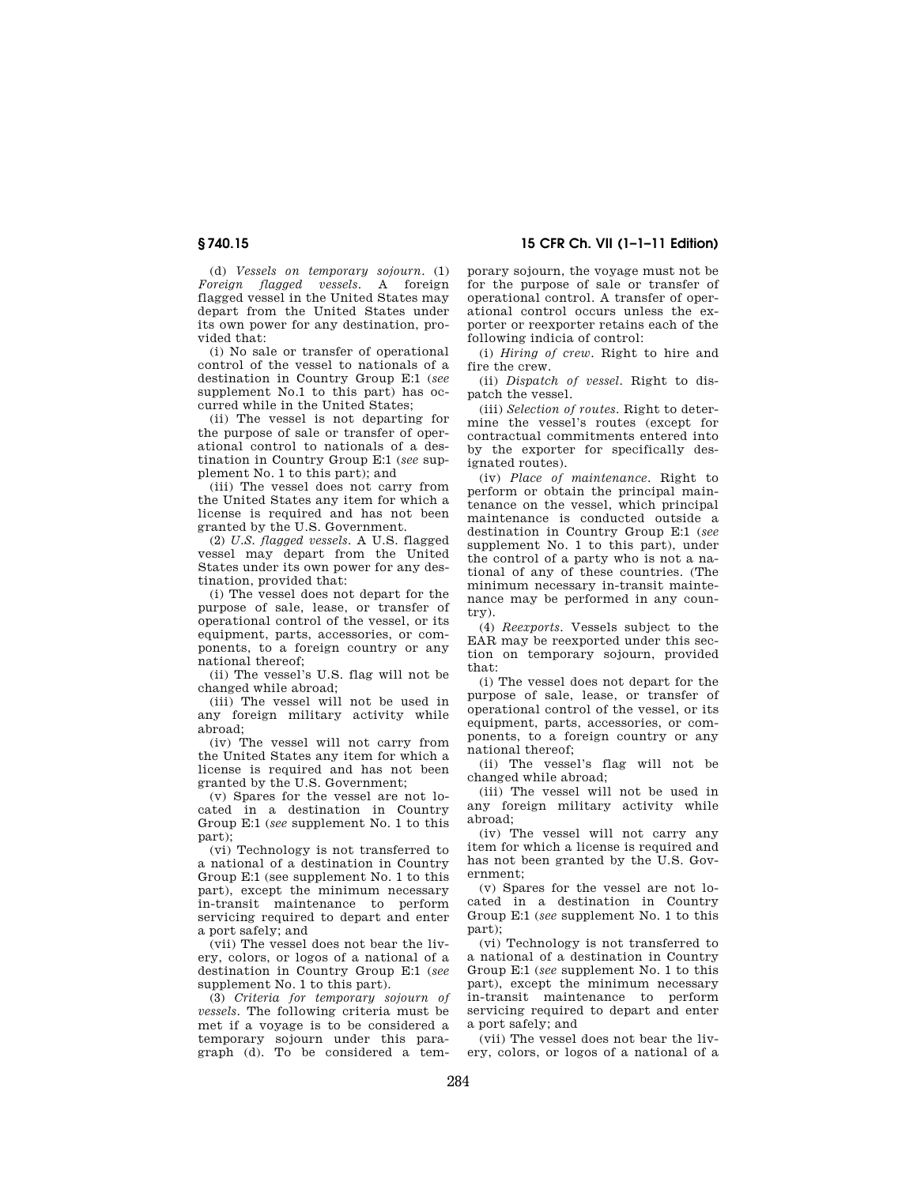(d) *Vessels on temporary sojourn*. (1) *Foreign flagged vessels*. A foreign flagged vessel in the United States may depart from the United States under its own power for any destination, provided that:

(i) No sale or transfer of operational control of the vessel to nationals of a destination in Country Group E:1 (*see*  supplement No.1 to this part) has occurred while in the United States;

(ii) The vessel is not departing for the purpose of sale or transfer of operational control to nationals of a destination in Country Group E:1 (*see* supplement No. 1 to this part); and

(iii) The vessel does not carry from the United States any item for which a license is required and has not been granted by the U.S. Government.

(2) *U.S. flagged vessels*. A U.S. flagged vessel may depart from the United States under its own power for any destination, provided that:

(i) The vessel does not depart for the purpose of sale, lease, or transfer of operational control of the vessel, or its equipment, parts, accessories, or components, to a foreign country or any national thereof;

(ii) The vessel's U.S. flag will not be changed while abroad;

(iii) The vessel will not be used in any foreign military activity while abroad;

(iv) The vessel will not carry from the United States any item for which a license is required and has not been granted by the U.S. Government;

(v) Spares for the vessel are not located in a destination in Country Group E:1 (*see* supplement No. 1 to this part);

(vi) Technology is not transferred to a national of a destination in Country Group E:1 (see supplement No. 1 to this part), except the minimum necessary in-transit maintenance to perform servicing required to depart and enter a port safely; and

(vii) The vessel does not bear the livery, colors, or logos of a national of a destination in Country Group E:1 (*see*  supplement No. 1 to this part).

(3) *Criteria for temporary sojourn of vessels*. The following criteria must be met if a voyage is to be considered a temporary sojourn under this paragraph (d). To be considered a temporary sojourn, the voyage must not be for the purpose of sale or transfer of operational control. A transfer of operational control occurs unless the exporter or reexporter retains each of the following indicia of control:

(i) *Hiring of crew*. Right to hire and fire the crew.

(ii) *Dispatch of vessel*. Right to dispatch the vessel.

(iii) *Selection of routes*. Right to determine the vessel's routes (except for contractual commitments entered into by the exporter for specifically designated routes).

(iv) *Place of maintenance*. Right to perform or obtain the principal maintenance on the vessel, which principal maintenance is conducted outside a destination in Country Group E:1 (*see*  supplement No. 1 to this part), under the control of a party who is not a national of any of these countries. (The minimum necessary in-transit maintenance may be performed in any country).

(4) *Reexports*. Vessels subject to the EAR may be reexported under this section on temporary sojourn, provided that:

(i) The vessel does not depart for the purpose of sale, lease, or transfer of operational control of the vessel, or its equipment, parts, accessories, or components, to a foreign country or any national thereof;

(ii) The vessel's flag will not be changed while abroad;

(iii) The vessel will not be used in any foreign military activity while abroad;

(iv) The vessel will not carry any item for which a license is required and has not been granted by the U.S. Government;

(v) Spares for the vessel are not located in a destination in Country Group E:1 (*see* supplement No. 1 to this part);

(vi) Technology is not transferred to a national of a destination in Country Group E:1 (*see* supplement No. 1 to this part), except the minimum necessary in-transit maintenance to perform servicing required to depart and enter a port safely; and

(vii) The vessel does not bear the livery, colors, or logos of a national of a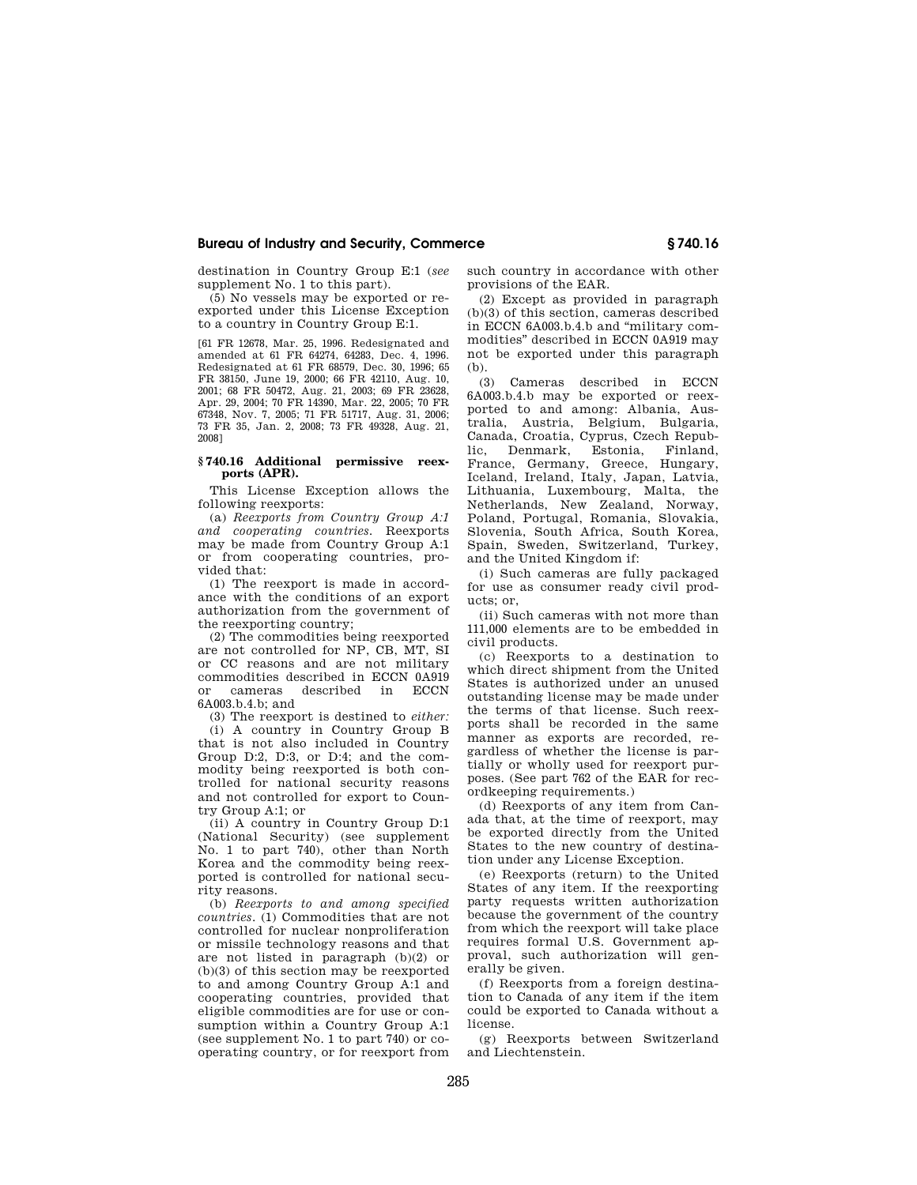destination in Country Group E:1 (*see*  supplement No. 1 to this part).

(5) No vessels may be exported or reexported under this License Exception to a country in Country Group E:1.

[61 FR 12678, Mar. 25, 1996. Redesignated and amended at 61 FR 64274, 64283, Dec. 4, 1996. Redesignated at 61 FR 68579, Dec. 30, 1996; 65 FR 38150, June 19, 2000; 66 FR 42110, Aug. 10, 2001; 68 FR 50472, Aug. 21, 2003; 69 FR 23628, Apr. 29, 2004; 70 FR 14390, Mar. 22, 2005; 70 FR 67348, Nov. 7, 2005; 71 FR 51717, Aug. 31, 2006; 73 FR 35, Jan. 2, 2008; 73 FR 49328, Aug. 21, 2008]

#### **§ 740.16 Additional permissive reexports (APR).**

This License Exception allows the following reexports:

(a) *Reexports from Country Group A:1 and cooperating countries.* Reexports may be made from Country Group A:1 or from cooperating countries, provided that:

(1) The reexport is made in accordance with the conditions of an export authorization from the government of the reexporting country;

(2) The commodities being reexported are not controlled for NP, CB, MT, SI or CC reasons and are not military commodities described in ECCN 0A919 or cameras described in ECCN 6A003.b.4.b; and

(3) The reexport is destined to *either:* 

(i) A country in Country Group B that is not also included in Country Group D:2, D:3, or D:4; and the commodity being reexported is both controlled for national security reasons and not controlled for export to Country Group A:1; or

(ii) A country in Country Group D:1 (National Security) (see supplement No. 1 to part 740), other than North Korea and the commodity being reexported is controlled for national security reasons.

(b) *Reexports to and among specified countries*. (1) Commodities that are not controlled for nuclear nonproliferation or missile technology reasons and that are not listed in paragraph (b)(2) or (b)(3) of this section may be reexported to and among Country Group A:1 and cooperating countries, provided that eligible commodities are for use or consumption within a Country Group A:1 (see supplement No. 1 to part 740) or cooperating country, or for reexport from

such country in accordance with other provisions of the EAR.

(2) Except as provided in paragraph (b)(3) of this section, cameras described in ECCN 6A003.b.4.b and ''military commodities'' described in ECCN 0A919 may not be exported under this paragraph (b).

(3) Cameras described in ECCN 6A003.b.4.b may be exported or reexported to and among: Albania, Australia, Austria, Belgium, Bulgaria, Canada, Croatia, Cyprus, Czech Republic, Denmark, Estonia, Finland, France, Germany, Greece, Hungary, Iceland, Ireland, Italy, Japan, Latvia, Lithuania, Luxembourg, Malta, the Netherlands, New Zealand, Norway, Poland, Portugal, Romania, Slovakia, Slovenia, South Africa, South Korea, Spain, Sweden, Switzerland, Turkey, and the United Kingdom if:

(i) Such cameras are fully packaged for use as consumer ready civil products; or,

(ii) Such cameras with not more than 111,000 elements are to be embedded in civil products.

(c) Reexports to a destination to which direct shipment from the United States is authorized under an unused outstanding license may be made under the terms of that license. Such reexports shall be recorded in the same manner as exports are recorded, regardless of whether the license is partially or wholly used for reexport purposes. (See part 762 of the EAR for recordkeeping requirements.)

(d) Reexports of any item from Canada that, at the time of reexport, may be exported directly from the United States to the new country of destination under any License Exception.

(e) Reexports (return) to the United States of any item. If the reexporting party requests written authorization because the government of the country from which the reexport will take place requires formal U.S. Government approval, such authorization will generally be given.

(f) Reexports from a foreign destination to Canada of any item if the item could be exported to Canada without a license.

(g) Reexports between Switzerland and Liechtenstein.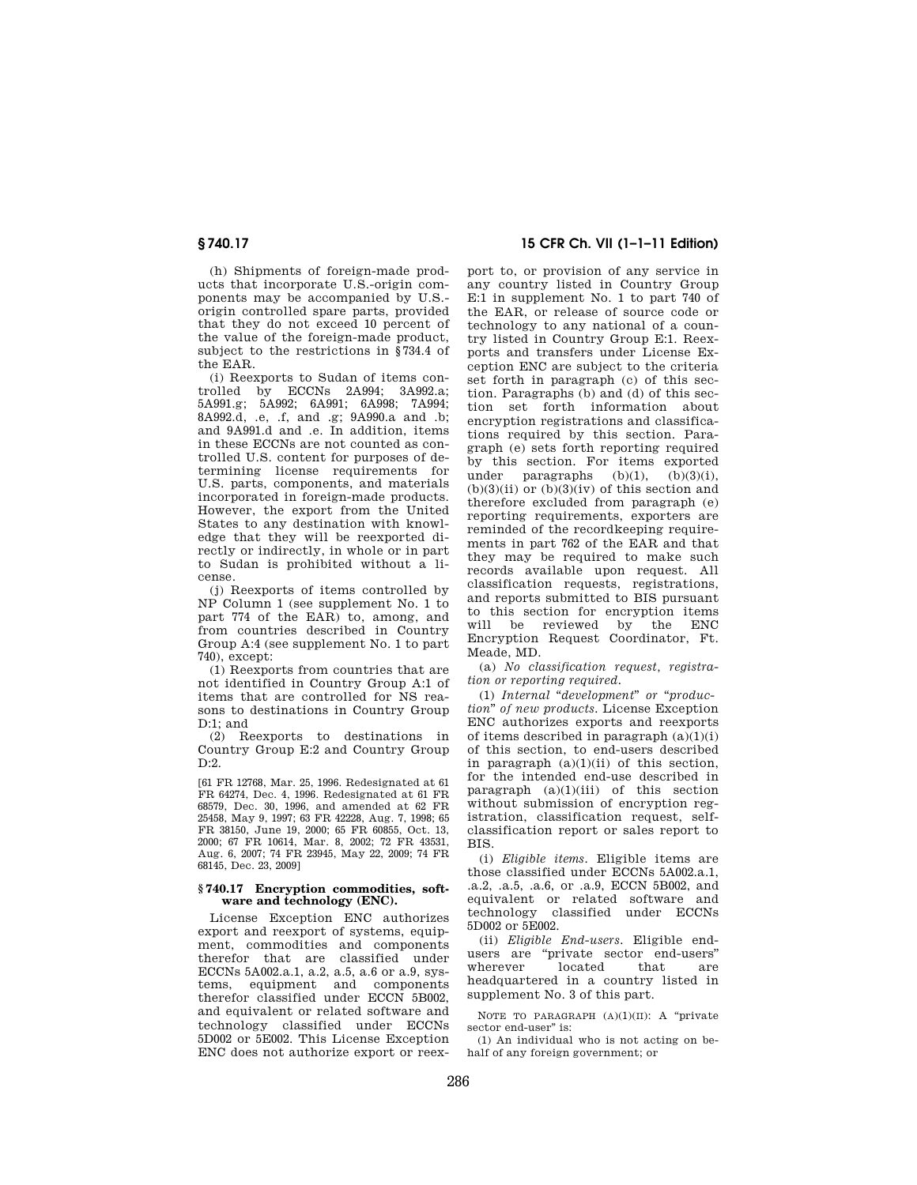(h) Shipments of foreign-made products that incorporate U.S.-origin components may be accompanied by U.S. origin controlled spare parts, provided that they do not exceed 10 percent of the value of the foreign-made product, subject to the restrictions in §734.4 of the EAR.

(i) Reexports to Sudan of items controlled by ECCNs 2A994; 3A992.a; 5A991.g; 5A992; 6A991; 6A998; 7A994; 8A992.d, .e, .f, and .g; 9A990.a and .b; and 9A991.d and .e. In addition, items in these ECCNs are not counted as controlled U.S. content for purposes of determining license requirements for U.S. parts, components, and materials incorporated in foreign-made products. However, the export from the United States to any destination with knowledge that they will be reexported directly or indirectly, in whole or in part to Sudan is prohibited without a license.

(j) Reexports of items controlled by NP Column 1 (see supplement No. 1 to part 774 of the EAR) to, among, and from countries described in Country Group A:4 (see supplement No. 1 to part 740), except:

(1) Reexports from countries that are not identified in Country Group A:1 of items that are controlled for NS reasons to destinations in Country Group D:1; and

(2) Reexports to destinations in Country Group E:2 and Country Group  $D:2$ .

[61 FR 12768, Mar. 25, 1996. Redesignated at 61 FR 64274, Dec. 4, 1996. Redesignated at 61 FR 68579, Dec. 30, 1996, and amended at 62 FR 25458, May 9, 1997; 63 FR 42228, Aug. 7, 1998; 65 FR 38150, June 19, 2000; 65 FR 60855, Oct. 13, 2000; 67 FR 10614, Mar. 8, 2002; 72 FR 43531, Aug. 6, 2007; 74 FR 23945, May 22, 2009; 74 FR 68145, Dec. 23, 2009]

#### **§ 740.17 Encryption commodities, software and technology (ENC).**

License Exception ENC authorizes export and reexport of systems, equipment, commodities and components therefor that are classified under ECCNs 5A002.a.1, a.2, a.5, a.6 or a.9, systems, equipment and components therefor classified under ECCN 5B002, and equivalent or related software and technology classified under ECCNs 5D002 or 5E002. This License Exception ENC does not authorize export or reex-

## **§ 740.17 15 CFR Ch. VII (1–1–11 Edition)**

port to, or provision of any service in any country listed in Country Group E:1 in supplement No. 1 to part 740 of the EAR, or release of source code or technology to any national of a country listed in Country Group E:1. Reexports and transfers under License Exception ENC are subject to the criteria set forth in paragraph (c) of this section. Paragraphs (b) and (d) of this section set forth information about encryption registrations and classifications required by this section. Paragraph (e) sets forth reporting required by this section. For items exported<br>under paragraphs  $(b)(1)$   $(b)(3)(i)$ paragraphs  $(b)(1)$ ,  $(b)(3)(ii)$  or  $(b)(3)(iv)$  of this section and therefore excluded from paragraph (e) reporting requirements, exporters are reminded of the recordkeeping requirements in part 762 of the EAR and that they may be required to make such records available upon request. All classification requests, registrations, and reports submitted to BIS pursuant to this section for encryption items will be reviewed by the ENC Encryption Request Coordinator, Ft. Meade, MD.

(a) *No classification request, registration or reporting required.* 

(1) *Internal* "*development*" or "*production*'' *of new products.* License Exception ENC authorizes exports and reexports of items described in paragraph  $(a)(1)(i)$ of this section, to end-users described in paragraph  $(a)(1)(ii)$  of this section, for the intended end-use described in paragraph  $(a)(1)(iii)$  of this section without submission of encryption registration, classification request, selfclassification report or sales report to BIS.

(i) *Eligible items.* Eligible items are those classified under ECCNs 5A002.a.1, .a.2, .a.5, .a.6, or .a.9, ECCN 5B002, and equivalent or related software and technology classified under ECCNs 5D002 or 5E002.

(ii) *Eligible End-users.* Eligible endusers are ''private sector end-users'' wherever located that are headquartered in a country listed in supplement No. 3 of this part.

NOTE TO PARAGRAPH  $(A)(1)(II)$ : A "private sector end-user" is:

(1) An individual who is not acting on behalf of any foreign government; or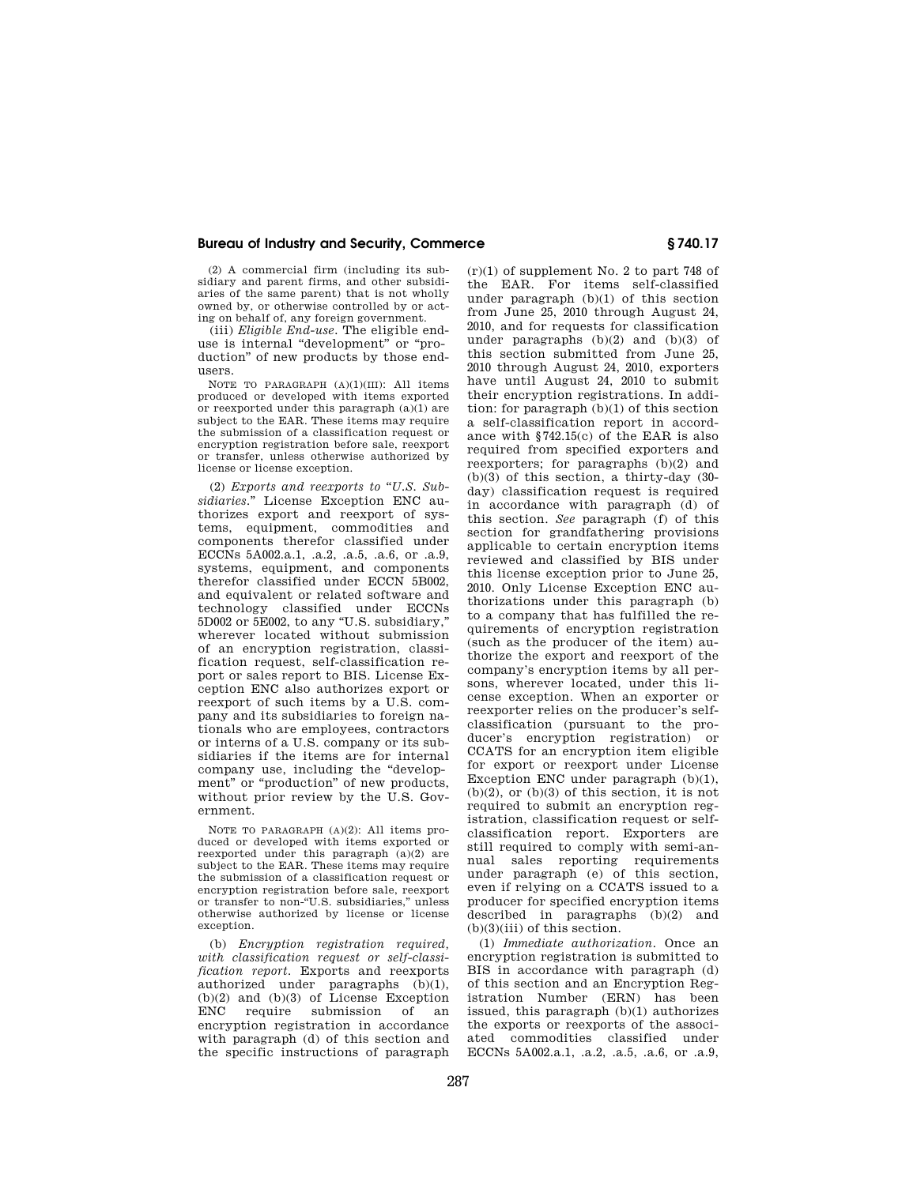(2) A commercial firm (including its subsidiary and parent firms, and other subsidiaries of the same parent) that is not wholly owned by, or otherwise controlled by or acting on behalf of, any foreign government.

(iii) *Eligible End-use.* The eligible enduse is internal ''development'' or ''production'' of new products by those endusers.

NOTE TO PARAGRAPH (A)(1)(III): All items produced or developed with items exported or reexported under this paragraph (a)(1) are subject to the EAR. These items may require the submission of a classification request or encryption registration before sale, reexport or transfer, unless otherwise authorized by license or license exception.

(2) *Exports and reexports to* ''*U.S. Subsidiaries.*'' License Exception ENC authorizes export and reexport of systems, equipment, commodities and components therefor classified under ECCNs 5A002.a.1, .a.2, .a.5, .a.6, or .a.9, systems, equipment, and components therefor classified under ECCN 5B002, and equivalent or related software and technology classified under ECCNs 5D002 or 5E002, to any ''U.S. subsidiary,'' wherever located without submission of an encryption registration, classification request, self-classification report or sales report to BIS. License Exception ENC also authorizes export or reexport of such items by a U.S. company and its subsidiaries to foreign nationals who are employees, contractors or interns of a U.S. company or its subsidiaries if the items are for internal company use, including the "development" or "production" of new products, without prior review by the U.S. Government.

NOTE TO PARAGRAPH (A)(2): All items produced or developed with items exported or reexported under this paragraph  $(a)(2)$  are subject to the EAR. These items may require the submission of a classification request or encryption registration before sale, reexport or transfer to non-''U.S. subsidiaries,'' unless otherwise authorized by license or license exception.

(b) *Encryption registration required, with classification request or self-classification report.* Exports and reexports authorized under paragraphs (b)(1),  $(b)(2)$  and  $(b)(3)$  of License Exception<br>ENC require submission of an require submission of encryption registration in accordance with paragraph (d) of this section and the specific instructions of paragraph

(r)(1) of supplement No. 2 to part 748 of the EAR. For items self-classified under paragraph (b)(1) of this section from June 25, 2010 through August 24, 2010, and for requests for classification under paragraphs (b)(2) and (b)(3) of this section submitted from June 25, 2010 through August 24, 2010, exporters have until August 24, 2010 to submit their encryption registrations. In addition: for paragraph (b)(1) of this section a self-classification report in accordance with §742.15(c) of the EAR is also required from specified exporters and reexporters; for paragraphs (b)(2) and (b)(3) of this section, a thirty-day (30 day) classification request is required in accordance with paragraph (d) of this section. *See* paragraph (f) of this section for grandfathering provisions applicable to certain encryption items reviewed and classified by BIS under this license exception prior to June 25, 2010. Only License Exception ENC authorizations under this paragraph (b) to a company that has fulfilled the requirements of encryption registration (such as the producer of the item) authorize the export and reexport of the company's encryption items by all persons, wherever located, under this license exception. When an exporter or reexporter relies on the producer's selfclassification (pursuant to the producer's encryption registration) or CCATS for an encryption item eligible for export or reexport under License Exception ENC under paragraph (b)(1),  $(b)(2)$ , or  $(b)(3)$  of this section, it is not required to submit an encryption registration, classification request or selfclassification report. Exporters are still required to comply with semi-annual sales reporting requirements under paragraph (e) of this section, even if relying on a CCATS issued to a producer for specified encryption items described in paragraphs (b)(2) and (b)(3)(iii) of this section.

(1) *Immediate authorization.* Once an encryption registration is submitted to BIS in accordance with paragraph (d) of this section and an Encryption Registration Number (ERN) has been issued, this paragraph (b)(1) authorizes the exports or reexports of the associated commodities classified under ECCNs 5A002.a.1, .a.2, .a.5, .a.6, or .a.9,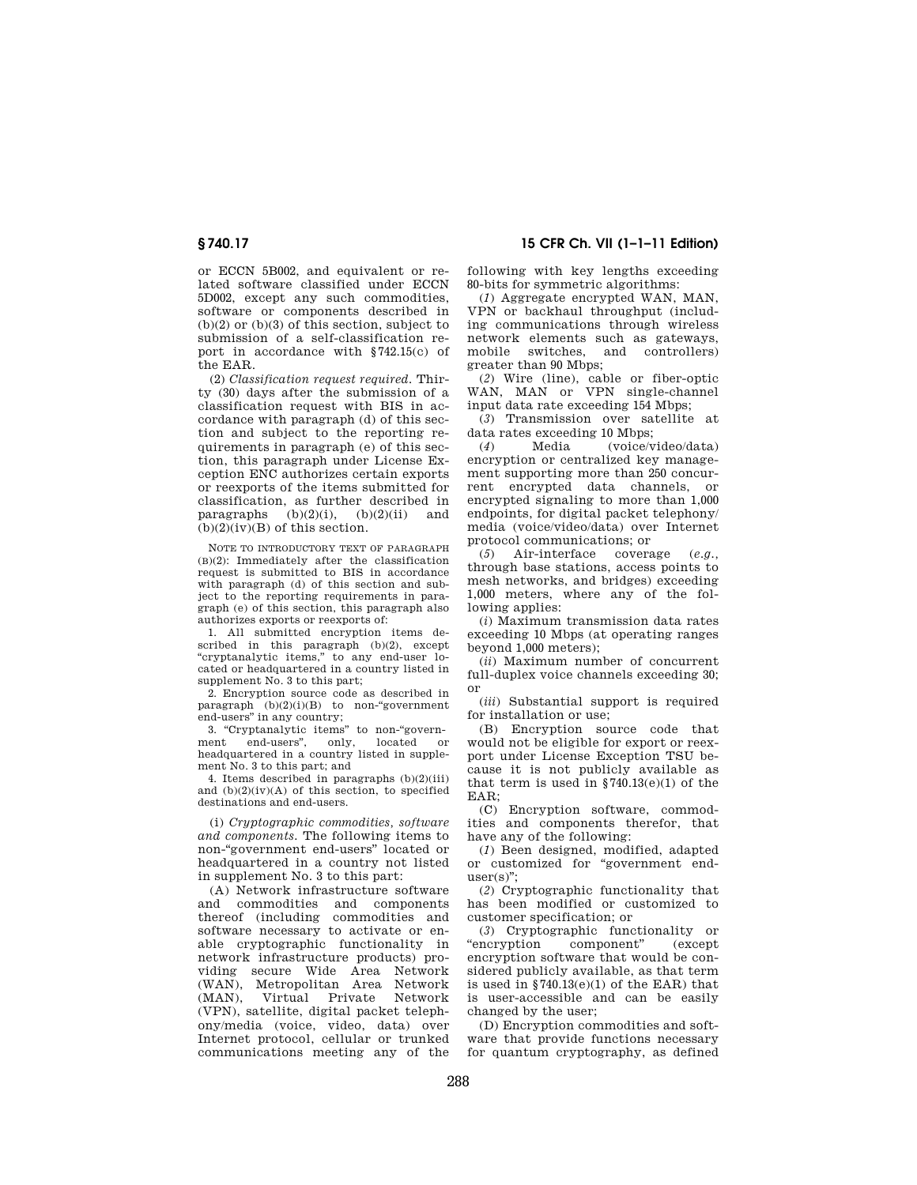or ECCN 5B002, and equivalent or related software classified under ECCN 5D002, except any such commodities, software or components described in  $(b)(2)$  or  $(b)(3)$  of this section, subject to submission of a self-classification report in accordance with §742.15(c) of the EAR.

(2) *Classification request required.* Thirty (30) days after the submission of a classification request with BIS in accordance with paragraph (d) of this section and subject to the reporting requirements in paragraph (e) of this section, this paragraph under License Exception ENC authorizes certain exports or reexports of the items submitted for classification, as further described in paragraphs  $(b)(2)(i)$ ,  $(b)(2)(ii)$  and  $(b)(2)(iv)(B)$  of this section.

NOTE TO INTRODUCTORY TEXT OF PARAGRAPH (B)(2): Immediately after the classification request is submitted to BIS in accordance with paragraph (d) of this section and subject to the reporting requirements in paragraph (e) of this section, this paragraph also authorizes exports or reexports of:

1. All submitted encryption items described in this paragraph (b)(2), except ''cryptanalytic items,'' to any end-user lo-cated or headquartered in a country listed in supplement No. 3 to this part;

2. Encryption source code as described in paragraph (b)(2)(i)(B) to non-"government end-users'' in any country;

3. "Cryptanalytic items" to non-"govern-<br>ment end-users", only, located or end-users", headquartered in a country listed in supplement No. 3 to this part; and

4. Items described in paragraphs (b)(2)(iii) and  $(b)(2)(iv)(A)$  of this section, to specified destinations and end-users.

(i) *Cryptographic commodities, software and components.* The following items to non-''government end-users'' located or headquartered in a country not listed in supplement No. 3 to this part:

(A) Network infrastructure software and commodities and components thereof (including commodities and software necessary to activate or enable cryptographic functionality in network infrastructure products) providing secure Wide Area Network (WAN), Metropolitan Area Network (MAN), Virtual Private Network (VPN), satellite, digital packet telephony/media (voice, video, data) over Internet protocol, cellular or trunked communications meeting any of the

**§ 740.17 15 CFR Ch. VII (1–1–11 Edition)** 

following with key lengths exceeding 80-bits for symmetric algorithms:

(*1*) Aggregate encrypted WAN, MAN, VPN or backhaul throughput (including communications through wireless network elements such as gateways, mobile switches, and controllers) greater than 90 Mbps;

(*2*) Wire (line), cable or fiber-optic WAN, MAN or VPN single-channel input data rate exceeding 154 Mbps;

(*3*) Transmission over satellite at

data rates exceeding 10 Mbps;<br>(4) Media (voice/v (*4*) Media (voice/video/data) encryption or centralized key management supporting more than 250 concurrent encrypted data channels, or encrypted signaling to more than 1,000 endpoints, for digital packet telephony/ media (voice/video/data) over Internet protocol communications; or

(*5*) Air-interface coverage (*e.g.,*  through base stations, access points to mesh networks, and bridges) exceeding 1,000 meters, where any of the following applies:

(*i*) Maximum transmission data rates exceeding 10 Mbps (at operating ranges beyond 1,000 meters);

(*ii*) Maximum number of concurrent full-duplex voice channels exceeding 30; or

(*iii*) Substantial support is required for installation or use;

(B) Encryption source code that would not be eligible for export or reexport under License Exception TSU because it is not publicly available as that term is used in  $$740.13(e)(1)$  of the  $EAP$ 

(C) Encryption software, commodities and components therefor, that have any of the following:

(*1*) Been designed, modified, adapted or customized for ''government end $user(s)$ ";

(*2*) Cryptographic functionality that has been modified or customized to customer specification; or

(*3*) Cryptographic functionality or  $\mathop{\rm component}\nolimits$ encryption software that would be considered publicly available, as that term is used in §740.13(e)(1) of the EAR) that is user-accessible and can be easily changed by the user;

(D) Encryption commodities and software that provide functions necessary for quantum cryptography, as defined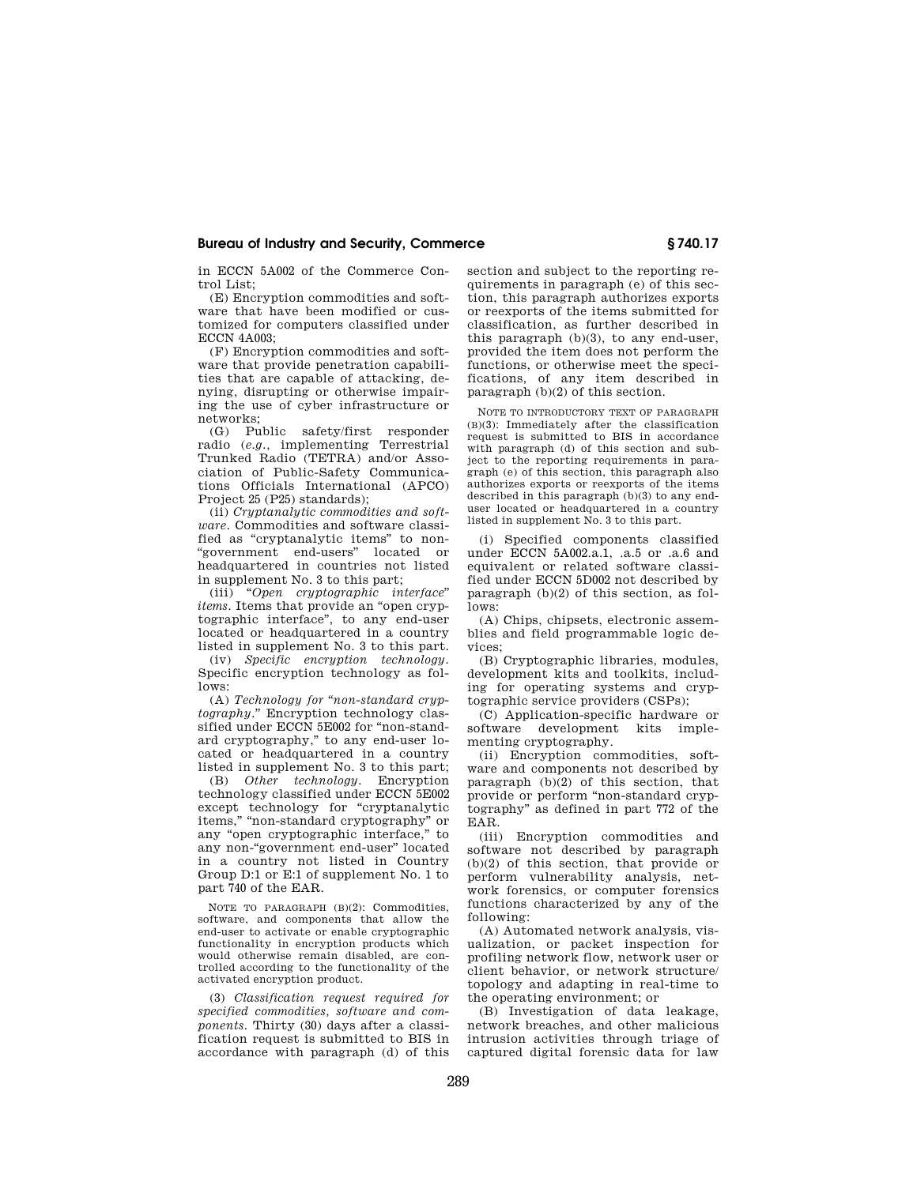in ECCN 5A002 of the Commerce Control List;

(E) Encryption commodities and software that have been modified or customized for computers classified under ECCN 4A003;

(F) Encryption commodities and software that provide penetration capabilities that are capable of attacking, denying, disrupting or otherwise impairing the use of cyber infrastructure or networks;

(G) Public safety/first responder radio (*e.g.,* implementing Terrestrial Trunked Radio (TETRA) and/or Association of Public-Safety Communications Officials International (APCO) Project 25 (P25) standards);

(ii) *Cryptanalytic commodities and software.* Commodities and software classified as ''cryptanalytic items'' to non- ''government end-users'' located or headquartered in countries not listed in supplement No. 3 to this part;

(iii) ''*Open cryptographic interface*'' *items.* Items that provide an "open cryptographic interface'', to any end-user located or headquartered in a country listed in supplement No. 3 to this part.

(iv) *Specific encryption technology.*  Specific encryption technology as follows:

(A) *Technology for* ''*non-standard cryptography.*'' Encryption technology classified under ECCN 5E002 for "non-standard cryptography,'' to any end-user located or headquartered in a country listed in supplement No. 3 to this part;

(B) *Other technology.* Encryption technology classified under ECCN 5E002 except technology for ''cryptanalytic items,'' ''non-standard cryptography'' or any ''open cryptographic interface,'' to any non-''government end-user'' located in a country not listed in Country Group D:1 or E:1 of supplement No. 1 to part 740 of the EAR.

NOTE TO PARAGRAPH (B)(2): Commodities, software, and components that allow the end-user to activate or enable cryptographic functionality in encryption products which would otherwise remain disabled, are controlled according to the functionality of the activated encryption product.

(3) *Classification request required for specified commodities, software and components.* Thirty (30) days after a classification request is submitted to BIS in accordance with paragraph (d) of this section and subject to the reporting requirements in paragraph (e) of this section, this paragraph authorizes exports or reexports of the items submitted for classification, as further described in this paragraph (b)(3), to any end-user, provided the item does not perform the functions, or otherwise meet the specifications, of any item described in paragraph (b)(2) of this section.

NOTE TO INTRODUCTORY TEXT OF PARAGRAPH (B)(3): Immediately after the classification request is submitted to BIS in accordance with paragraph (d) of this section and subject to the reporting requirements in paragraph (e) of this section, this paragraph also authorizes exports or reexports of the items described in this paragraph (b)(3) to any enduser located or headquartered in a country listed in supplement No. 3 to this part.

(i) Specified components classified under ECCN 5A002.a.1, .a.5 or .a.6 and equivalent or related software classified under ECCN 5D002 not described by paragraph  $(b)(2)$  of this section, as follows:

(A) Chips, chipsets, electronic assemblies and field programmable logic devices;

(B) Cryptographic libraries, modules, development kits and toolkits, including for operating systems and cryptographic service providers (CSPs);

(C) Application-specific hardware or software development kits implementing cryptography.

(ii) Encryption commodities, software and components not described by paragraph (b)(2) of this section, that provide or perform ''non-standard cryptography'' as defined in part 772 of the EAR.

(iii) Encryption commodities and software not described by paragraph (b)(2) of this section, that provide or perform vulnerability analysis, network forensics, or computer forensics functions characterized by any of the following:

(A) Automated network analysis, visualization, or packet inspection for profiling network flow, network user or client behavior, or network structure/ topology and adapting in real-time to the operating environment; or

(B) Investigation of data leakage, network breaches, and other malicious intrusion activities through triage of captured digital forensic data for law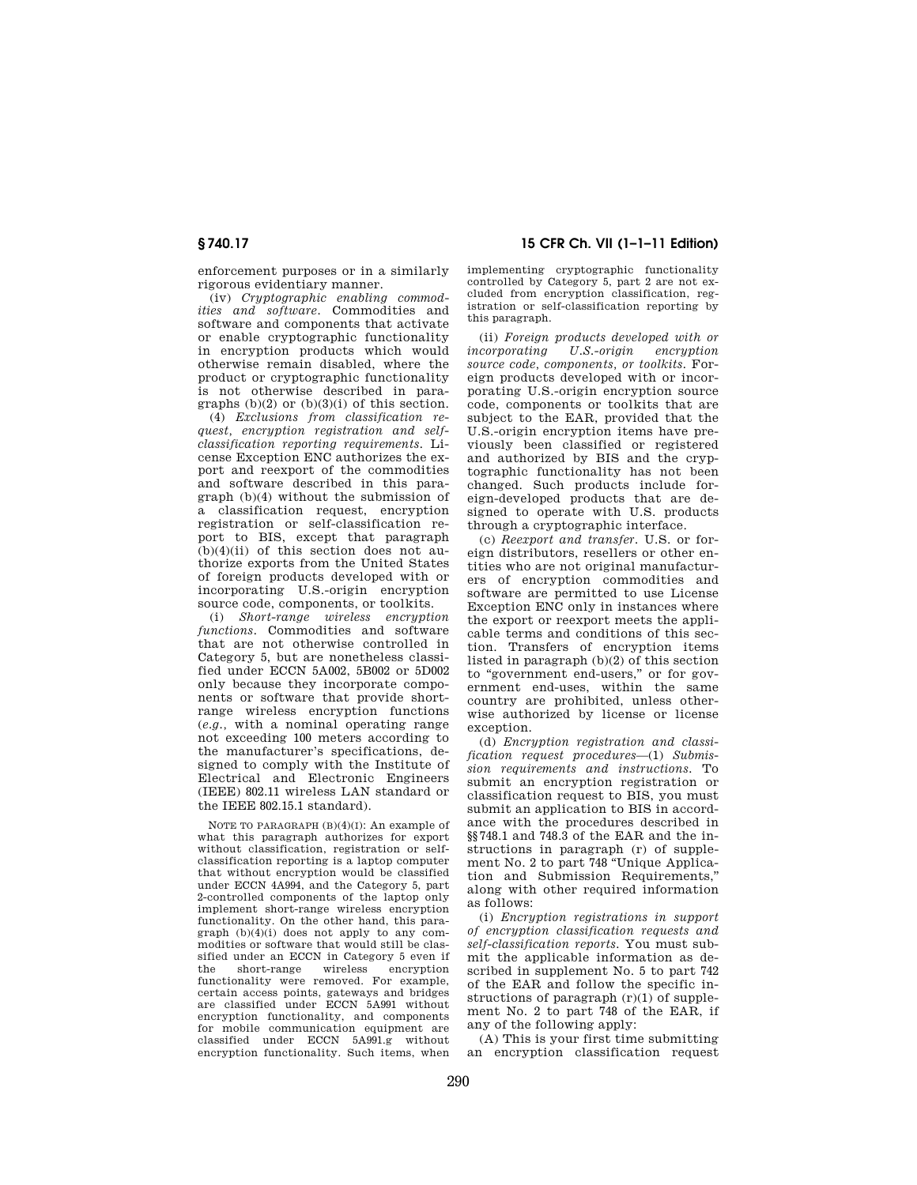enforcement purposes or in a similarly rigorous evidentiary manner.

(iv) *Cryptographic enabling commodities and software.* Commodities and software and components that activate or enable cryptographic functionality in encryption products which would otherwise remain disabled, where the product or cryptographic functionality is not otherwise described in paragraphs  $(b)(2)$  or  $(b)(3)(i)$  of this section.

(4) *Exclusions from classification request, encryption registration and selfclassification reporting requirements.* License Exception ENC authorizes the export and reexport of the commodities and software described in this paragraph (b)(4) without the submission of a classification request, encryption registration or self-classification report to BIS, except that paragraph  $(b)(4)(ii)$  of this section does not authorize exports from the United States of foreign products developed with or incorporating U.S.-origin encryption source code, components, or toolkits.

(i) *Short-range wireless encryption functions.* Commodities and software that are not otherwise controlled in Category 5, but are nonetheless classified under ECCN 5A002, 5B002 or 5D002 only because they incorporate components or software that provide shortrange wireless encryption functions (*e.g.,* with a nominal operating range not exceeding 100 meters according to the manufacturer's specifications, designed to comply with the Institute of Electrical and Electronic Engineers (IEEE) 802.11 wireless LAN standard or the IEEE 802.15.1 standard).

NOTE TO PARAGRAPH (B)(4)(I): An example of what this paragraph authorizes for export without classification, registration or selfclassification reporting is a laptop computer that without encryption would be classified under ECCN 4A994, and the Category 5, part 2-controlled components of the laptop only implement short-range wireless encryption functionality. On the other hand, this paragraph  $(b)(4)(i)$  does not apply to any commodities or software that would still be classified under an ECCN in Category 5 even if the short-range wireless encryption functionality were removed. For example, certain access points, gateways and bridges are classified under ECCN 5A991 without encryption functionality, and components for mobile communication equipment are classified under ECCN 5A991.g without encryption functionality. Such items, when

**§ 740.17 15 CFR Ch. VII (1–1–11 Edition)** 

implementing cryptographic functionality controlled by Category 5, part 2 are not excluded from encryption classification, registration or self-classification reporting by this paragraph.

(ii) *Foreign products developed with or incorporating U.S.-origin source code, components, or toolkits.* Foreign products developed with or incorporating U.S.-origin encryption source code, components or toolkits that are subject to the EAR, provided that the U.S.-origin encryption items have previously been classified or registered and authorized by BIS and the cryptographic functionality has not been changed. Such products include foreign-developed products that are designed to operate with U.S. products through a cryptographic interface.

(c) *Reexport and transfer.* U.S. or foreign distributors, resellers or other entities who are not original manufacturers of encryption commodities and software are permitted to use License Exception ENC only in instances where the export or reexport meets the applicable terms and conditions of this section. Transfers of encryption items listed in paragraph (b)(2) of this section to "government end-users," or for government end-uses, within the same country are prohibited, unless otherwise authorized by license or license exception.

(d) *Encryption registration and classification request procedures*—(1) *Submission requirements and instructions.* To submit an encryption registration or classification request to BIS, you must submit an application to BIS in accordance with the procedures described in §§748.1 and 748.3 of the EAR and the instructions in paragraph (r) of supplement No. 2 to part 748 ''Unique Application and Submission Requirements,'' along with other required information as follows:

(i) *Encryption registrations in support of encryption classification requests and self-classification reports.* You must submit the applicable information as described in supplement No. 5 to part 742 of the EAR and follow the specific instructions of paragraph  $(r)(1)$  of supplement No. 2 to part 748 of the EAR, if any of the following apply:

(A) This is your first time submitting an encryption classification request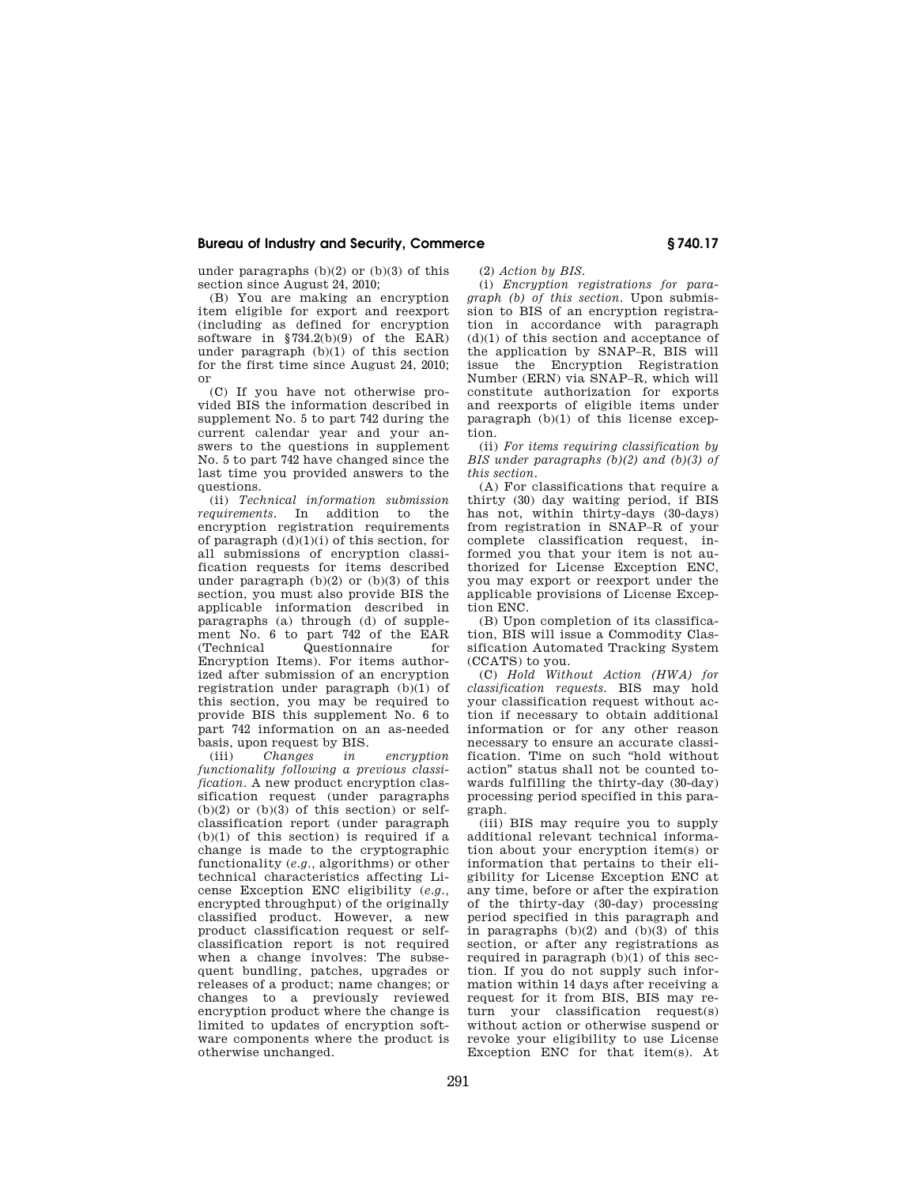under paragraphs (b)(2) or (b)(3) of this section since August 24, 2010;

(B) You are making an encryption item eligible for export and reexport (including as defined for encryption software in  $$734.2(b)(9)$  of the EAR) under paragraph (b)(1) of this section for the first time since August 24, 2010; or

(C) If you have not otherwise provided BIS the information described in supplement No. 5 to part 742 during the current calendar year and your answers to the questions in supplement No. 5 to part 742 have changed since the last time you provided answers to the questions.

(ii) *Technical information submission requirements.* In addition to the encryption registration requirements of paragraph  $(d)(1)(i)$  of this section, for all submissions of encryption classification requests for items described under paragraph  $(b)(2)$  or  $(b)(3)$  of this section, you must also provide BIS the applicable information described in paragraphs (a) through (d) of supplement No. 6 to part 742 of the EAR<br>(Technical Questionnaire for Questionnaire Encryption Items). For items authorized after submission of an encryption registration under paragraph (b)(1) of this section, you may be required to provide BIS this supplement No. 6 to part 742 information on an as-needed basis, upon request by BIS.<br>(iii) Changes in

(iii) *Changes in encryption functionality following a previous classification*. A new product encryption classification request (under paragraphs  $(b)(2)$  or  $(b)(3)$  of this section) or selfclassification report (under paragraph  $(b)(1)$  of this section) is required if a change is made to the cryptographic functionality (*e.g.,* algorithms) or other technical characteristics affecting License Exception ENC eligibility (*e.g.,*  encrypted throughput) of the originally classified product. However, a new product classification request or selfclassification report is not required when a change involves: The subsequent bundling, patches, upgrades or releases of a product; name changes; or changes to a previously reviewed encryption product where the change is limited to updates of encryption software components where the product is otherwise unchanged.

(2) *Action by BIS.* 

(i) *Encryption registrations for paragraph (b) of this section.* Upon submission to BIS of an encryption registration in accordance with paragraph (d)(1) of this section and acceptance of the application by SNAP–R, BIS will issue the Encryption Registration Number (ERN) via SNAP–R, which will constitute authorization for exports and reexports of eligible items under paragraph (b)(1) of this license exception.

(ii) *For items requiring classification by BIS under paragraphs (b)(2) and (b)(3) of this section.* 

(A) For classifications that require a thirty (30) day waiting period, if BIS has not, within thirty-days (30-days) from registration in SNAP–R of your complete classification request, informed you that your item is not authorized for License Exception ENC, you may export or reexport under the applicable provisions of License Exception ENC.

(B) Upon completion of its classification, BIS will issue a Commodity Classification Automated Tracking System (CCATS) to you.

(C) *Hold Without Action (HWA) for classification requests.* BIS may hold your classification request without action if necessary to obtain additional information or for any other reason necessary to ensure an accurate classification. Time on such ''hold without action'' status shall not be counted towards fulfilling the thirty-day (30-day) processing period specified in this paragraph.

(iii) BIS may require you to supply additional relevant technical information about your encryption item(s) or information that pertains to their eligibility for License Exception ENC at any time, before or after the expiration of the thirty-day (30-day) processing period specified in this paragraph and in paragraphs (b)(2) and (b)(3) of this section, or after any registrations as required in paragraph  $(b)(1)$  of this section. If you do not supply such information within 14 days after receiving a request for it from BIS, BIS may return your classification request(s) without action or otherwise suspend or revoke your eligibility to use License Exception ENC for that item(s). At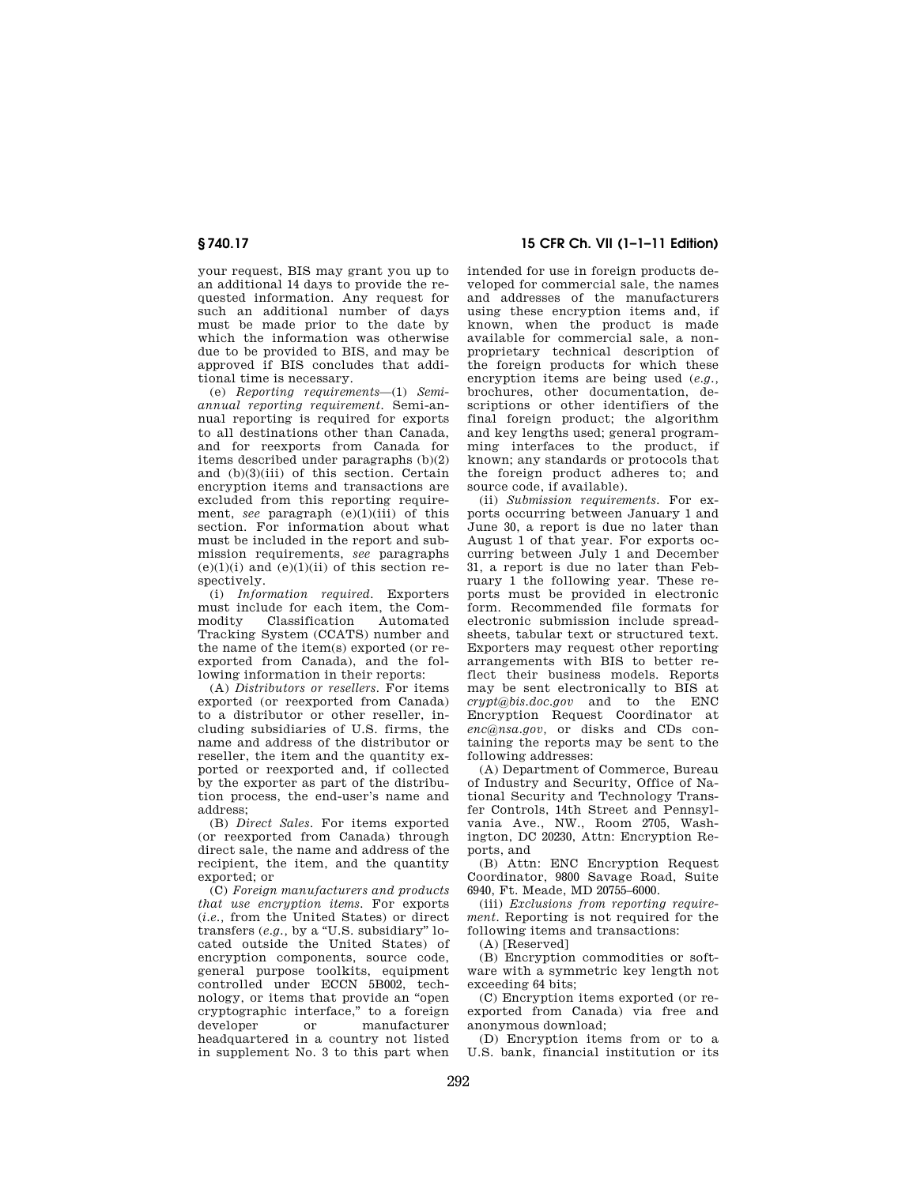your request, BIS may grant you up to an additional 14 days to provide the requested information. Any request for such an additional number of days must be made prior to the date by which the information was otherwise due to be provided to BIS, and may be approved if BIS concludes that additional time is necessary.

(e) *Reporting requirements*—(1) *Semiannual reporting requirement.* Semi-annual reporting is required for exports to all destinations other than Canada, and for reexports from Canada for items described under paragraphs (b)(2) and (b)(3)(iii) of this section. Certain encryption items and transactions are excluded from this reporting requirement, *see* paragraph (e)(1)(iii) of this section. For information about what must be included in the report and submission requirements, *see* paragraphs  $(e)(1)(i)$  and  $(e)(1)(ii)$  of this section respectively.

(i) *Information required.* Exporters must include for each item, the Com-<br>modity Classification Automated Classification Tracking System (CCATS) number and the name of the item(s) exported (or reexported from Canada), and the following information in their reports:

(A) *Distributors or resellers.* For items exported (or reexported from Canada) to a distributor or other reseller, including subsidiaries of U.S. firms, the name and address of the distributor or reseller, the item and the quantity exported or reexported and, if collected by the exporter as part of the distribution process, the end-user's name and address;

(B) *Direct Sales.* For items exported (or reexported from Canada) through direct sale, the name and address of the recipient, the item, and the quantity exported; or

(C) *Foreign manufacturers and products that use encryption items.* For exports (*i.e.,* from the United States) or direct transfers (*e.g.*, by a "U.S. subsidiary" located outside the United States) of encryption components, source code, general purpose toolkits, equipment controlled under ECCN 5B002, technology, or items that provide an ''open cryptographic interface,'' to a foreign developer or manufacturer headquartered in a country not listed in supplement No. 3 to this part when

**§ 740.17 15 CFR Ch. VII (1–1–11 Edition)** 

intended for use in foreign products developed for commercial sale, the names and addresses of the manufacturers using these encryption items and, if known, when the product is made available for commercial sale, a nonproprietary technical description of the foreign products for which these encryption items are being used (*e.g.,*  brochures, other documentation, descriptions or other identifiers of the final foreign product; the algorithm and key lengths used; general programming interfaces to the product, if known; any standards or protocols that the foreign product adheres to; and source code, if available).

(ii) *Submission requirements.* For exports occurring between January 1 and June 30, a report is due no later than August 1 of that year. For exports occurring between July 1 and December 31, a report is due no later than February 1 the following year. These reports must be provided in electronic form. Recommended file formats for electronic submission include spreadsheets, tabular text or structured text. Exporters may request other reporting arrangements with BIS to better reflect their business models. Reports may be sent electronically to BIS at *crypt@bis.doc.gov* and to the ENC Encryption Request Coordinator at *enc@nsa.gov,* or disks and CDs containing the reports may be sent to the following addresses:

(A) Department of Commerce, Bureau of Industry and Security, Office of National Security and Technology Transfer Controls, 14th Street and Pennsylvania Ave., NW., Room 2705, Washington, DC 20230, Attn: Encryption Reports, and

(B) Attn: ENC Encryption Request Coordinator, 9800 Savage Road, Suite 6940, Ft. Meade, MD 20755–6000.

(iii) *Exclusions from reporting requirement.* Reporting is not required for the following items and transactions:

(A) [Reserved]

(B) Encryption commodities or software with a symmetric key length not exceeding 64 bits;

(C) Encryption items exported (or reexported from Canada) via free and anonymous download;

(D) Encryption items from or to a U.S. bank, financial institution or its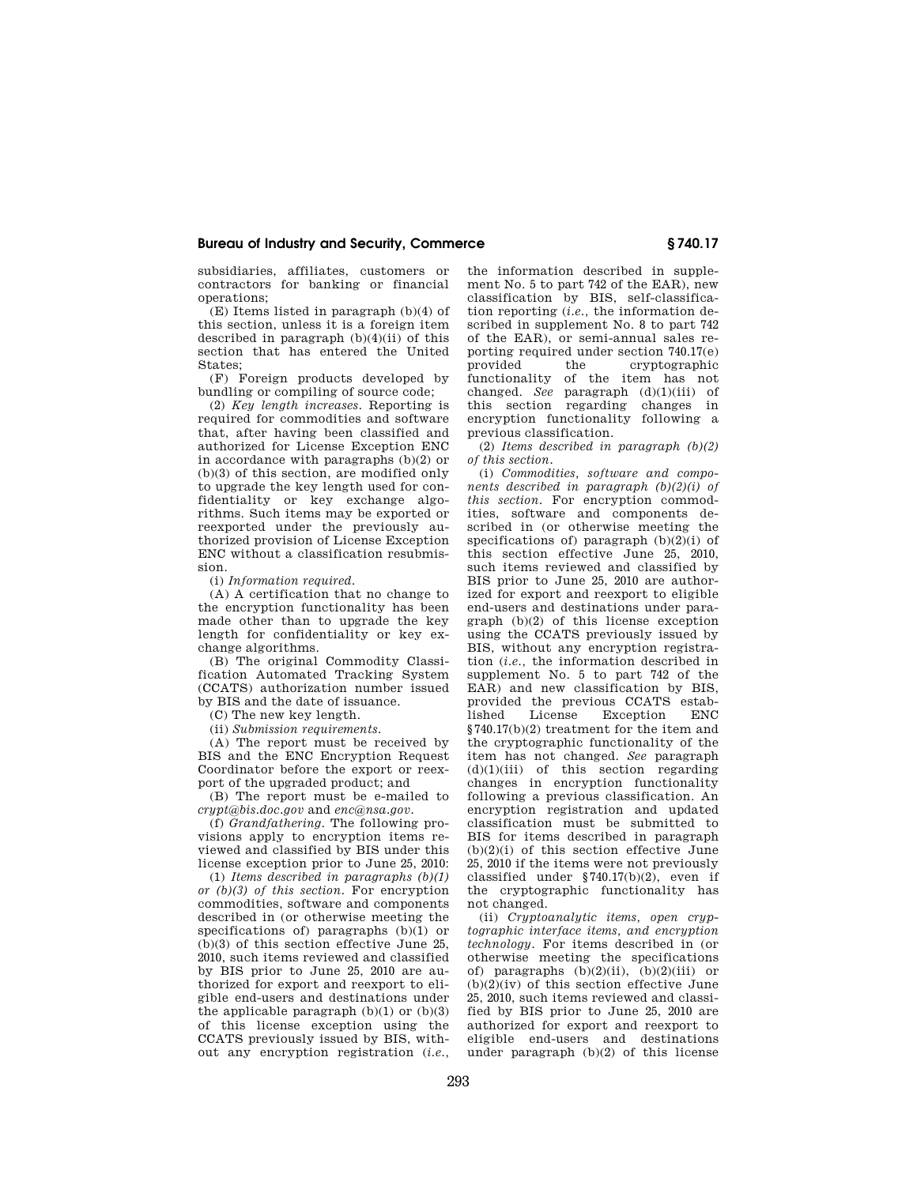subsidiaries, affiliates, customers or contractors for banking or financial operations;

(E) Items listed in paragraph (b)(4) of this section, unless it is a foreign item described in paragraph  $(b)(4)(ii)$  of this section that has entered the United States;

(F) Foreign products developed by bundling or compiling of source code;

(2) *Key length increases.* Reporting is required for commodities and software that, after having been classified and authorized for License Exception ENC in accordance with paragraphs (b)(2) or (b)(3) of this section, are modified only to upgrade the key length used for confidentiality or key exchange algorithms. Such items may be exported or reexported under the previously authorized provision of License Exception ENC without a classification resubmission.

(i) *Information required.* 

(A) A certification that no change to the encryption functionality has been made other than to upgrade the key length for confidentiality or key exchange algorithms.

(B) The original Commodity Classification Automated Tracking System (CCATS) authorization number issued by BIS and the date of issuance.

(C) The new key length.

(ii) *Submission requirements.* 

(A) The report must be received by BIS and the ENC Encryption Request Coordinator before the export or reexport of the upgraded product; and

(B) The report must be e-mailed to *crypt@bis.doc.gov* and *enc@nsa.gov.* 

(f) *Grandfathering.* The following provisions apply to encryption items reviewed and classified by BIS under this license exception prior to June 25, 2010:

(1) *Items described in paragraphs (b)(1) or (b)(3) of this section.* For encryption commodities, software and components described in (or otherwise meeting the specifications of) paragraphs (b)(1) or (b)(3) of this section effective June 25, 2010, such items reviewed and classified by BIS prior to June 25, 2010 are authorized for export and reexport to eligible end-users and destinations under the applicable paragraph  $(b)(1)$  or  $(b)(3)$ of this license exception using the CCATS previously issued by BIS, without any encryption registration (*i.e.,*  the information described in supplement No. 5 to part 742 of the EAR), new classification by BIS, self-classification reporting (*i.e.,* the information described in supplement No. 8 to part 742 of the EAR), or semi-annual sales reporting required under section 740.17(e)<br>provided the cryptographic provided the cryptographic<br>functionality of the item has not of the item has not changed. *See* paragraph (d)(1)(iii) of this section regarding changes in encryption functionality following a previous classification.

(2) *Items described in paragraph (b)(2) of this section.* 

(i) *Commodities, software and components described in paragraph (b)(2)(i) of this section.* For encryption commodities, software and components described in (or otherwise meeting the specifications of) paragraph  $(b)(2)(i)$  of this section effective June 25, 2010, such items reviewed and classified by BIS prior to June 25, 2010 are authorized for export and reexport to eligible end-users and destinations under paragraph (b)(2) of this license exception using the CCATS previously issued by BIS, without any encryption registration (*i.e.,* the information described in supplement No. 5 to part 742 of the EAR) and new classification by BIS, provided the previous CCATS estab-Exception §740.17(b)(2) treatment for the item and the cryptographic functionality of the item has not changed. *See* paragraph  $(d)(1)(iii)$  of this section regarding changes in encryption functionality following a previous classification. An encryption registration and updated classification must be submitted to BIS for items described in paragraph  $(b)(2)(i)$  of this section effective June 25, 2010 if the items were not previously classified under §740.17(b)(2), even if the cryptographic functionality has not changed.

(ii) *Cryptoanalytic items, open cryptographic interface items, and encryption technology.* For items described in (or otherwise meeting the specifications of) paragraphs  $(b)(2)(ii)$ ,  $(b)(2)(iii)$  or (b)(2)(iv) of this section effective June 25, 2010, such items reviewed and classified by BIS prior to June 25, 2010 are authorized for export and reexport to eligible end-users and destinations under paragraph (b)(2) of this license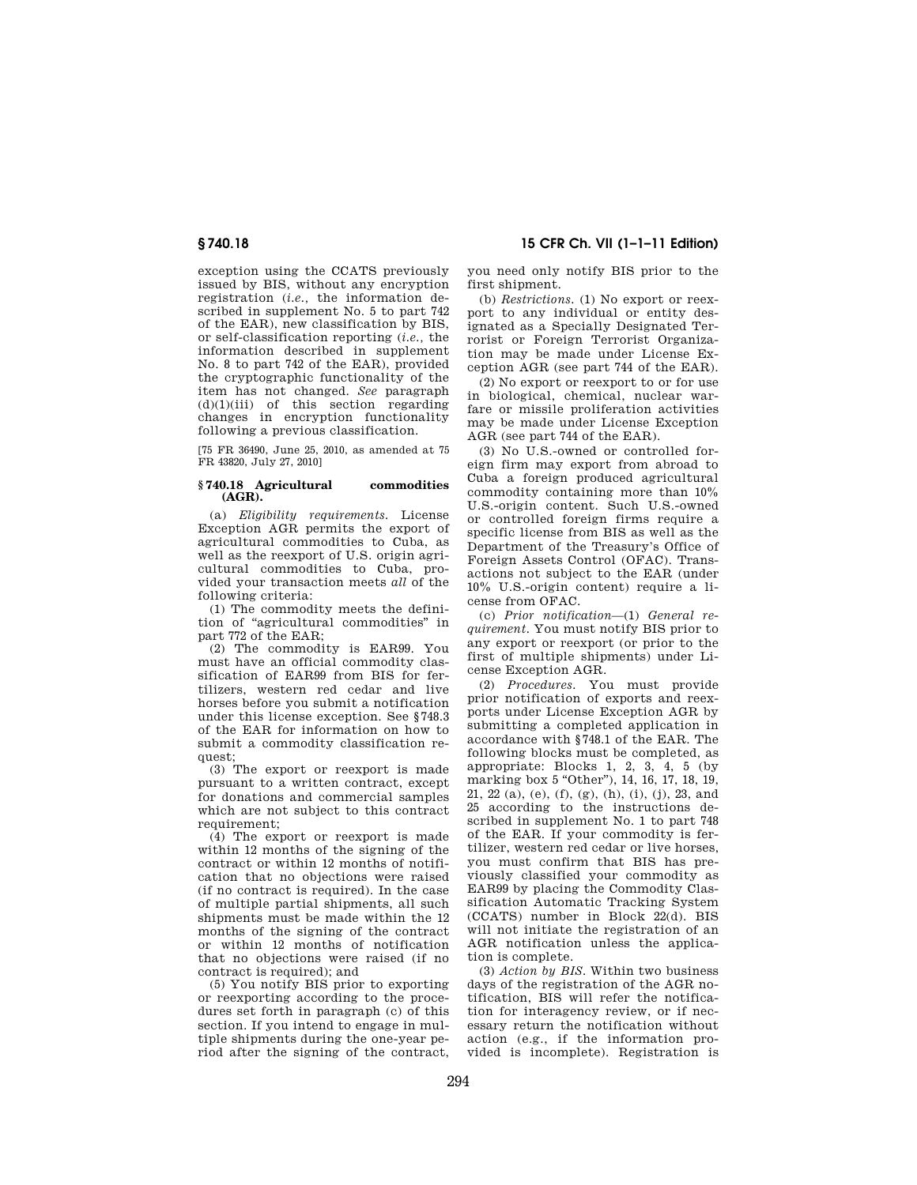## **§ 740.18 15 CFR Ch. VII (1–1–11 Edition)**

exception using the CCATS previously issued by BIS, without any encryption registration (*i.e.,* the information described in supplement No. 5 to part 742 of the EAR), new classification by BIS, or self-classification reporting (*i.e.,* the information described in supplement No. 8 to part 742 of the EAR), provided the cryptographic functionality of the item has not changed. *See* paragraph  $(d)(1)(iii)$  of this section regarding changes in encryption functionality following a previous classification.

[75 FR 36490, June 25, 2010, as amended at 75 FR 43820, July 27, 2010]

#### **§ 740.18 Agricultural commodities (AGR).**

(a) *Eligibility requirements.* License Exception AGR permits the export of agricultural commodities to Cuba, as well as the reexport of U.S. origin agricultural commodities to Cuba, provided your transaction meets *all* of the following criteria:

(1) The commodity meets the definition of ''agricultural commodities'' in part 772 of the EAR;

(2) The commodity is EAR99. You must have an official commodity classification of EAR99 from BIS for fertilizers, western red cedar and live horses before you submit a notification under this license exception. See §748.3 of the EAR for information on how to submit a commodity classification request;

(3) The export or reexport is made pursuant to a written contract, except for donations and commercial samples which are not subject to this contract requirement:

(4) The export or reexport is made within 12 months of the signing of the contract or within 12 months of notification that no objections were raised (if no contract is required). In the case of multiple partial shipments, all such shipments must be made within the 12 months of the signing of the contract or within 12 months of notification that no objections were raised (if no contract is required); and

(5) You notify BIS prior to exporting or reexporting according to the procedures set forth in paragraph (c) of this section. If you intend to engage in multiple shipments during the one-year period after the signing of the contract, you need only notify BIS prior to the first shipment.

(b) *Restrictions.* (1) No export or reexport to any individual or entity designated as a Specially Designated Terrorist or Foreign Terrorist Organization may be made under License Exception AGR (see part 744 of the EAR).

(2) No export or reexport to or for use in biological, chemical, nuclear warfare or missile proliferation activities may be made under License Exception AGR (see part 744 of the EAR).

(3) No U.S.-owned or controlled foreign firm may export from abroad to Cuba a foreign produced agricultural commodity containing more than 10% U.S.-origin content. Such U.S.-owned or controlled foreign firms require a specific license from BIS as well as the Department of the Treasury's Office of Foreign Assets Control (OFAC). Transactions not subject to the EAR (under 10% U.S.-origin content) require a license from OFAC.

(c) *Prior notification*—(1) *General requirement.* You must notify BIS prior to any export or reexport (or prior to the first of multiple shipments) under License Exception AGR.

(2) *Procedures.* You must provide prior notification of exports and reexports under License Exception AGR by submitting a completed application in accordance with §748.1 of the EAR. The following blocks must be completed, as appropriate: Blocks 1, 2, 3, 4, 5 (by marking box 5 "Other"), 14, 16, 17, 18, 19, 21, 22 (a), (e), (f), (g), (h), (i), (j), 23, and 25 according to the instructions described in supplement No. 1 to part 748 of the EAR. If your commodity is fertilizer, western red cedar or live horses, you must confirm that BIS has previously classified your commodity as EAR99 by placing the Commodity Classification Automatic Tracking System (CCATS) number in Block 22(d). BIS will not initiate the registration of an AGR notification unless the application is complete.

(3) *Action by BIS.* Within two business days of the registration of the AGR notification, BIS will refer the notification for interagency review, or if necessary return the notification without action (e.g., if the information provided is incomplete). Registration is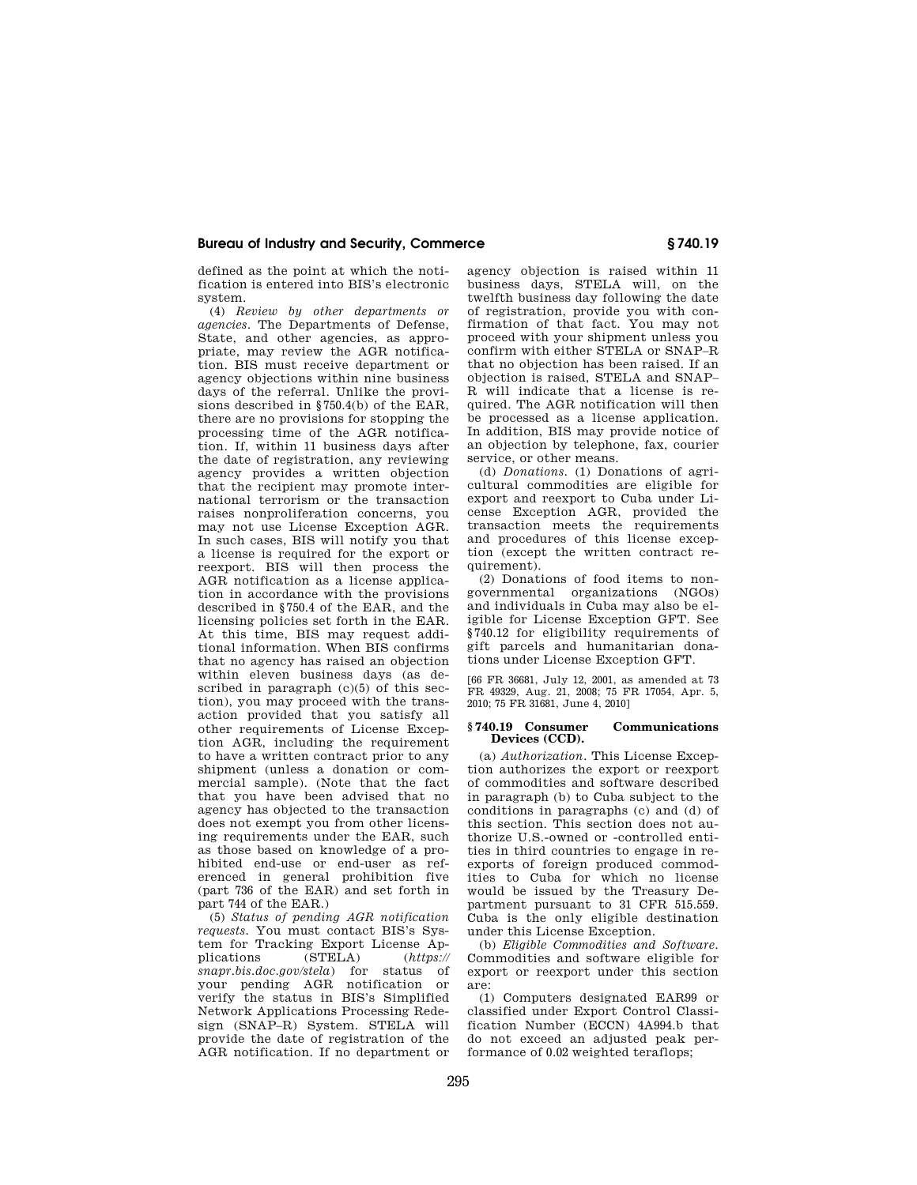defined as the point at which the notification is entered into BIS's electronic system.

(4) *Review by other departments or agencies.* The Departments of Defense, State, and other agencies, as appropriate, may review the AGR notification. BIS must receive department or agency objections within nine business days of the referral. Unlike the provisions described in §750.4(b) of the EAR, there are no provisions for stopping the processing time of the AGR notification. If, within 11 business days after the date of registration, any reviewing agency provides a written objection that the recipient may promote international terrorism or the transaction raises nonproliferation concerns, you may not use License Exception AGR. In such cases, BIS will notify you that a license is required for the export or reexport. BIS will then process the AGR notification as a license application in accordance with the provisions described in §750.4 of the EAR, and the licensing policies set forth in the EAR. At this time, BIS may request additional information. When BIS confirms that no agency has raised an objection within eleven business days (as described in paragraph  $(c)(5)$  of this section), you may proceed with the transaction provided that you satisfy all other requirements of License Exception AGR, including the requirement to have a written contract prior to any shipment (unless a donation or commercial sample). (Note that the fact that you have been advised that no agency has objected to the transaction does not exempt you from other licensing requirements under the EAR, such as those based on knowledge of a prohibited end-use or end-user as referenced in general prohibition five (part 736 of the EAR) and set forth in part 744 of the EAR.)

(5) *Status of pending AGR notification requests.* You must contact BIS's System for Tracking Export License Applications (STELA) (https:// plications (STELA) (*https:// snapr.bis.doc.gov/stela*) for status of your pending AGR notification or verify the status in BIS's Simplified Network Applications Processing Redesign (SNAP–R) System. STELA will provide the date of registration of the AGR notification. If no department or

agency objection is raised within 11 business days, STELA will, on the twelfth business day following the date of registration, provide you with confirmation of that fact. You may not proceed with your shipment unless you confirm with either STELA or SNAP–R that no objection has been raised. If an objection is raised, STELA and SNAP– R will indicate that a license is required. The AGR notification will then be processed as a license application. In addition, BIS may provide notice of an objection by telephone, fax, courier service, or other means.

(d) *Donations.* (1) Donations of agricultural commodities are eligible for export and reexport to Cuba under License Exception AGR, provided the transaction meets the requirements and procedures of this license exception (except the written contract re $quirement$ )

(2) Donations of food items to nongovernmental organizations (NGOs) and individuals in Cuba may also be eligible for License Exception GFT. See §740.12 for eligibility requirements of gift parcels and humanitarian donations under License Exception GFT.

[66 FR 36681, July 12, 2001, as amended at 73 FR 49329, Aug. 21, 2008; 75 FR 17054, Apr. 5, 2010; 75 FR 31681, June 4, 2010]

#### **§ 740.19 Consumer Communications Devices (CCD).**

(a) *Authorization.* This License Exception authorizes the export or reexport of commodities and software described in paragraph (b) to Cuba subject to the conditions in paragraphs (c) and (d) of this section. This section does not authorize U.S.-owned or -controlled entities in third countries to engage in reexports of foreign produced commodities to Cuba for which no license would be issued by the Treasury Department pursuant to 31 CFR 515.559. Cuba is the only eligible destination under this License Exception.

(b) *Eligible Commodities and Software.*  Commodities and software eligible for export or reexport under this section are:

(1) Computers designated EAR99 or classified under Export Control Classification Number (ECCN) 4A994.b that do not exceed an adjusted peak performance of 0.02 weighted teraflops;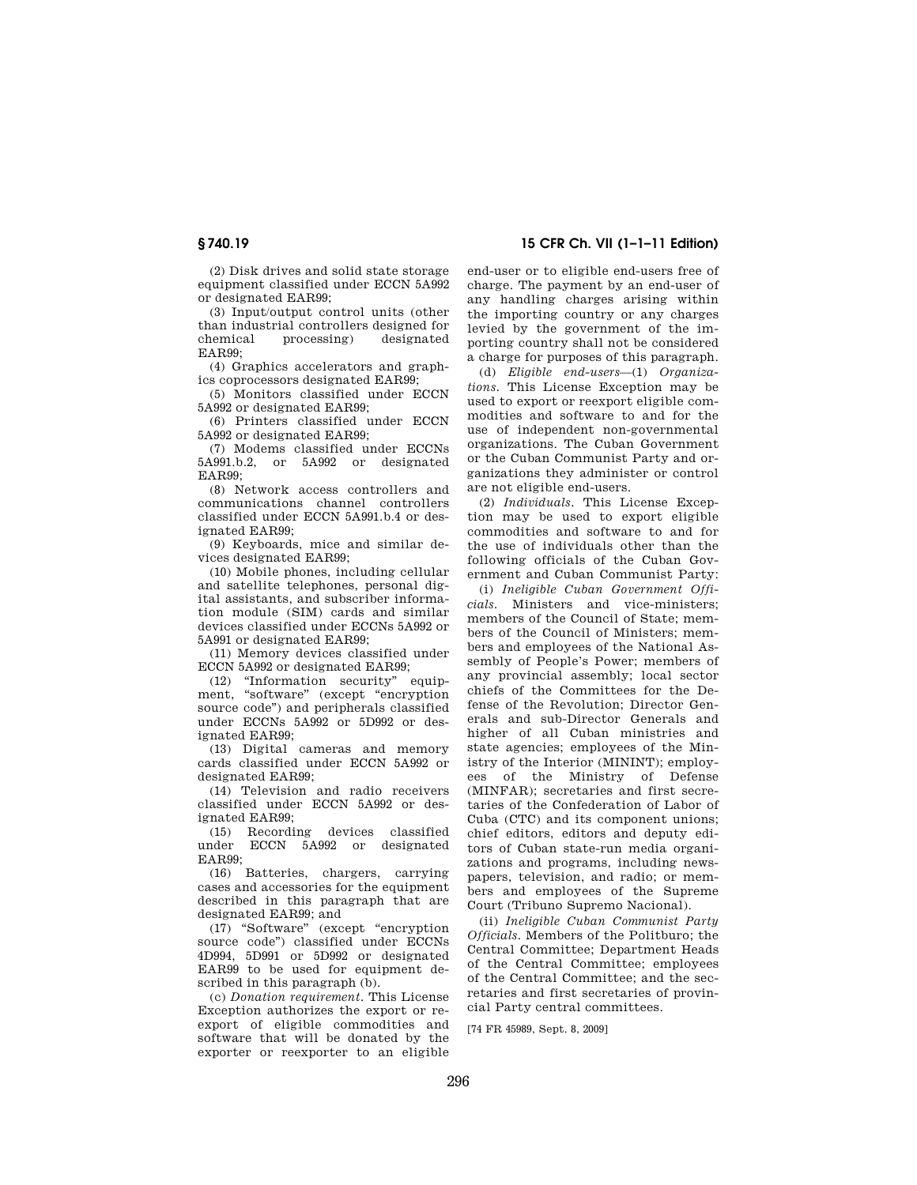(2) Disk drives and solid state storage equipment classified under ECCN 5A992 or designated EAR99;

(3) Input/output control units (other than industrial controllers designed for chemical processing) designated EAR99;

(4) Graphics accelerators and graphics coprocessors designated EAR99;

(5) Monitors classified under ECCN 5A992 or designated EAR99;

(6) Printers classified under ECCN 5A992 or designated EAR99;

(7) Modems classified under ECCNs 5A991.b.2, or 5A992 or designated EAR99;

(8) Network access controllers and communications channel controllers classified under ECCN 5A991.b.4 or designated EAR99;

(9) Keyboards, mice and similar devices designated EAR99;

(10) Mobile phones, including cellular and satellite telephones, personal digital assistants, and subscriber information module (SIM) cards and similar devices classified under ECCNs 5A992 or 5A991 or designated EAR99;

(11) Memory devices classified under ECCN 5A992 or designated EAR99;

(12) ''Information security'' equipment, ''software'' (except ''encryption source code'') and peripherals classified under ECCNs 5A992 or 5D992 or designated EAR99;

(13) Digital cameras and memory cards classified under ECCN 5A992 or designated EAR99;

(14) Television and radio receivers classified under ECCN 5A992 or designated EAR99;

(15) Recording devices classified under ECCN 5A992 or designated EAR99;

(16) Batteries, chargers, carrying cases and accessories for the equipment described in this paragraph that are designated EAR99; and

(17) ''Software'' (except ''encryption source code'') classified under ECCNs 4D994, 5D991 or 5D992 or designated EAR99 to be used for equipment described in this paragraph (b).

(c) *Donation requirement.* This License Exception authorizes the export or reexport of eligible commodities and software that will be donated by the exporter or reexporter to an eligible

**§ 740.19 15 CFR Ch. VII (1–1–11 Edition)** 

end-user or to eligible end-users free of charge. The payment by an end-user of any handling charges arising within the importing country or any charges levied by the government of the importing country shall not be considered a charge for purposes of this paragraph.

(d) *Eligible end-users*—(1) *Organizations.* This License Exception may be used to export or reexport eligible commodities and software to and for the use of independent non-governmental organizations. The Cuban Government or the Cuban Communist Party and organizations they administer or control are not eligible end-users.

(2) *Individuals.* This License Exception may be used to export eligible commodities and software to and for the use of individuals other than the following officials of the Cuban Government and Cuban Communist Party:

(i) *Ineligible Cuban Government Officials.* Ministers and vice-ministers; members of the Council of State; members of the Council of Ministers; members and employees of the National Assembly of People's Power; members of any provincial assembly; local sector chiefs of the Committees for the Defense of the Revolution; Director Generals and sub-Director Generals and higher of all Cuban ministries and state agencies; employees of the Ministry of the Interior (MININT); employees of the Ministry of Defense (MINFAR); secretaries and first secretaries of the Confederation of Labor of Cuba (CTC) and its component unions; chief editors, editors and deputy editors of Cuban state-run media organizations and programs, including newspapers, television, and radio; or members and employees of the Supreme Court (Tribuno Supremo Nacional).

(ii) *Ineligible Cuban Communist Party Officials.* Members of the Politburo; the Central Committee; Department Heads of the Central Committee; employees of the Central Committee; and the secretaries and first secretaries of provincial Party central committees.

[74 FR 45989, Sept. 8, 2009]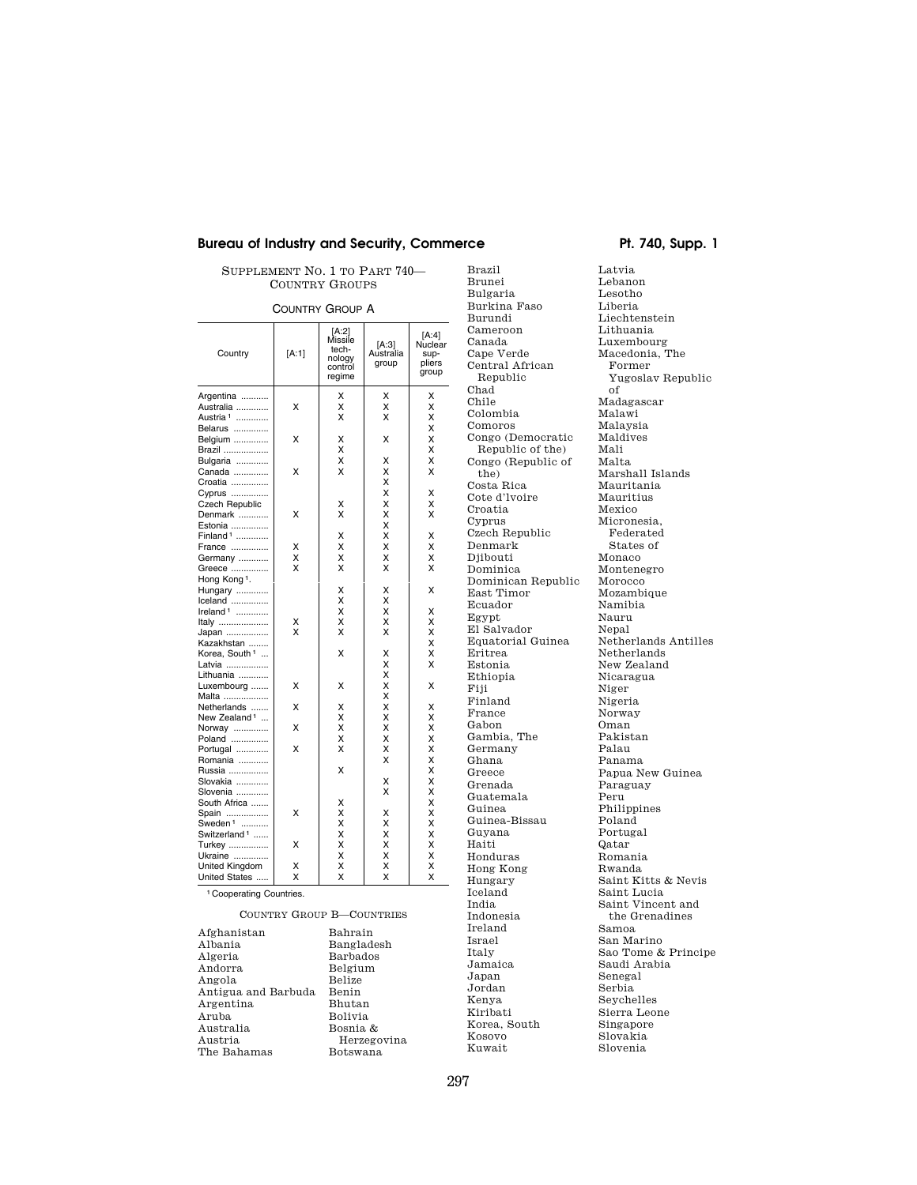SUPPLEMENT NO. 1 TO PART 740— COUNTRY GROUPS

## COUNTRY GROUP A

| [A:1] | Missile<br>tech-<br>nology<br>control<br>regime                         | [A:3]<br>Australia<br>group                                                                                                                        | [A:4]<br>Nuclear<br>sup-<br>pliers<br>group                                                                                                                                      |
|-------|-------------------------------------------------------------------------|----------------------------------------------------------------------------------------------------------------------------------------------------|----------------------------------------------------------------------------------------------------------------------------------------------------------------------------------|
|       | X                                                                       | х                                                                                                                                                  | X                                                                                                                                                                                |
| X     | X                                                                       | X                                                                                                                                                  | X                                                                                                                                                                                |
|       | X                                                                       | X                                                                                                                                                  | X                                                                                                                                                                                |
|       |                                                                         |                                                                                                                                                    | X                                                                                                                                                                                |
|       |                                                                         |                                                                                                                                                    | X                                                                                                                                                                                |
|       |                                                                         |                                                                                                                                                    | Χ                                                                                                                                                                                |
|       |                                                                         |                                                                                                                                                    | X                                                                                                                                                                                |
|       |                                                                         |                                                                                                                                                    | X                                                                                                                                                                                |
|       |                                                                         |                                                                                                                                                    |                                                                                                                                                                                  |
|       |                                                                         |                                                                                                                                                    | Χ                                                                                                                                                                                |
|       |                                                                         |                                                                                                                                                    | X                                                                                                                                                                                |
|       |                                                                         |                                                                                                                                                    | X                                                                                                                                                                                |
|       |                                                                         |                                                                                                                                                    |                                                                                                                                                                                  |
|       |                                                                         |                                                                                                                                                    | Χ                                                                                                                                                                                |
|       |                                                                         |                                                                                                                                                    | X                                                                                                                                                                                |
|       |                                                                         |                                                                                                                                                    | X                                                                                                                                                                                |
|       |                                                                         |                                                                                                                                                    | X                                                                                                                                                                                |
|       |                                                                         |                                                                                                                                                    |                                                                                                                                                                                  |
|       |                                                                         |                                                                                                                                                    | X                                                                                                                                                                                |
|       |                                                                         |                                                                                                                                                    |                                                                                                                                                                                  |
|       |                                                                         |                                                                                                                                                    | X                                                                                                                                                                                |
|       |                                                                         |                                                                                                                                                    | X                                                                                                                                                                                |
|       |                                                                         |                                                                                                                                                    | X                                                                                                                                                                                |
|       |                                                                         |                                                                                                                                                    | X                                                                                                                                                                                |
|       |                                                                         |                                                                                                                                                    | x                                                                                                                                                                                |
|       |                                                                         |                                                                                                                                                    | x                                                                                                                                                                                |
|       |                                                                         |                                                                                                                                                    |                                                                                                                                                                                  |
|       |                                                                         |                                                                                                                                                    | X                                                                                                                                                                                |
|       |                                                                         |                                                                                                                                                    |                                                                                                                                                                                  |
|       |                                                                         |                                                                                                                                                    | X                                                                                                                                                                                |
|       |                                                                         |                                                                                                                                                    | x                                                                                                                                                                                |
|       |                                                                         |                                                                                                                                                    | X                                                                                                                                                                                |
|       |                                                                         |                                                                                                                                                    | X                                                                                                                                                                                |
|       |                                                                         |                                                                                                                                                    | X                                                                                                                                                                                |
|       |                                                                         |                                                                                                                                                    | Χ                                                                                                                                                                                |
|       |                                                                         |                                                                                                                                                    | X                                                                                                                                                                                |
|       |                                                                         |                                                                                                                                                    | X                                                                                                                                                                                |
|       |                                                                         |                                                                                                                                                    | X                                                                                                                                                                                |
|       |                                                                         |                                                                                                                                                    | X                                                                                                                                                                                |
|       |                                                                         |                                                                                                                                                    | X                                                                                                                                                                                |
|       |                                                                         |                                                                                                                                                    | X                                                                                                                                                                                |
|       |                                                                         |                                                                                                                                                    | X                                                                                                                                                                                |
|       |                                                                         |                                                                                                                                                    | X                                                                                                                                                                                |
|       |                                                                         |                                                                                                                                                    | X                                                                                                                                                                                |
|       |                                                                         |                                                                                                                                                    | X                                                                                                                                                                                |
| X     | X                                                                       | x                                                                                                                                                  | X                                                                                                                                                                                |
|       | X<br>X<br>X<br>X<br>X<br>X<br>x<br>X<br>X<br>X<br>X<br>X<br>X<br>X<br>X | Χ<br>Χ<br>X<br>X<br>Χ<br>X<br>х<br>Χ<br>X<br>X<br>Χ<br>X<br>X<br>X<br>X<br>X<br>X<br>x<br>X<br>X<br>Χ<br>X<br>X<br>Χ<br>X<br>X<br>X<br>X<br>X<br>X | x<br>Χ<br>X<br>Χ<br>X<br>X<br>X<br>X<br>X<br>X<br>X<br>X<br>Χ<br>X<br>X<br>X<br>X<br>X<br>X<br>X<br>X<br>X<br>X<br>Χ<br>X<br>X<br>Χ<br>X<br>Χ<br>X<br>Χ<br>X<br>X<br>X<br>X<br>X |

## COUNTRY GROUP B—COUNTRIES

Afghanistan Albania Algeria Andorra Angola Antigua and Barbuda Argentina Aruba Australia Austria The Bahamas

Bahrain Bangladesh Barbados Belgium Belize Benin Bhutan Bolivia Bosnia & Herzegovina Botswana

Bulgaria Burkina Faso Burundi Cameroon Canada Cape Verde Central African Republic Chad Chile Colombia Comoros Congo (Democratic Republic of the) Congo (Republic of the) Costa Rica Cote d'lvoire Croatia Cyprus Czech Republic Denmark Djibouti Dominica Dominican Republic East Timor Ecuador Egypt El Salvador Equatorial Guinea Eritrea Estonia Ethiopia Fiji Finland France Gabon Gambia, The Germany Ghana Greece Grenada Guatemala Guinea Guinea-Bissau Guyana Haiti Honduras Hong Kong Hungary Iceland India Indonesia Ireland Israel Italy Jamaica Japan Jordan Kenya Kiribati Korea, South Kosovo Kuwait

Brazil Brunei

Latvia Lebanon Lesotho Liberia Liechtenstein Lithuania Luxembourg Macedonia, The Former Yugoslav Republic of Madagascar Malawi Malaysia Maldives Mali Malta Marshall Islands Mauritania Mauritius Mexico Micronesia, Federated States of Monaco Montenegro Morocco Mozambique Namibia Nauru Nepal Netherlands Antilles Netherlands New Zealand Nicaragua Niger Nigeria Norway Oman Pakistan Palau Panama Papua New Guinea Paraguay Peru Philippines Poland Portugal Qatar Romania Rwanda Saint Kitts & Nevis Saint Lucia Saint Vincent and the Grenadines Samoa San Marino Sao Tome & Principe Saudi Arabia Senegal Serbia Seychelles Sierra Leone Singapore Slovakia Slovenia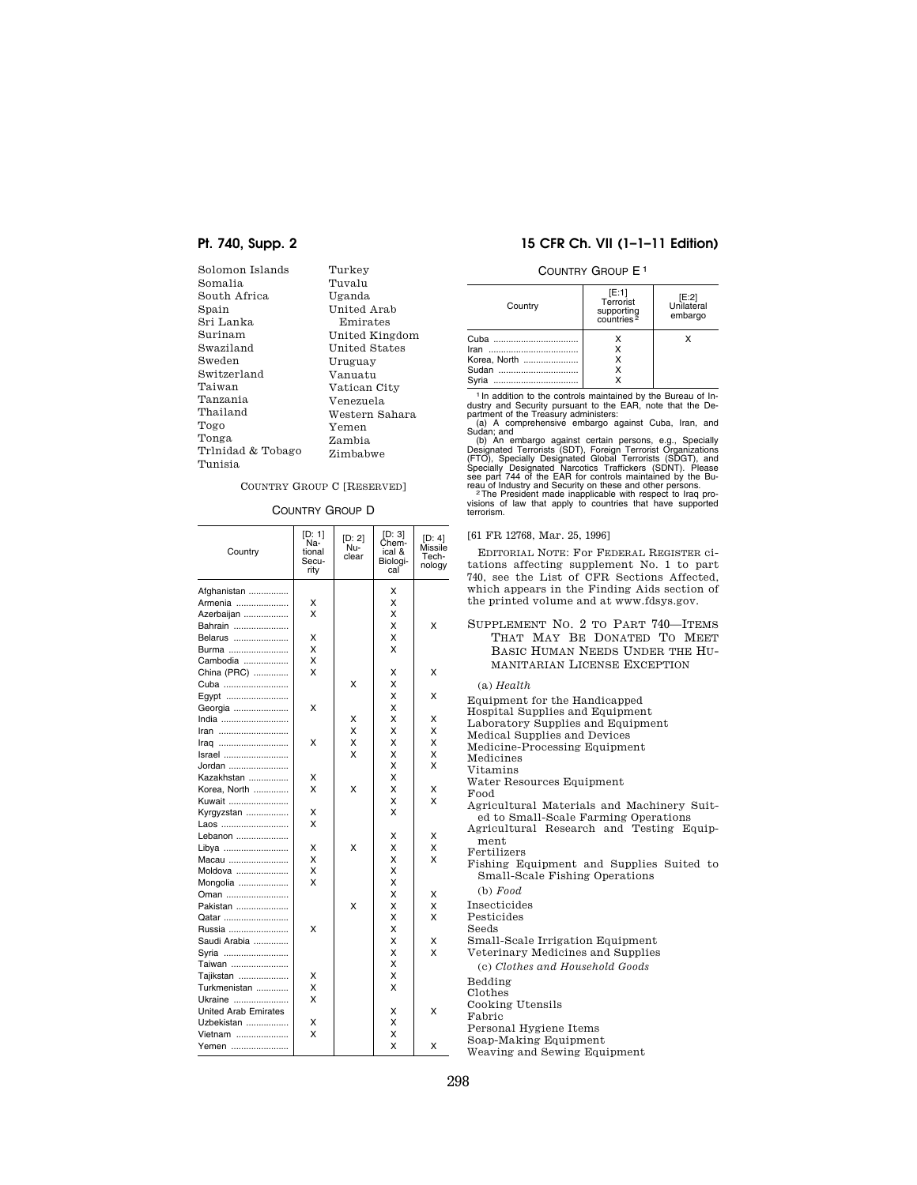| Solomon Islands   | Turkey         |
|-------------------|----------------|
| Somalia           | Tuvalu         |
| South Africa      | Uganda         |
| Spain             | United Arab    |
| Sri Lanka         | Emirates       |
| Surinam           | United Kingdom |
| Swaziland         | United States  |
| Sweden            | Uruguay        |
| Switzerland       | Vanuatu        |
| Taiwan            | Vatican City   |
| Tanzania          | Venezuela      |
| Thailand          | Western Sahara |
| Togo              | Yemen          |
| Tonga             | Zambia         |
| Trlnidad & Tobago | Zimbabwe       |
| Tunisia           |                |

## COUNTRY GROUP C [RESERVED]

COUNTRY GROUP D

| Country                     | [D: 1]<br>Na-<br>tional<br>Secu-<br>rity | [D: 2]<br>Nu-<br>clear | [D: 3]<br>Chem-<br>ical &<br>Biologi-<br>cal | [D: 4]<br>Missile<br>Tech-<br>nology |
|-----------------------------|------------------------------------------|------------------------|----------------------------------------------|--------------------------------------|
| Afghanistan                 |                                          |                        | X                                            |                                      |
| Armenia                     | х                                        |                        | x                                            |                                      |
| Azerbaijan                  | X                                        |                        | x                                            |                                      |
| Bahrain                     |                                          |                        | x                                            | X                                    |
| Belarus                     | х                                        |                        | x                                            |                                      |
| Burma                       | X                                        |                        | X                                            |                                      |
| Cambodia                    | x                                        |                        |                                              |                                      |
| China (PRC)                 | X                                        |                        | x                                            | X                                    |
| Cuba                        |                                          | X                      | X                                            |                                      |
| Egypt                       |                                          |                        | X                                            | x                                    |
| Georgia                     | X                                        |                        | X                                            |                                      |
| India                       |                                          | x                      | X                                            | x                                    |
| Iran                        |                                          | X                      | X                                            | X                                    |
| Iraq                        | X                                        | X                      | X                                            | x                                    |
| Israel                      |                                          | x                      | X                                            | X                                    |
| Jordan                      |                                          |                        | X                                            | X                                    |
| Kazakhstan                  | X                                        |                        | Χ                                            |                                      |
| Korea, North                | x                                        | X                      | X                                            | x                                    |
| Kuwait                      |                                          |                        | x                                            | X                                    |
| Kyrgyzstan                  | х                                        |                        | X                                            |                                      |
| Laos                        | x                                        |                        |                                              |                                      |
| Lebanon                     |                                          |                        | X                                            | X                                    |
| Libya                       | X                                        | X                      | X                                            | X                                    |
| Macau                       | X                                        |                        | X                                            | X                                    |
| Moldova                     | X                                        |                        | X                                            |                                      |
| Mongolia                    | x                                        |                        | X                                            |                                      |
| Oman                        |                                          |                        | X                                            | x                                    |
| Pakistan                    |                                          | X                      | X                                            | X                                    |
| Qatar                       |                                          |                        | Χ                                            | X                                    |
| Russia                      | X                                        |                        | X                                            |                                      |
| Saudi Arabia                |                                          |                        | X                                            | x                                    |
| Syria                       |                                          |                        | X                                            | X                                    |
| Taiwan                      |                                          |                        | X                                            |                                      |
| Tajikstan                   | X                                        |                        | x                                            |                                      |
| Turkmenistan                | X                                        |                        | X                                            |                                      |
| Ukraine                     | x                                        |                        |                                              |                                      |
| <b>United Arab Emirates</b> |                                          |                        | x                                            | x                                    |
| Uzbekistan                  | Χ                                        |                        | x                                            |                                      |
| Vietnam                     | x                                        |                        | X                                            |                                      |
| Yemen                       |                                          |                        | x                                            | X                                    |

## **Pt. 740, Supp. 2 15 CFR Ch. VII (1–1–11 Edition)**

## COUNTRY GROUP E1

| Country                                    | [E:1]<br>Terrorist<br>supporting<br>countries <sup>2</sup> | [E:2]<br>Unilateral<br>embargo |
|--------------------------------------------|------------------------------------------------------------|--------------------------------|
| Cuba<br>Korea. North<br>Sudan<br>Svria<br> | х                                                          | x                              |

<sup>1</sup> In addition to the controls maintained by the Bureau of In-<br>dustry and Security pursuant to the EAR, note that the De-<br>partment of the Treasury administers:<br>(a) A comprehensive embargo against Cuba, Iran, and<br>Sudan; an

(b) An embargo against certain persons, e.g., Specially<br>Designated Terrorists (SDT), Foreign Terrorist Organizations<br>(FIO), Specially Designated Global Terrorists (SDGT), and<br>Specially Designated Narcotics Traffickers (SDN

## [61 FR 12768, Mar. 25, 1996]

EDITORIAL NOTE: For FEDERAL REGISTER ciations affecting supplement No. 1 to part 740, see the List of CFR Sections Affected, which appears in the Finding Aids section of the printed volume and at www.fdsys.gov.

SUPPLEMENT NO. 2 TO PART 740—ITEMS THAT MAY BE DONATED TO MEET BASIC HUMAN NEEDS UNDER THE HU-MANITARIAN LICENSE EXCEPTION

#### (a) *Health*

Equipment for the Handicapped Hospital Supplies and Equipment Laboratory Supplies and Equipment Medical Supplies and Devices Medicine-Processing Equipment Medicines **Titamins** Water Resources Equipment Food gricultural Materials and Machinery Suited to Small-Scale Farming Operations Agricultural Research and Testing Equipment ertilizers Fishing Equipment and Supplies Suited to Small-Scale Fishing Operations (b) *Food*  Insecticides Pesticides Seeds Small-Scale Irrigation Equipment Veterinary Medicines and Supplies (c) *Clothes and Household Goods*  edding<br>bedding Clothes **Cooking Utensils** Fabric Personal Hygiene Items

Soap-Making Equipment Weaving and Sewing Equipment